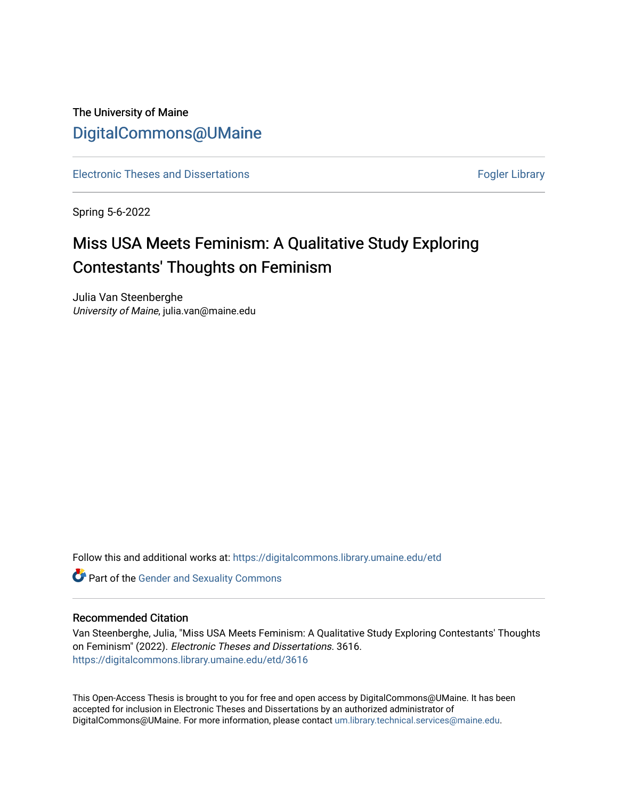# The University of Maine [DigitalCommons@UMaine](https://digitalcommons.library.umaine.edu/)

[Electronic Theses and Dissertations](https://digitalcommons.library.umaine.edu/etd) [Fogler Library](https://digitalcommons.library.umaine.edu/fogler) Fogler Library

Spring 5-6-2022

# Miss USA Meets Feminism: A Qualitative Study Exploring Contestants' Thoughts on Feminism

Julia Van Steenberghe University of Maine, julia.van@maine.edu

Follow this and additional works at: [https://digitalcommons.library.umaine.edu/etd](https://digitalcommons.library.umaine.edu/etd?utm_source=digitalcommons.library.umaine.edu%2Fetd%2F3616&utm_medium=PDF&utm_campaign=PDFCoverPages) 

**Part of the [Gender and Sexuality Commons](https://network.bepress.com/hgg/discipline/420?utm_source=digitalcommons.library.umaine.edu%2Fetd%2F3616&utm_medium=PDF&utm_campaign=PDFCoverPages)** 

#### Recommended Citation

Van Steenberghe, Julia, "Miss USA Meets Feminism: A Qualitative Study Exploring Contestants' Thoughts on Feminism" (2022). Electronic Theses and Dissertations. 3616. [https://digitalcommons.library.umaine.edu/etd/3616](https://digitalcommons.library.umaine.edu/etd/3616?utm_source=digitalcommons.library.umaine.edu%2Fetd%2F3616&utm_medium=PDF&utm_campaign=PDFCoverPages)

This Open-Access Thesis is brought to you for free and open access by DigitalCommons@UMaine. It has been accepted for inclusion in Electronic Theses and Dissertations by an authorized administrator of DigitalCommons@UMaine. For more information, please contact [um.library.technical.services@maine.edu](mailto:um.library.technical.services@maine.edu).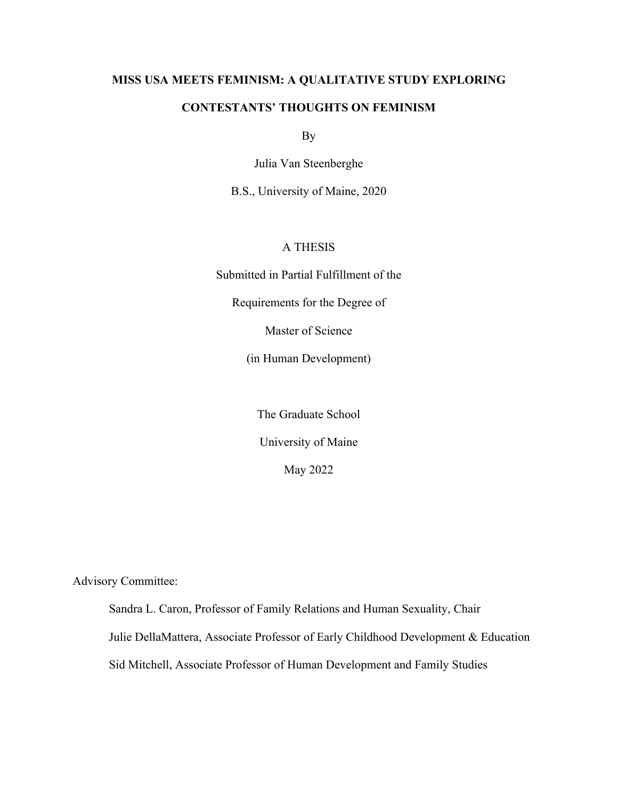# **MISS USA MEETS FEMINISM: A QUALITATIVE STUDY EXPLORING**

# **CONTESTANTS' THOUGHTS ON FEMINISM**

By

Julia Van Steenberghe

B.S., University of Maine, 2020

# A THESIS

Submitted in Partial Fulfillment of the

Requirements for the Degree of

Master of Science

(in Human Development)

The Graduate School

University of Maine

May 2022

Advisory Committee:

Sandra L. Caron, Professor of Family Relations and Human Sexuality, Chair Julie DellaMattera, Associate Professor of Early Childhood Development & Education Sid Mitchell, Associate Professor of Human Development and Family Studies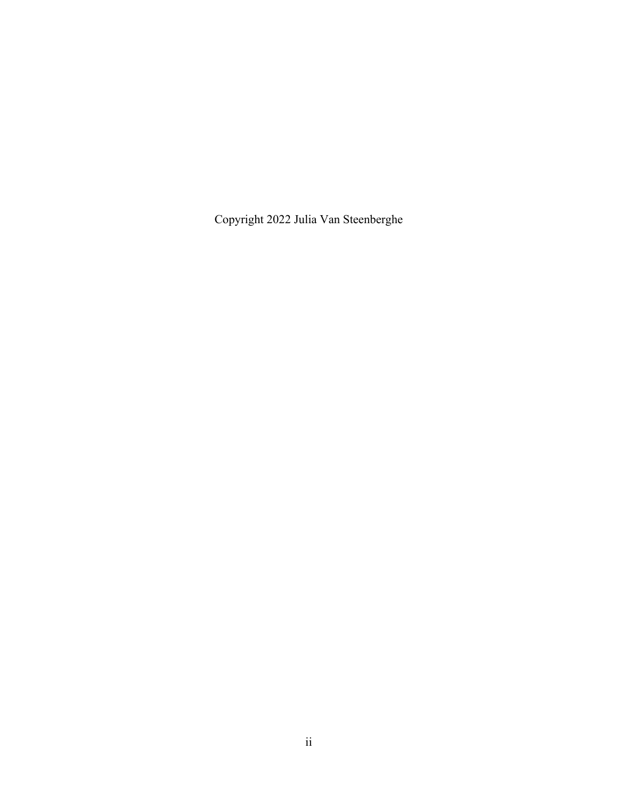Copyright 2022 Julia Van Steenberghe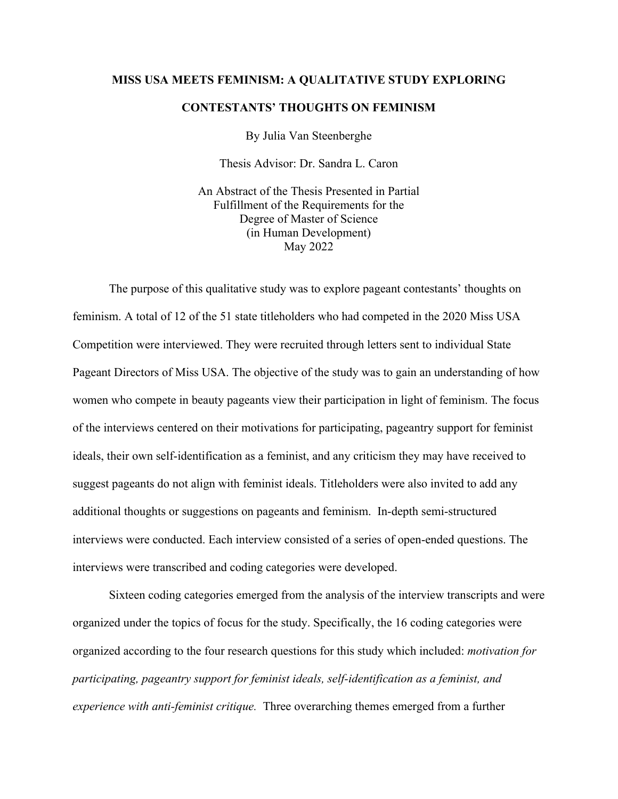#### **MISS USA MEETS FEMINISM: A QUALITATIVE STUDY EXPLORING**

## **CONTESTANTS' THOUGHTS ON FEMINISM**

By Julia Van Steenberghe

Thesis Advisor: Dr. Sandra L. Caron

An Abstract of the Thesis Presented in Partial Fulfillment of the Requirements for the Degree of Master of Science (in Human Development) May 2022

The purpose of this qualitative study was to explore pageant contestants' thoughts on feminism. A total of 12 of the 51 state titleholders who had competed in the 2020 Miss USA Competition were interviewed. They were recruited through letters sent to individual State Pageant Directors of Miss USA. The objective of the study was to gain an understanding of how women who compete in beauty pageants view their participation in light of feminism. The focus of the interviews centered on their motivations for participating, pageantry support for feminist ideals, their own self-identification as a feminist, and any criticism they may have received to suggest pageants do not align with feminist ideals. Titleholders were also invited to add any additional thoughts or suggestions on pageants and feminism. In-depth semi-structured interviews were conducted. Each interview consisted of a series of open-ended questions. The interviews were transcribed and coding categories were developed.

Sixteen coding categories emerged from the analysis of the interview transcripts and were organized under the topics of focus for the study. Specifically, the 16 coding categories were organized according to the four research questions for this study which included: *motivation for participating, pageantry support for feminist ideals, self-identification as a feminist, and experience with anti-feminist critique.* Three overarching themes emerged from a further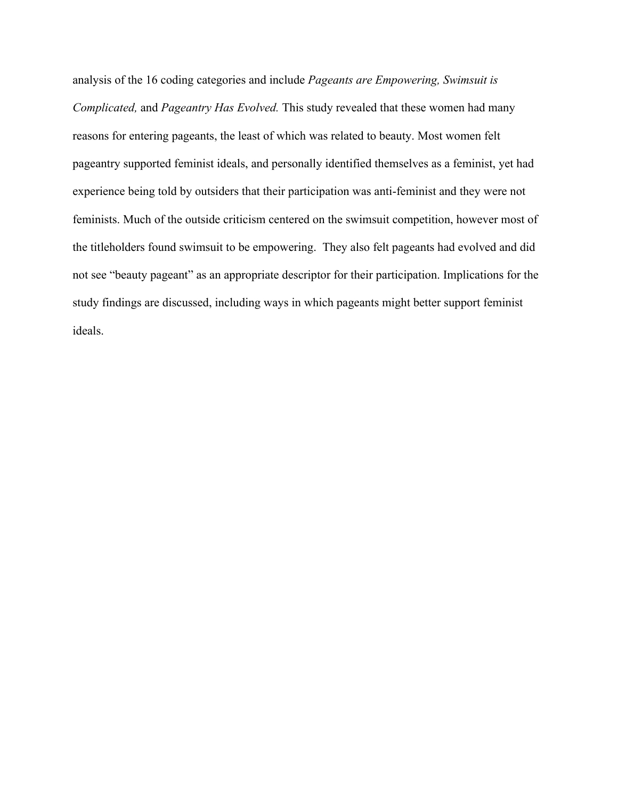analysis of the 16 coding categories and include *Pageants are Empowering, Swimsuit is Complicated,* and *Pageantry Has Evolved.* This study revealed that these women had many reasons for entering pageants, the least of which was related to beauty. Most women felt pageantry supported feminist ideals, and personally identified themselves as a feminist, yet had experience being told by outsiders that their participation was anti-feminist and they were not feminists. Much of the outside criticism centered on the swimsuit competition, however most of the titleholders found swimsuit to be empowering. They also felt pageants had evolved and did not see "beauty pageant" as an appropriate descriptor for their participation. Implications for the study findings are discussed, including ways in which pageants might better support feminist ideals.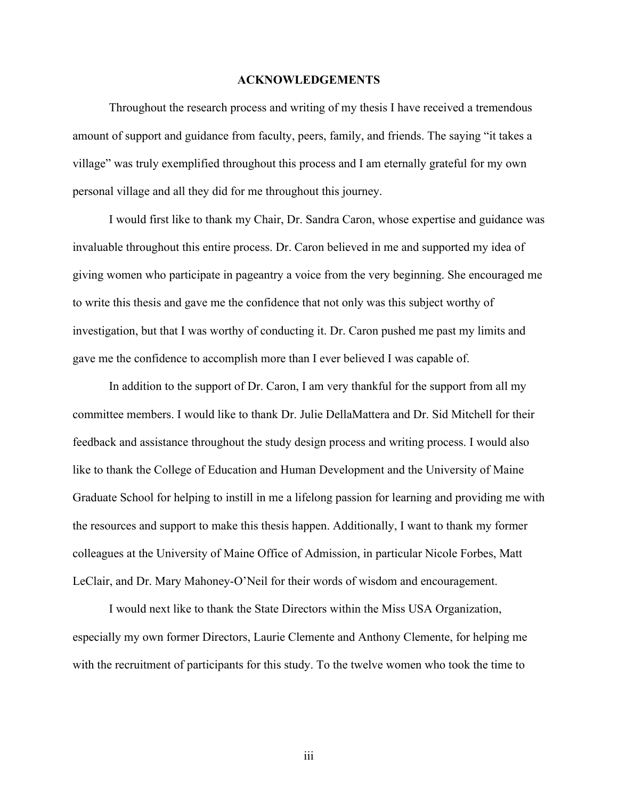#### **ACKNOWLEDGEMENTS**

Throughout the research process and writing of my thesis I have received a tremendous amount of support and guidance from faculty, peers, family, and friends. The saying "it takes a village" was truly exemplified throughout this process and I am eternally grateful for my own personal village and all they did for me throughout this journey.

I would first like to thank my Chair, Dr. Sandra Caron, whose expertise and guidance was invaluable throughout this entire process. Dr. Caron believed in me and supported my idea of giving women who participate in pageantry a voice from the very beginning. She encouraged me to write this thesis and gave me the confidence that not only was this subject worthy of investigation, but that I was worthy of conducting it. Dr. Caron pushed me past my limits and gave me the confidence to accomplish more than I ever believed I was capable of.

In addition to the support of Dr. Caron, I am very thankful for the support from all my committee members. I would like to thank Dr. Julie DellaMattera and Dr. Sid Mitchell for their feedback and assistance throughout the study design process and writing process. I would also like to thank the College of Education and Human Development and the University of Maine Graduate School for helping to instill in me a lifelong passion for learning and providing me with the resources and support to make this thesis happen. Additionally, I want to thank my former colleagues at the University of Maine Office of Admission, in particular Nicole Forbes, Matt LeClair, and Dr. Mary Mahoney-O'Neil for their words of wisdom and encouragement.

I would next like to thank the State Directors within the Miss USA Organization, especially my own former Directors, Laurie Clemente and Anthony Clemente, for helping me with the recruitment of participants for this study. To the twelve women who took the time to

iii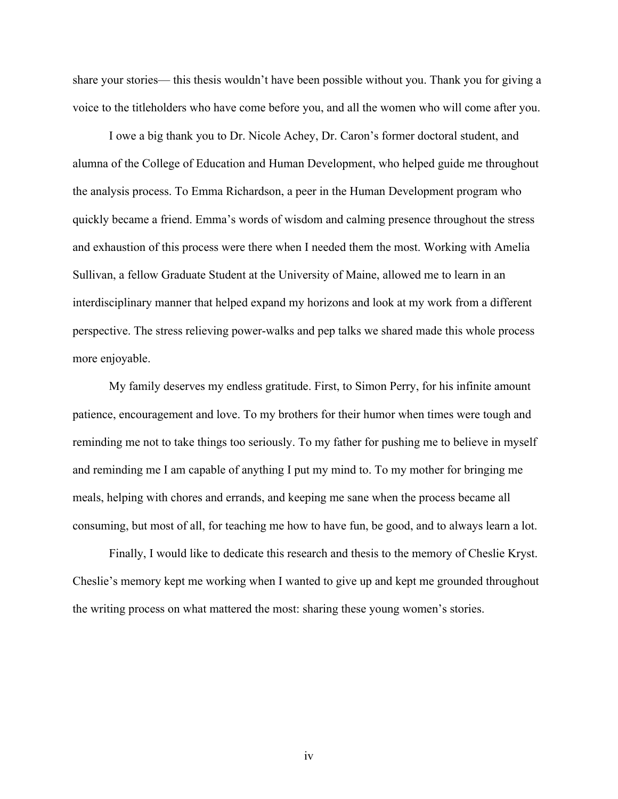share your stories— this thesis wouldn't have been possible without you. Thank you for giving a voice to the titleholders who have come before you, and all the women who will come after you.

I owe a big thank you to Dr. Nicole Achey, Dr. Caron's former doctoral student, and alumna of the College of Education and Human Development, who helped guide me throughout the analysis process. To Emma Richardson, a peer in the Human Development program who quickly became a friend. Emma's words of wisdom and calming presence throughout the stress and exhaustion of this process were there when I needed them the most. Working with Amelia Sullivan, a fellow Graduate Student at the University of Maine, allowed me to learn in an interdisciplinary manner that helped expand my horizons and look at my work from a different perspective. The stress relieving power-walks and pep talks we shared made this whole process more enjoyable.

My family deserves my endless gratitude. First, to Simon Perry, for his infinite amount patience, encouragement and love. To my brothers for their humor when times were tough and reminding me not to take things too seriously. To my father for pushing me to believe in myself and reminding me I am capable of anything I put my mind to. To my mother for bringing me meals, helping with chores and errands, and keeping me sane when the process became all consuming, but most of all, for teaching me how to have fun, be good, and to always learn a lot.

Finally, I would like to dedicate this research and thesis to the memory of Cheslie Kryst. Cheslie's memory kept me working when I wanted to give up and kept me grounded throughout the writing process on what mattered the most: sharing these young women's stories.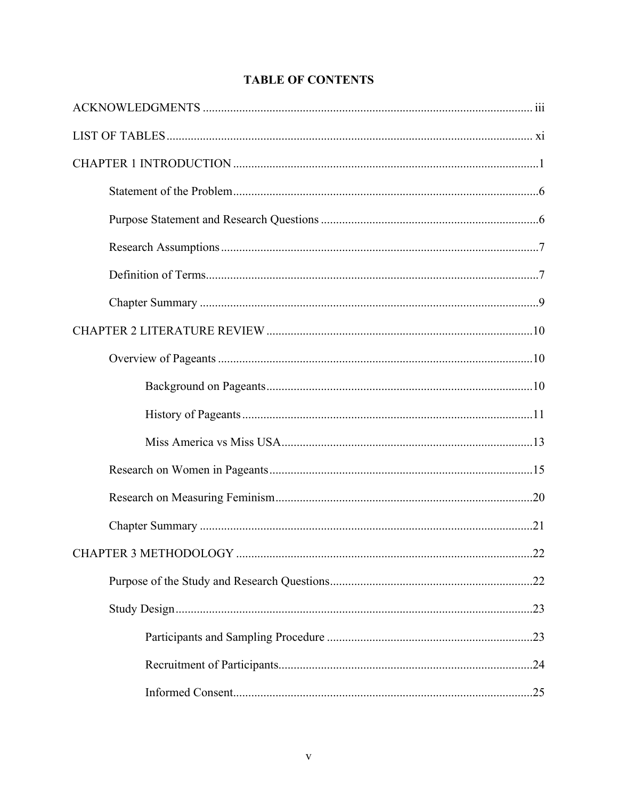# **TABLE OF CONTENTS**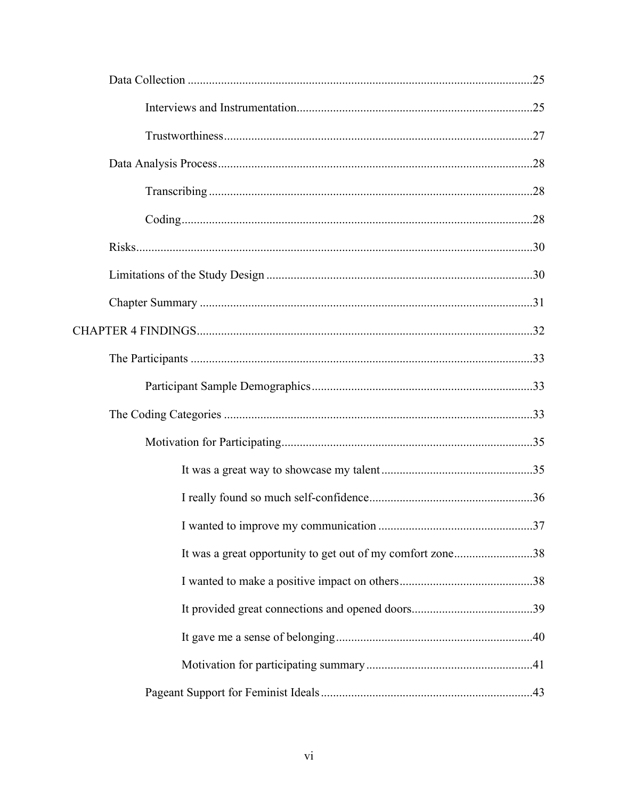| It was a great opportunity to get out of my comfort zone38 |
|------------------------------------------------------------|
|                                                            |
|                                                            |
|                                                            |
|                                                            |
|                                                            |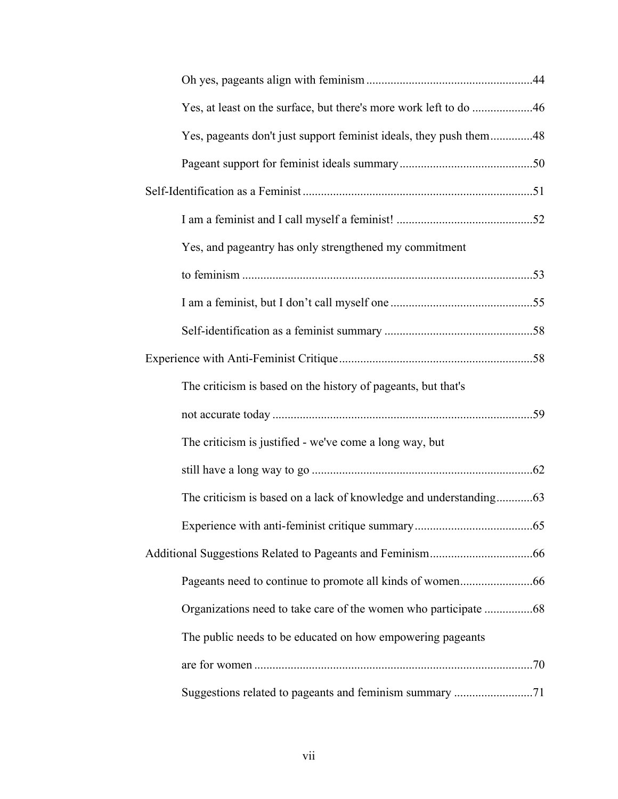| Yes, at least on the surface, but there's more work left to do 46  |  |
|--------------------------------------------------------------------|--|
| Yes, pageants don't just support feminist ideals, they push them48 |  |
|                                                                    |  |
|                                                                    |  |
|                                                                    |  |
| Yes, and pageantry has only strengthened my commitment             |  |
|                                                                    |  |
|                                                                    |  |
|                                                                    |  |
|                                                                    |  |
| The criticism is based on the history of pageants, but that's      |  |
|                                                                    |  |
| The criticism is justified - we've come a long way, but            |  |
|                                                                    |  |
|                                                                    |  |
|                                                                    |  |
|                                                                    |  |
|                                                                    |  |
|                                                                    |  |
| The public needs to be educated on how empowering pageants         |  |
|                                                                    |  |
| Suggestions related to pageants and feminism summary 71            |  |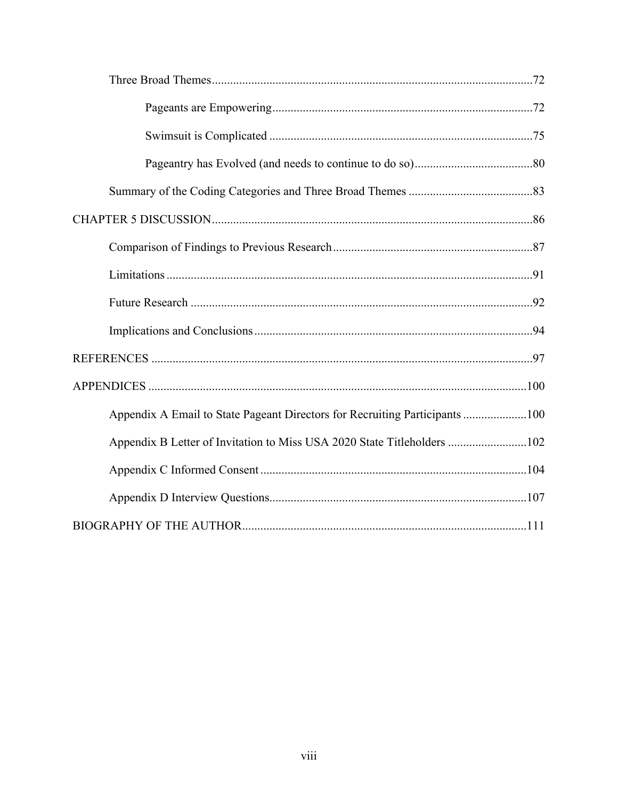| Appendix A Email to State Pageant Directors for Recruiting Participants 100 |
|-----------------------------------------------------------------------------|
| Appendix B Letter of Invitation to Miss USA 2020 State Titleholders 102     |
|                                                                             |
|                                                                             |
|                                                                             |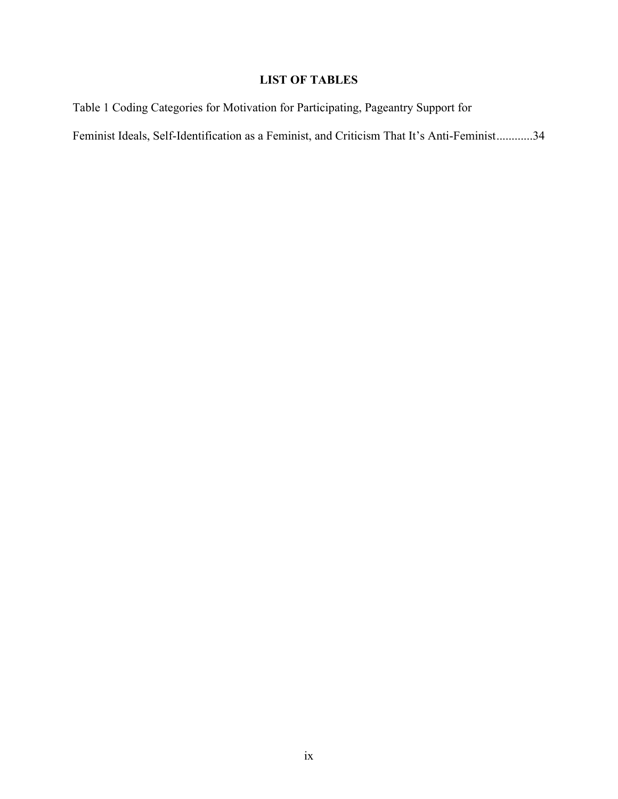# **LIST OF TABLES**

Table 1 Coding Categories for Motivation for Participating, Pageantry Support for Feminist Ideals, Self-Identification as a Feminist, and Criticism That It's Anti-Feminist............34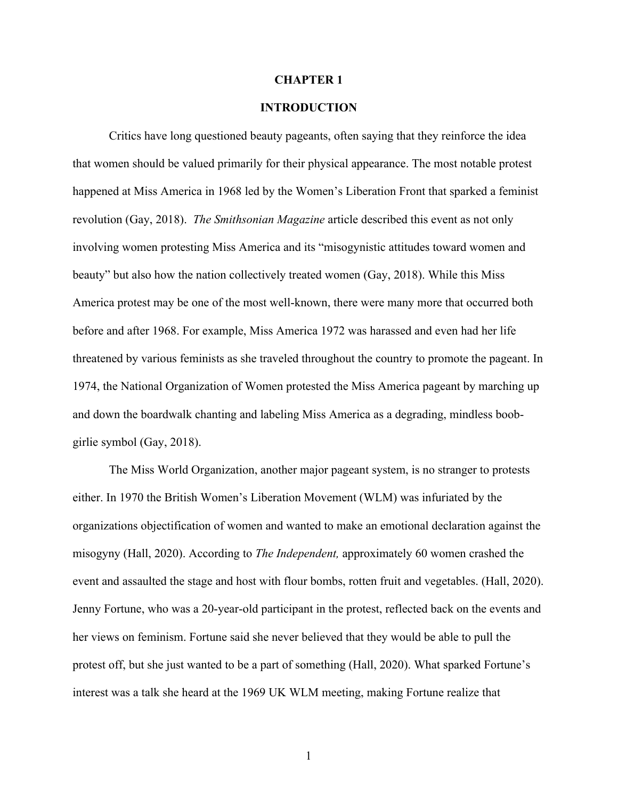#### **CHAPTER 1**

## **INTRODUCTION**

Critics have long questioned beauty pageants, often saying that they reinforce the idea that women should be valued primarily for their physical appearance. The most notable protest happened at Miss America in 1968 led by the Women's Liberation Front that sparked a feminist revolution (Gay, 2018). *The Smithsonian Magazine* article described this event as not only involving women protesting Miss America and its "misogynistic attitudes toward women and beauty" but also how the nation collectively treated women (Gay, 2018). While this Miss America protest may be one of the most well-known, there were many more that occurred both before and after 1968. For example, Miss America 1972 was harassed and even had her life threatened by various feminists as she traveled throughout the country to promote the pageant. In 1974, the National Organization of Women protested the Miss America pageant by marching up and down the boardwalk chanting and labeling Miss America as a degrading, mindless boobgirlie symbol (Gay, 2018).

The Miss World Organization, another major pageant system, is no stranger to protests either. In 1970 the British Women's Liberation Movement (WLM) was infuriated by the organizations objectification of women and wanted to make an emotional declaration against the misogyny (Hall, 2020). According to *The Independent,* approximately 60 women crashed the event and assaulted the stage and host with flour bombs, rotten fruit and vegetables. (Hall, 2020). Jenny Fortune, who was a 20-year-old participant in the protest, reflected back on the events and her views on feminism. Fortune said she never believed that they would be able to pull the protest off, but she just wanted to be a part of something (Hall, 2020). What sparked Fortune's interest was a talk she heard at the 1969 UK WLM meeting, making Fortune realize that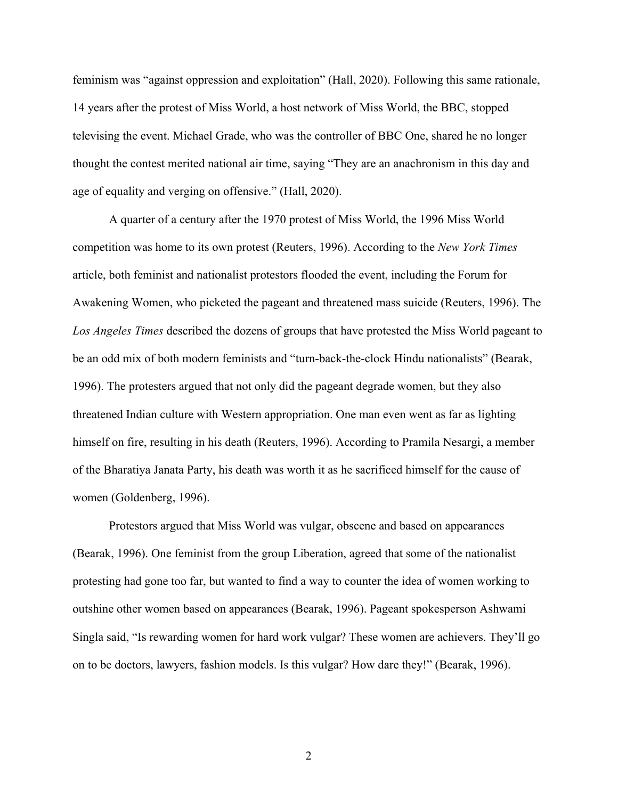feminism was "against oppression and exploitation" (Hall, 2020). Following this same rationale, 14 years after the protest of Miss World, a host network of Miss World, the BBC, stopped televising the event. Michael Grade, who was the controller of BBC One, shared he no longer thought the contest merited national air time, saying "They are an anachronism in this day and age of equality and verging on offensive." (Hall, 2020).

A quarter of a century after the 1970 protest of Miss World, the 1996 Miss World competition was home to its own protest (Reuters, 1996). According to the *New York Times* article, both feminist and nationalist protestors flooded the event, including the Forum for Awakening Women, who picketed the pageant and threatened mass suicide (Reuters, 1996). The *Los Angeles Times* described the dozens of groups that have protested the Miss World pageant to be an odd mix of both modern feminists and "turn-back-the-clock Hindu nationalists" (Bearak, 1996). The protesters argued that not only did the pageant degrade women, but they also threatened Indian culture with Western appropriation. One man even went as far as lighting himself on fire, resulting in his death (Reuters, 1996). According to Pramila Nesargi, a member of the Bharatiya Janata Party, his death was worth it as he sacrificed himself for the cause of women (Goldenberg, 1996).

Protestors argued that Miss World was vulgar, obscene and based on appearances (Bearak, 1996). One feminist from the group Liberation, agreed that some of the nationalist protesting had gone too far, but wanted to find a way to counter the idea of women working to outshine other women based on appearances (Bearak, 1996). Pageant spokesperson Ashwami Singla said, "Is rewarding women for hard work vulgar? These women are achievers. They'll go on to be doctors, lawyers, fashion models. Is this vulgar? How dare they!" (Bearak, 1996).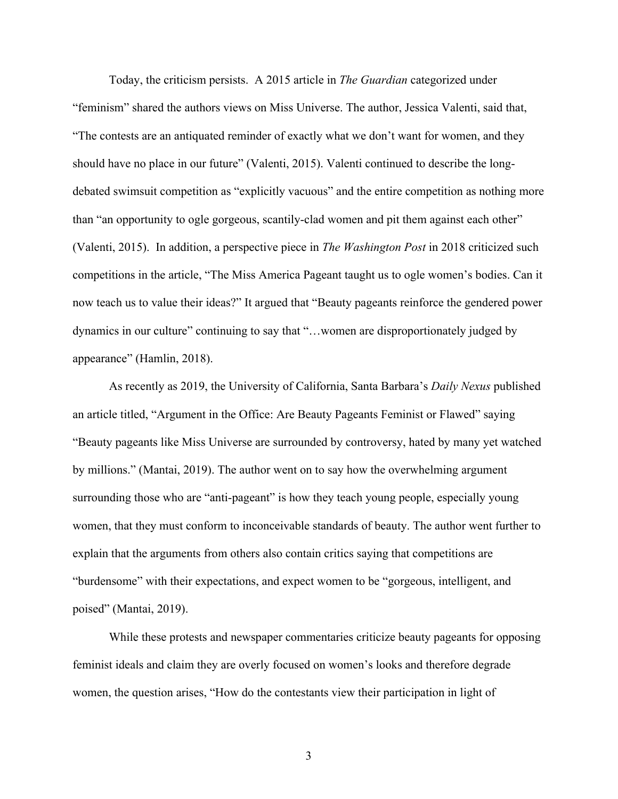Today, the criticism persists. A 2015 article in *The Guardian* categorized under "feminism" shared the authors views on Miss Universe. The author, Jessica Valenti, said that, "The contests are an antiquated reminder of exactly what we don't want for women, and they should have no place in our future" (Valenti, 2015). Valenti continued to describe the longdebated swimsuit competition as "explicitly vacuous" and the entire competition as nothing more than "an opportunity to ogle gorgeous, scantily-clad women and pit them against each other" (Valenti, 2015). In addition, a perspective piece in *The Washington Post* in 2018 criticized such competitions in the article, "The Miss America Pageant taught us to ogle women's bodies. Can it now teach us to value their ideas?" It argued that "Beauty pageants reinforce the gendered power dynamics in our culture" continuing to say that "…women are disproportionately judged by appearance" (Hamlin, 2018).

As recently as 2019, the University of California, Santa Barbara's *Daily Nexus* published an article titled, "Argument in the Office: Are Beauty Pageants Feminist or Flawed" saying "Beauty pageants like Miss Universe are surrounded by controversy, hated by many yet watched by millions." (Mantai, 2019). The author went on to say how the overwhelming argument surrounding those who are "anti-pageant" is how they teach young people, especially young women, that they must conform to inconceivable standards of beauty. The author went further to explain that the arguments from others also contain critics saying that competitions are "burdensome" with their expectations, and expect women to be "gorgeous, intelligent, and poised" (Mantai, 2019).

While these protests and newspaper commentaries criticize beauty pageants for opposing feminist ideals and claim they are overly focused on women's looks and therefore degrade women, the question arises, "How do the contestants view their participation in light of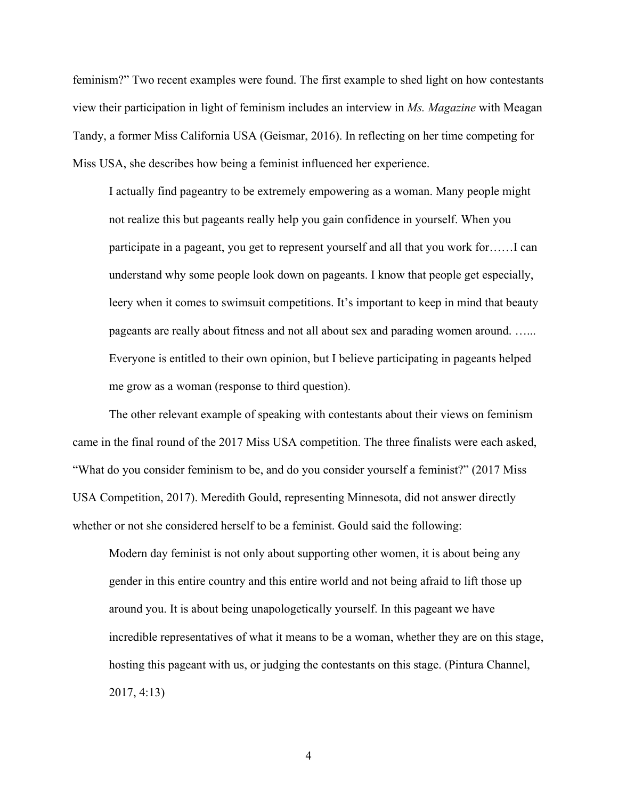feminism?" Two recent examples were found. The first example to shed light on how contestants view their participation in light of feminism includes an interview in *Ms. Magazine* with Meagan Tandy, a former Miss California USA (Geismar, 2016). In reflecting on her time competing for Miss USA, she describes how being a feminist influenced her experience.

I actually find pageantry to be extremely empowering as a woman. Many people might not realize this but pageants really help you gain confidence in yourself. When you participate in a pageant, you get to represent yourself and all that you work for……I can understand why some people look down on pageants. I know that people get especially, leery when it comes to swimsuit competitions. It's important to keep in mind that beauty pageants are really about fitness and not all about sex and parading women around. …... Everyone is entitled to their own opinion, but I believe participating in pageants helped me grow as a woman (response to third question).

The other relevant example of speaking with contestants about their views on feminism came in the final round of the 2017 Miss USA competition. The three finalists were each asked, "What do you consider feminism to be, and do you consider yourself a feminist?" (2017 Miss USA Competition, 2017). Meredith Gould, representing Minnesota, did not answer directly whether or not she considered herself to be a feminist. Gould said the following:

Modern day feminist is not only about supporting other women, it is about being any gender in this entire country and this entire world and not being afraid to lift those up around you. It is about being unapologetically yourself. In this pageant we have incredible representatives of what it means to be a woman, whether they are on this stage, hosting this pageant with us, or judging the contestants on this stage. (Pintura Channel, 2017, 4:13)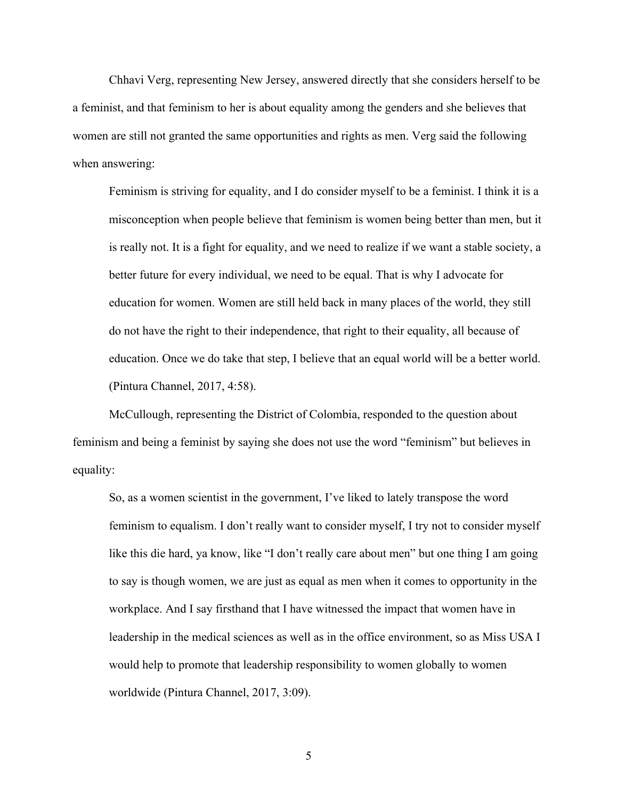Chhavi Verg, representing New Jersey, answered directly that she considers herself to be a feminist, and that feminism to her is about equality among the genders and she believes that women are still not granted the same opportunities and rights as men. Verg said the following when answering:

Feminism is striving for equality, and I do consider myself to be a feminist. I think it is a misconception when people believe that feminism is women being better than men, but it is really not. It is a fight for equality, and we need to realize if we want a stable society, a better future for every individual, we need to be equal. That is why I advocate for education for women. Women are still held back in many places of the world, they still do not have the right to their independence, that right to their equality, all because of education. Once we do take that step, I believe that an equal world will be a better world. (Pintura Channel, 2017, 4:58).

McCullough, representing the District of Colombia, responded to the question about feminism and being a feminist by saying she does not use the word "feminism" but believes in equality:

So, as a women scientist in the government, I've liked to lately transpose the word feminism to equalism. I don't really want to consider myself, I try not to consider myself like this die hard, ya know, like "I don't really care about men" but one thing I am going to say is though women, we are just as equal as men when it comes to opportunity in the workplace. And I say firsthand that I have witnessed the impact that women have in leadership in the medical sciences as well as in the office environment, so as Miss USA I would help to promote that leadership responsibility to women globally to women worldwide (Pintura Channel, 2017, 3:09).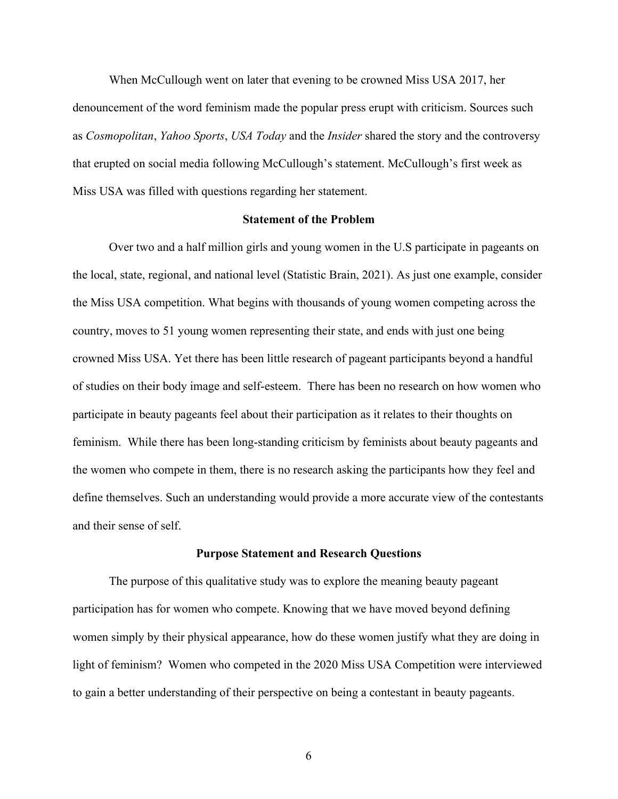When McCullough went on later that evening to be crowned Miss USA 2017, her denouncement of the word feminism made the popular press erupt with criticism. Sources such as *Cosmopolitan*, *Yahoo Sports*, *USA Today* and the *Insider* shared the story and the controversy that erupted on social media following McCullough's statement. McCullough's first week as Miss USA was filled with questions regarding her statement.

#### **Statement of the Problem**

Over two and a half million girls and young women in the U.S participate in pageants on the local, state, regional, and national level (Statistic Brain, 2021). As just one example, consider the Miss USA competition. What begins with thousands of young women competing across the country, moves to 51 young women representing their state, and ends with just one being crowned Miss USA. Yet there has been little research of pageant participants beyond a handful of studies on their body image and self-esteem. There has been no research on how women who participate in beauty pageants feel about their participation as it relates to their thoughts on feminism. While there has been long-standing criticism by feminists about beauty pageants and the women who compete in them, there is no research asking the participants how they feel and define themselves. Such an understanding would provide a more accurate view of the contestants and their sense of self.

#### **Purpose Statement and Research Questions**

The purpose of this qualitative study was to explore the meaning beauty pageant participation has for women who compete. Knowing that we have moved beyond defining women simply by their physical appearance, how do these women justify what they are doing in light of feminism? Women who competed in the 2020 Miss USA Competition were interviewed to gain a better understanding of their perspective on being a contestant in beauty pageants.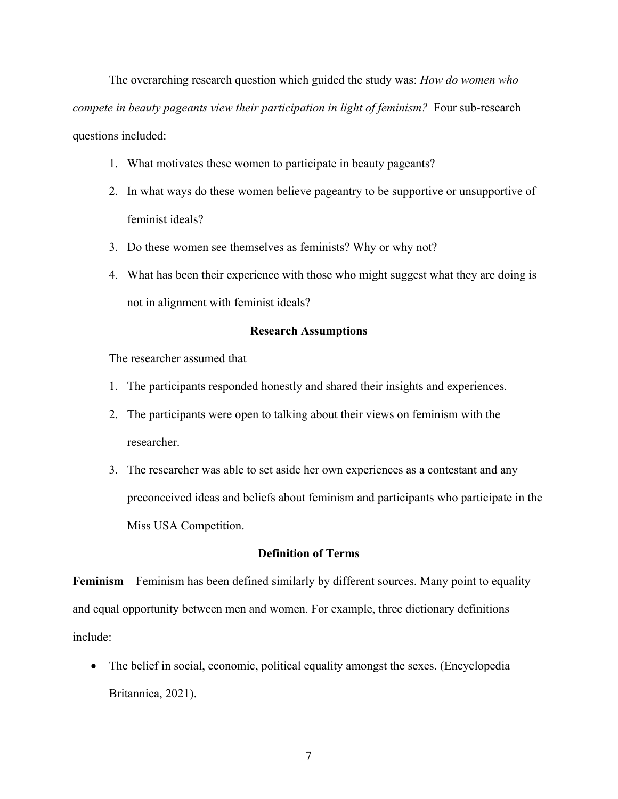The overarching research question which guided the study was: *How do women who compete in beauty pageants view their participation in light of feminism?* Four sub-research questions included:

- 1. What motivates these women to participate in beauty pageants?
- 2. In what ways do these women believe pageantry to be supportive or unsupportive of feminist ideals?
- 3. Do these women see themselves as feminists? Why or why not?
- 4. What has been their experience with those who might suggest what they are doing is not in alignment with feminist ideals?

#### **Research Assumptions**

The researcher assumed that

- 1. The participants responded honestly and shared their insights and experiences.
- 2. The participants were open to talking about their views on feminism with the researcher.
- 3. The researcher was able to set aside her own experiences as a contestant and any preconceived ideas and beliefs about feminism and participants who participate in the Miss USA Competition.

# **Definition of Terms**

**Feminism** – Feminism has been defined similarly by different sources. Many point to equality and equal opportunity between men and women. For example, three dictionary definitions include:

• The belief in social, economic, political equality amongst the sexes. (Encyclopedia Britannica, 2021).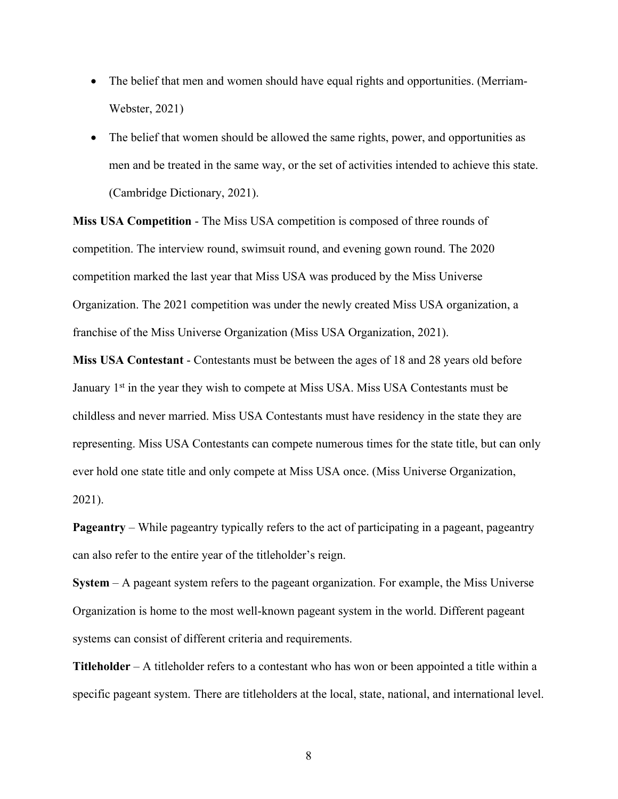- The belief that men and women should have equal rights and opportunities. (Merriam-Webster, 2021)
- The belief that women should be allowed the same rights, power, and opportunities as men and be treated in the same way, or the set of activities intended to achieve this state. (Cambridge Dictionary, 2021).

**Miss USA Competition** - The Miss USA competition is composed of three rounds of competition. The interview round, swimsuit round, and evening gown round. The 2020 competition marked the last year that Miss USA was produced by the Miss Universe Organization. The 2021 competition was under the newly created Miss USA organization, a franchise of the Miss Universe Organization (Miss USA Organization, 2021).

**Miss USA Contestant** - Contestants must be between the ages of 18 and 28 years old before January 1<sup>st</sup> in the year they wish to compete at Miss USA. Miss USA Contestants must be childless and never married. Miss USA Contestants must have residency in the state they are representing. Miss USA Contestants can compete numerous times for the state title, but can only ever hold one state title and only compete at Miss USA once. (Miss Universe Organization, 2021).

**Pageantry** – While pageantry typically refers to the act of participating in a pageant, pageantry can also refer to the entire year of the titleholder's reign.

**System** – A pageant system refers to the pageant organization. For example, the Miss Universe Organization is home to the most well-known pageant system in the world. Different pageant systems can consist of different criteria and requirements.

**Titleholder** – A titleholder refers to a contestant who has won or been appointed a title within a specific pageant system. There are titleholders at the local, state, national, and international level.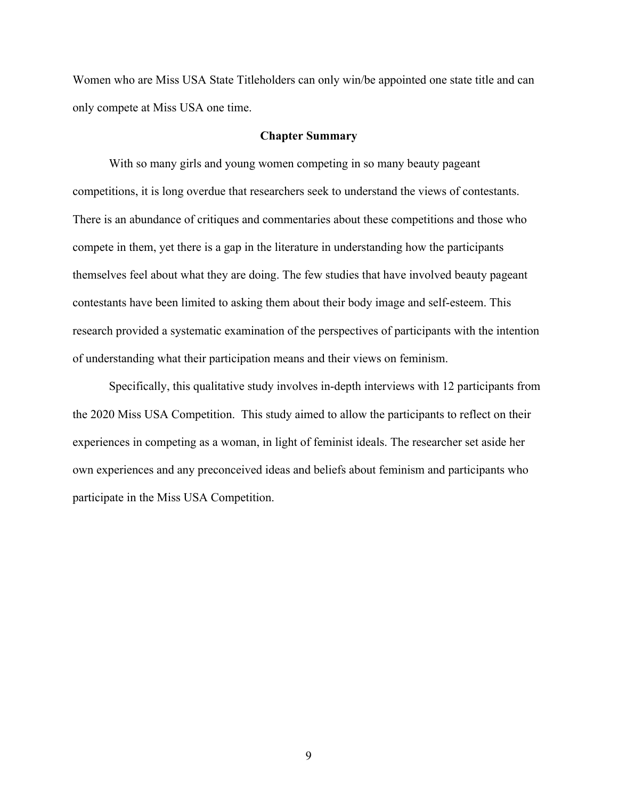Women who are Miss USA State Titleholders can only win/be appointed one state title and can only compete at Miss USA one time.

#### **Chapter Summary**

With so many girls and young women competing in so many beauty pageant competitions, it is long overdue that researchers seek to understand the views of contestants. There is an abundance of critiques and commentaries about these competitions and those who compete in them, yet there is a gap in the literature in understanding how the participants themselves feel about what they are doing. The few studies that have involved beauty pageant contestants have been limited to asking them about their body image and self-esteem. This research provided a systematic examination of the perspectives of participants with the intention of understanding what their participation means and their views on feminism.

Specifically, this qualitative study involves in-depth interviews with 12 participants from the 2020 Miss USA Competition. This study aimed to allow the participants to reflect on their experiences in competing as a woman, in light of feminist ideals. The researcher set aside her own experiences and any preconceived ideas and beliefs about feminism and participants who participate in the Miss USA Competition.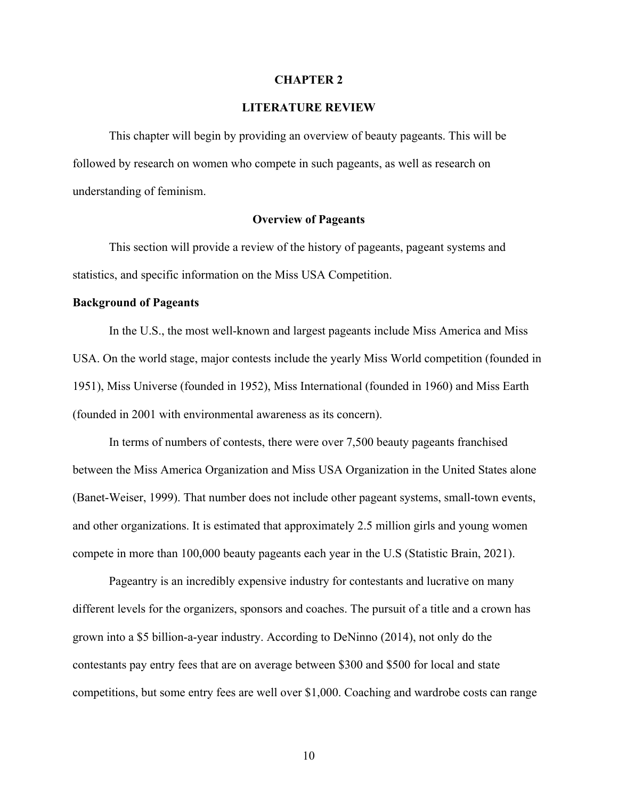#### **CHAPTER 2**

# **LITERATURE REVIEW**

This chapter will begin by providing an overview of beauty pageants. This will be followed by research on women who compete in such pageants, as well as research on understanding of feminism.

#### **Overview of Pageants**

This section will provide a review of the history of pageants, pageant systems and statistics, and specific information on the Miss USA Competition.

#### **Background of Pageants**

In the U.S., the most well-known and largest pageants include Miss America and Miss USA. On the world stage, major contests include the yearly Miss World competition (founded in 1951), Miss Universe (founded in 1952), Miss International (founded in 1960) and Miss Earth (founded in 2001 with environmental awareness as its concern).

In terms of numbers of contests, there were over 7,500 beauty pageants franchised between the Miss America Organization and Miss USA Organization in the United States alone (Banet-Weiser, 1999). That number does not include other pageant systems, small-town events, and other organizations. It is estimated that approximately 2.5 million girls and young women compete in more than 100,000 beauty pageants each year in the U.S (Statistic Brain, 2021).

Pageantry is an incredibly expensive industry for contestants and lucrative on many different levels for the organizers, sponsors and coaches. The pursuit of a title and a crown has grown into a \$5 billion-a-year industry. According to DeNinno (2014), not only do the contestants pay entry fees that are on average between \$300 and \$500 for local and state competitions, but some entry fees are well over \$1,000. Coaching and wardrobe costs can range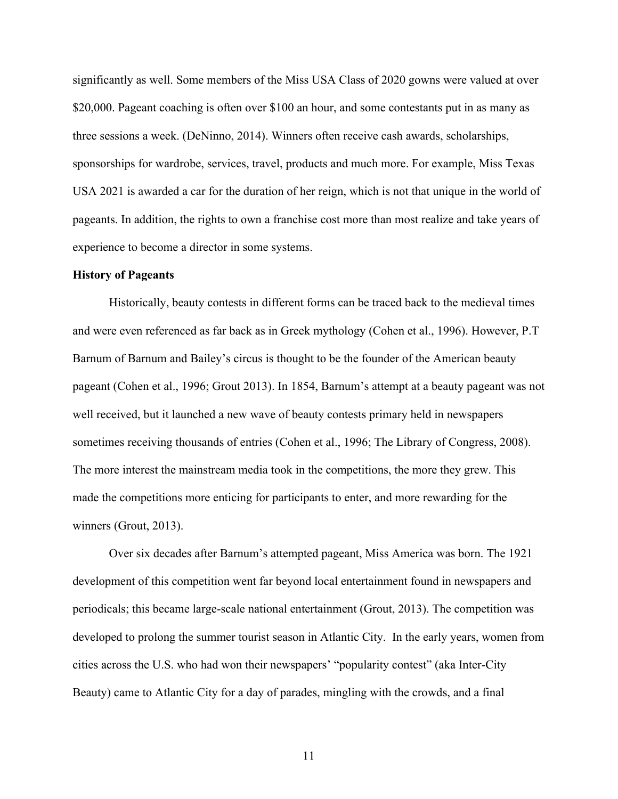significantly as well. Some members of the Miss USA Class of 2020 gowns were valued at over \$20,000. Pageant coaching is often over \$100 an hour, and some contestants put in as many as three sessions a week. (DeNinno, 2014). Winners often receive cash awards, scholarships, sponsorships for wardrobe, services, travel, products and much more. For example, Miss Texas USA 2021 is awarded a car for the duration of her reign, which is not that unique in the world of pageants. In addition, the rights to own a franchise cost more than most realize and take years of experience to become a director in some systems.

#### **History of Pageants**

Historically, beauty contests in different forms can be traced back to the medieval times and were even referenced as far back as in Greek mythology (Cohen et al., 1996). However, P.T Barnum of Barnum and Bailey's circus is thought to be the founder of the American beauty pageant (Cohen et al., 1996; Grout 2013). In 1854, Barnum's attempt at a beauty pageant was not well received, but it launched a new wave of beauty contests primary held in newspapers sometimes receiving thousands of entries (Cohen et al., 1996; The Library of Congress, 2008). The more interest the mainstream media took in the competitions, the more they grew. This made the competitions more enticing for participants to enter, and more rewarding for the winners (Grout, 2013).

Over six decades after Barnum's attempted pageant, Miss America was born. The 1921 development of this competition went far beyond local entertainment found in newspapers and periodicals; this became large-scale national entertainment (Grout, 2013). The competition was developed to prolong the summer tourist season in Atlantic City. In the early years, women from cities across the U.S. who had won their newspapers' "popularity contest" (aka Inter-City Beauty) came to Atlantic City for a day of parades, mingling with the crowds, and a final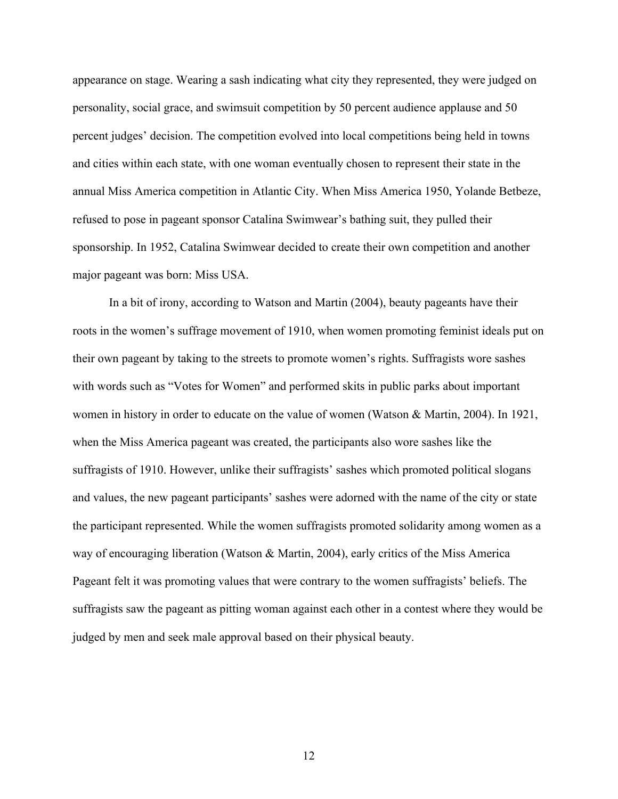appearance on stage. Wearing a sash indicating what city they represented, they were judged on personality, social grace, and swimsuit competition by 50 percent audience applause and 50 percent judges' decision. The competition evolved into local competitions being held in towns and cities within each state, with one woman eventually chosen to represent their state in the annual Miss America competition in Atlantic City. When Miss America 1950, Yolande Betbeze, refused to pose in pageant sponsor Catalina Swimwear's bathing suit, they pulled their sponsorship. In 1952, Catalina Swimwear decided to create their own competition and another major pageant was born: Miss USA.

In a bit of irony, according to Watson and Martin (2004), beauty pageants have their roots in the women's suffrage movement of 1910, when women promoting feminist ideals put on their own pageant by taking to the streets to promote women's rights. Suffragists wore sashes with words such as "Votes for Women" and performed skits in public parks about important women in history in order to educate on the value of women (Watson & Martin, 2004). In 1921, when the Miss America pageant was created, the participants also wore sashes like the suffragists of 1910. However, unlike their suffragists' sashes which promoted political slogans and values, the new pageant participants' sashes were adorned with the name of the city or state the participant represented. While the women suffragists promoted solidarity among women as a way of encouraging liberation (Watson & Martin, 2004), early critics of the Miss America Pageant felt it was promoting values that were contrary to the women suffragists' beliefs. The suffragists saw the pageant as pitting woman against each other in a contest where they would be judged by men and seek male approval based on their physical beauty.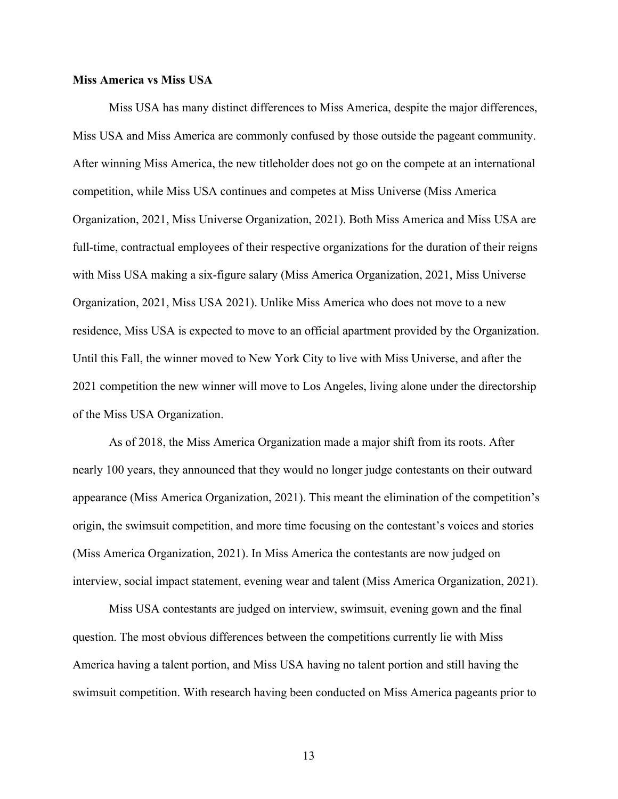#### **Miss America vs Miss USA**

Miss USA has many distinct differences to Miss America, despite the major differences, Miss USA and Miss America are commonly confused by those outside the pageant community. After winning Miss America, the new titleholder does not go on the compete at an international competition, while Miss USA continues and competes at Miss Universe (Miss America Organization, 2021, Miss Universe Organization, 2021). Both Miss America and Miss USA are full-time, contractual employees of their respective organizations for the duration of their reigns with Miss USA making a six-figure salary (Miss America Organization, 2021, Miss Universe Organization, 2021, Miss USA 2021). Unlike Miss America who does not move to a new residence, Miss USA is expected to move to an official apartment provided by the Organization. Until this Fall, the winner moved to New York City to live with Miss Universe, and after the 2021 competition the new winner will move to Los Angeles, living alone under the directorship of the Miss USA Organization.

As of 2018, the Miss America Organization made a major shift from its roots. After nearly 100 years, they announced that they would no longer judge contestants on their outward appearance (Miss America Organization, 2021). This meant the elimination of the competition's origin, the swimsuit competition, and more time focusing on the contestant's voices and stories (Miss America Organization, 2021). In Miss America the contestants are now judged on interview, social impact statement, evening wear and talent (Miss America Organization, 2021).

Miss USA contestants are judged on interview, swimsuit, evening gown and the final question. The most obvious differences between the competitions currently lie with Miss America having a talent portion, and Miss USA having no talent portion and still having the swimsuit competition. With research having been conducted on Miss America pageants prior to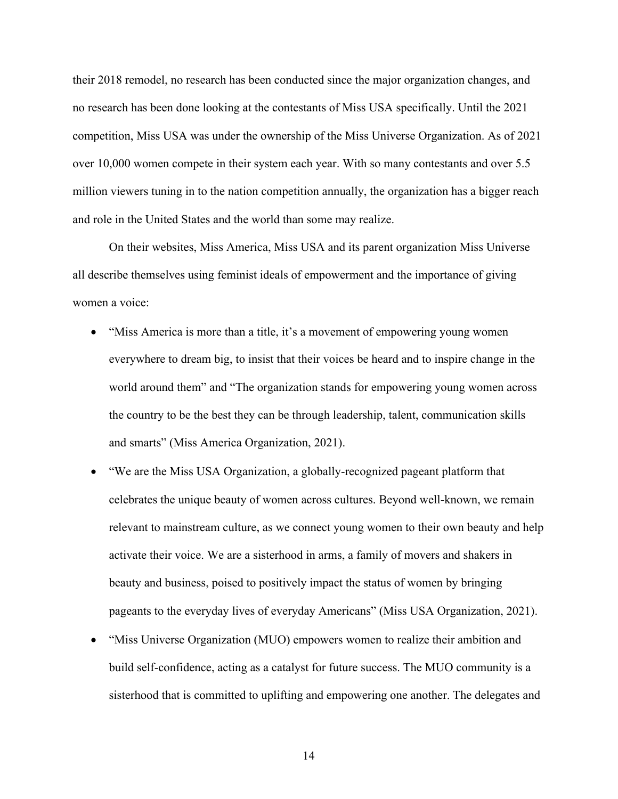their 2018 remodel, no research has been conducted since the major organization changes, and no research has been done looking at the contestants of Miss USA specifically. Until the 2021 competition, Miss USA was under the ownership of the Miss Universe Organization. As of 2021 over 10,000 women compete in their system each year. With so many contestants and over 5.5 million viewers tuning in to the nation competition annually, the organization has a bigger reach and role in the United States and the world than some may realize.

On their websites, Miss America, Miss USA and its parent organization Miss Universe all describe themselves using feminist ideals of empowerment and the importance of giving women a voice:

- "Miss America is more than a title, it's a movement of empowering young women everywhere to dream big, to insist that their voices be heard and to inspire change in the world around them" and "The organization stands for empowering young women across the country to be the best they can be through leadership, talent, communication skills and smarts" (Miss America Organization, 2021).
- "We are the Miss USA Organization, a globally-recognized pageant platform that celebrates the unique beauty of women across cultures. Beyond well-known, we remain relevant to mainstream culture, as we connect young women to their own beauty and help activate their voice. We are a sisterhood in arms, a family of movers and shakers in beauty and business, poised to positively impact the status of women by bringing pageants to the everyday lives of everyday Americans" (Miss USA Organization, 2021).
- "Miss Universe Organization (MUO) empowers women to realize their ambition and build self-confidence, acting as a catalyst for future success. The MUO community is a sisterhood that is committed to uplifting and empowering one another. The delegates and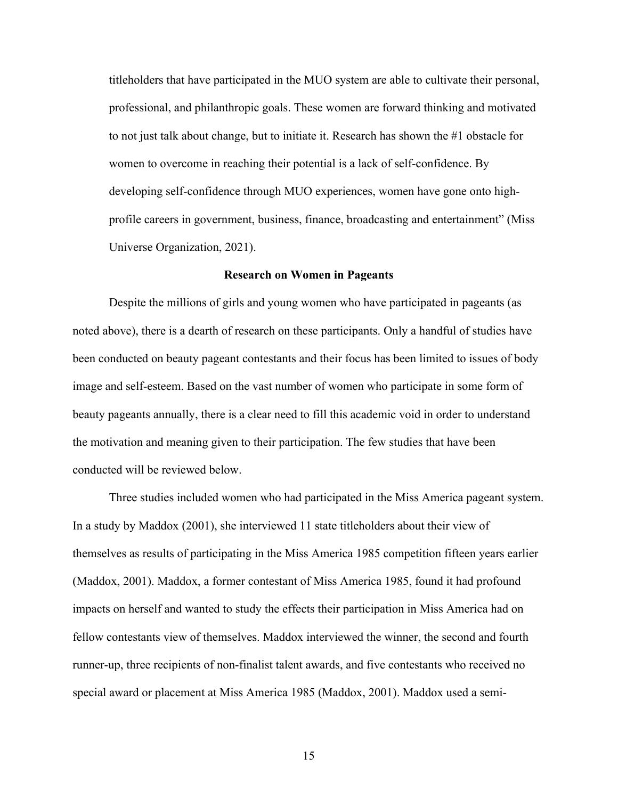titleholders that have participated in the MUO system are able to cultivate their personal, professional, and philanthropic goals. These women are forward thinking and motivated to not just talk about change, but to initiate it. Research has shown the #1 obstacle for women to overcome in reaching their potential is a lack of self-confidence. By developing self-confidence through MUO experiences, women have gone onto highprofile careers in government, business, finance, broadcasting and entertainment" (Miss Universe Organization, 2021).

#### **Research on Women in Pageants**

Despite the millions of girls and young women who have participated in pageants (as noted above), there is a dearth of research on these participants. Only a handful of studies have been conducted on beauty pageant contestants and their focus has been limited to issues of body image and self-esteem. Based on the vast number of women who participate in some form of beauty pageants annually, there is a clear need to fill this academic void in order to understand the motivation and meaning given to their participation. The few studies that have been conducted will be reviewed below.

Three studies included women who had participated in the Miss America pageant system. In a study by Maddox (2001), she interviewed 11 state titleholders about their view of themselves as results of participating in the Miss America 1985 competition fifteen years earlier (Maddox, 2001). Maddox, a former contestant of Miss America 1985, found it had profound impacts on herself and wanted to study the effects their participation in Miss America had on fellow contestants view of themselves. Maddox interviewed the winner, the second and fourth runner-up, three recipients of non-finalist talent awards, and five contestants who received no special award or placement at Miss America 1985 (Maddox, 2001). Maddox used a semi-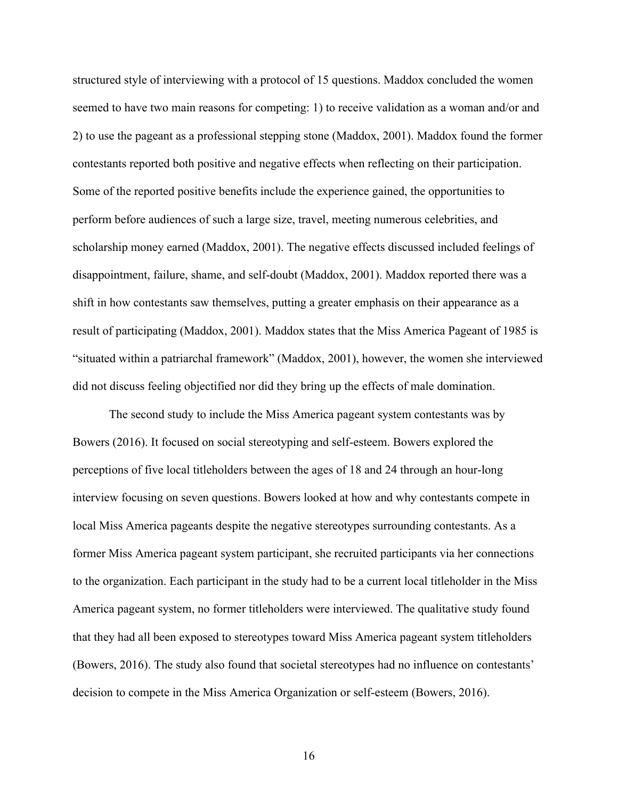structured style of interviewing with a protocol of 15 questions. Maddox concluded the women seemed to have two main reasons for competing: 1) to receive validation as a woman and/or and 2) to use the pageant as a professional stepping stone (Maddox, 2001). Maddox found the former contestants reported both positive and negative effects when reflecting on their participation. Some of the reported positive benefits include the experience gained, the opportunities to perform before audiences of such a large size, travel, meeting numerous celebrities, and scholarship money earned (Maddox, 2001). The negative effects discussed included feelings of disappointment, failure, shame, and self-doubt (Maddox, 2001). Maddox reported there was a shift in how contestants saw themselves, putting a greater emphasis on their appearance as a result of participating (Maddox, 2001). Maddox states that the Miss America Pageant of 1985 is "situated within a patriarchal framework" (Maddox, 2001), however, the women she interviewed did not discuss feeling objectified nor did they bring up the effects of male domination.

The second study to include the Miss America pageant system contestants was by Bowers (2016). It focused on social stereotyping and self-esteem. Bowers explored the perceptions of five local titleholders between the ages of 18 and 24 through an hour-long interview focusing on seven questions. Bowers looked at how and why contestants compete in local Miss America pageants despite the negative stereotypes surrounding contestants. As a former Miss America pageant system participant, she recruited participants via her connections to the organization. Each participant in the study had to be a current local titleholder in the Miss America pageant system, no former titleholders were interviewed. The qualitative study found that they had all been exposed to stereotypes toward Miss America pageant system titleholders (Bowers, 2016). The study also found that societal stereotypes had no influence on contestants' decision to compete in the Miss America Organization or self-esteem (Bowers, 2016).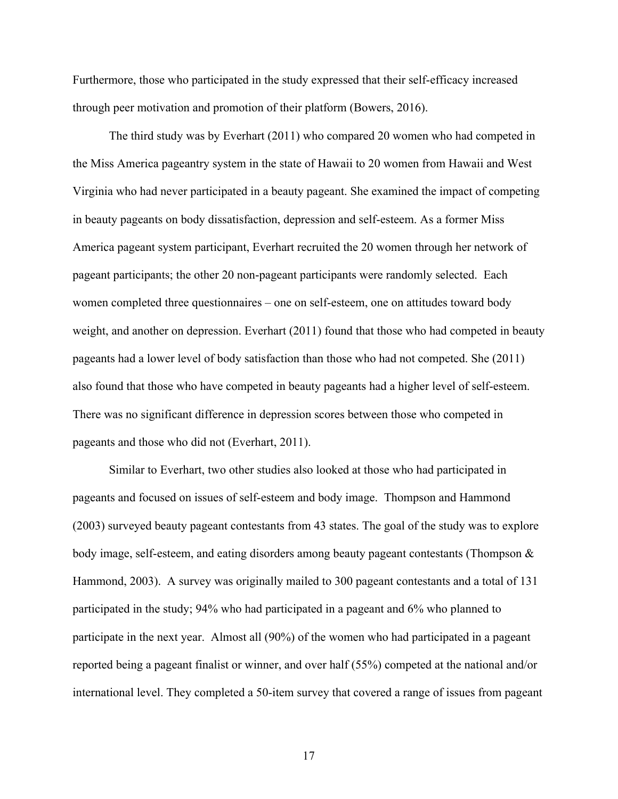Furthermore, those who participated in the study expressed that their self-efficacy increased through peer motivation and promotion of their platform (Bowers, 2016).

The third study was by Everhart (2011) who compared 20 women who had competed in the Miss America pageantry system in the state of Hawaii to 20 women from Hawaii and West Virginia who had never participated in a beauty pageant. She examined the impact of competing in beauty pageants on body dissatisfaction, depression and self-esteem. As a former Miss America pageant system participant, Everhart recruited the 20 women through her network of pageant participants; the other 20 non-pageant participants were randomly selected. Each women completed three questionnaires – one on self-esteem, one on attitudes toward body weight, and another on depression. Everhart (2011) found that those who had competed in beauty pageants had a lower level of body satisfaction than those who had not competed. She (2011) also found that those who have competed in beauty pageants had a higher level of self-esteem. There was no significant difference in depression scores between those who competed in pageants and those who did not (Everhart, 2011).

Similar to Everhart, two other studies also looked at those who had participated in pageants and focused on issues of self-esteem and body image. Thompson and Hammond (2003) surveyed beauty pageant contestants from 43 states. The goal of the study was to explore body image, self-esteem, and eating disorders among beauty pageant contestants (Thompson & Hammond, 2003). A survey was originally mailed to 300 pageant contestants and a total of 131 participated in the study; 94% who had participated in a pageant and 6% who planned to participate in the next year. Almost all (90%) of the women who had participated in a pageant reported being a pageant finalist or winner, and over half (55%) competed at the national and/or international level. They completed a 50-item survey that covered a range of issues from pageant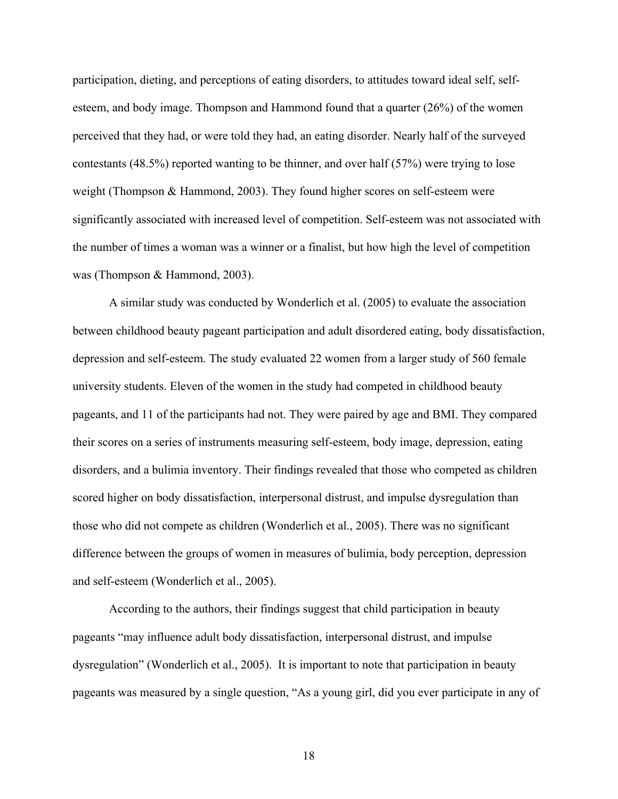participation, dieting, and perceptions of eating disorders, to attitudes toward ideal self, selfesteem, and body image. Thompson and Hammond found that a quarter (26%) of the women perceived that they had, or were told they had, an eating disorder. Nearly half of the surveyed contestants (48.5%) reported wanting to be thinner, and over half (57%) were trying to lose weight (Thompson & Hammond, 2003). They found higher scores on self-esteem were significantly associated with increased level of competition. Self-esteem was not associated with the number of times a woman was a winner or a finalist, but how high the level of competition was (Thompson & Hammond, 2003).

A similar study was conducted by Wonderlich et al. (2005) to evaluate the association between childhood beauty pageant participation and adult disordered eating, body dissatisfaction, depression and self-esteem. The study evaluated 22 women from a larger study of 560 female university students. Eleven of the women in the study had competed in childhood beauty pageants, and 11 of the participants had not. They were paired by age and BMI. They compared their scores on a series of instruments measuring self-esteem, body image, depression, eating disorders, and a bulimia inventory. Their findings revealed that those who competed as children scored higher on body dissatisfaction, interpersonal distrust, and impulse dysregulation than those who did not compete as children (Wonderlich et al., 2005). There was no significant difference between the groups of women in measures of bulimia, body perception, depression and self-esteem (Wonderlich et al., 2005).

According to the authors, their findings suggest that child participation in beauty pageants "may influence adult body dissatisfaction, interpersonal distrust, and impulse dysregulation" (Wonderlich et al., 2005). It is important to note that participation in beauty pageants was measured by a single question, "As a young girl, did you ever participate in any of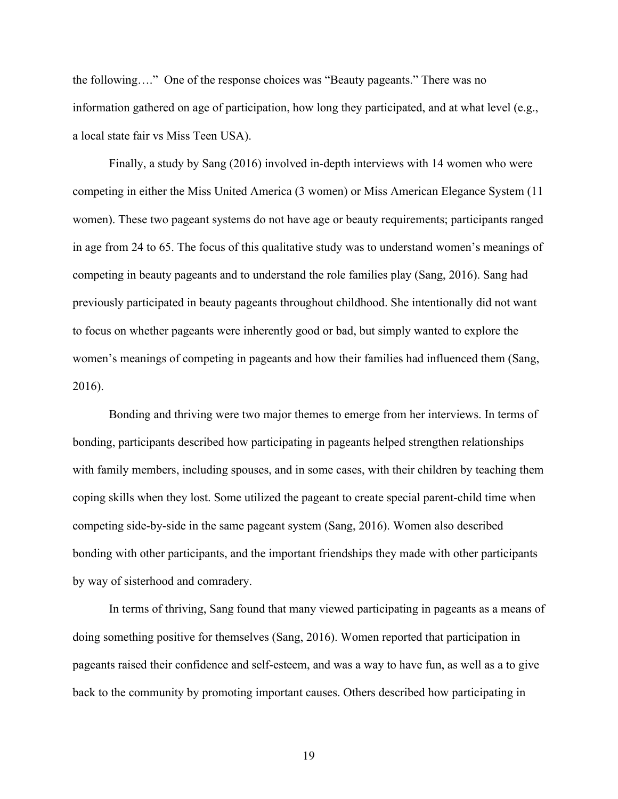the following…." One of the response choices was "Beauty pageants." There was no information gathered on age of participation, how long they participated, and at what level (e.g., a local state fair vs Miss Teen USA).

Finally, a study by Sang (2016) involved in-depth interviews with 14 women who were competing in either the Miss United America (3 women) or Miss American Elegance System (11 women). These two pageant systems do not have age or beauty requirements; participants ranged in age from 24 to 65. The focus of this qualitative study was to understand women's meanings of competing in beauty pageants and to understand the role families play (Sang, 2016). Sang had previously participated in beauty pageants throughout childhood. She intentionally did not want to focus on whether pageants were inherently good or bad, but simply wanted to explore the women's meanings of competing in pageants and how their families had influenced them (Sang, 2016).

Bonding and thriving were two major themes to emerge from her interviews. In terms of bonding, participants described how participating in pageants helped strengthen relationships with family members, including spouses, and in some cases, with their children by teaching them coping skills when they lost. Some utilized the pageant to create special parent-child time when competing side-by-side in the same pageant system (Sang, 2016). Women also described bonding with other participants, and the important friendships they made with other participants by way of sisterhood and comradery.

In terms of thriving, Sang found that many viewed participating in pageants as a means of doing something positive for themselves (Sang, 2016). Women reported that participation in pageants raised their confidence and self-esteem, and was a way to have fun, as well as a to give back to the community by promoting important causes. Others described how participating in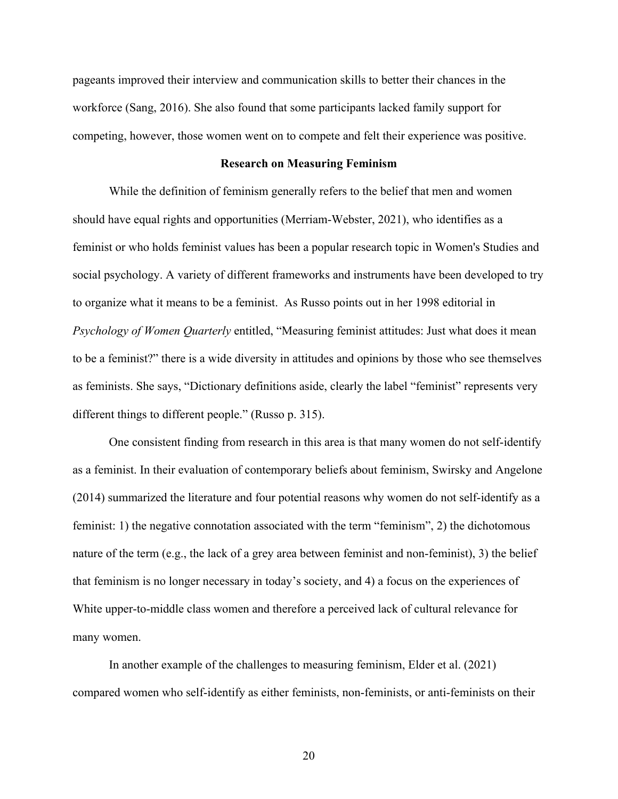pageants improved their interview and communication skills to better their chances in the workforce (Sang, 2016). She also found that some participants lacked family support for competing, however, those women went on to compete and felt their experience was positive.

#### **Research on Measuring Feminism**

While the definition of feminism generally refers to the belief that men and women should have equal rights and opportunities (Merriam-Webster, 2021), who identifies as a feminist or who holds feminist values has been a popular research topic in Women's Studies and social psychology. A variety of different frameworks and instruments have been developed to try to organize what it means to be a feminist. As Russo points out in her 1998 editorial in *Psychology of Women Quarterly* entitled, "Measuring feminist attitudes: Just what does it mean to be a feminist?" there is a wide diversity in attitudes and opinions by those who see themselves as feminists. She says, "Dictionary definitions aside, clearly the label "feminist" represents very different things to different people." (Russo p. 315).

One consistent finding from research in this area is that many women do not self-identify as a feminist. In their evaluation of contemporary beliefs about feminism, Swirsky and Angelone (2014) summarized the literature and four potential reasons why women do not self-identify as a feminist: 1) the negative connotation associated with the term "feminism", 2) the dichotomous nature of the term (e.g., the lack of a grey area between feminist and non-feminist), 3) the belief that feminism is no longer necessary in today's society, and 4) a focus on the experiences of White upper-to-middle class women and therefore a perceived lack of cultural relevance for many women.

In another example of the challenges to measuring feminism, Elder et al. (2021) compared women who self-identify as either feminists, non-feminists, or anti-feminists on their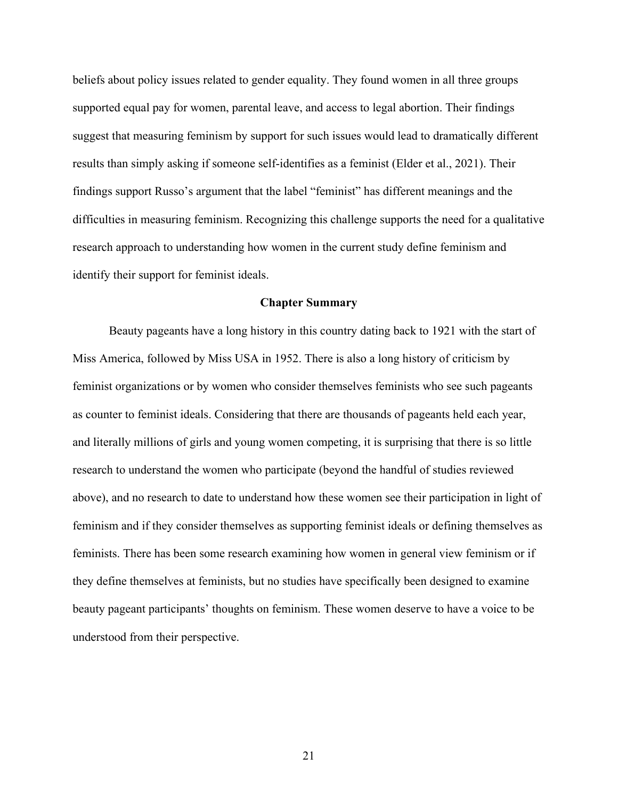beliefs about policy issues related to gender equality. They found women in all three groups supported equal pay for women, parental leave, and access to legal abortion. Their findings suggest that measuring feminism by support for such issues would lead to dramatically different results than simply asking if someone self-identifies as a feminist (Elder et al., 2021). Their findings support Russo's argument that the label "feminist" has different meanings and the difficulties in measuring feminism. Recognizing this challenge supports the need for a qualitative research approach to understanding how women in the current study define feminism and identify their support for feminist ideals.

#### **Chapter Summary**

Beauty pageants have a long history in this country dating back to 1921 with the start of Miss America, followed by Miss USA in 1952. There is also a long history of criticism by feminist organizations or by women who consider themselves feminists who see such pageants as counter to feminist ideals. Considering that there are thousands of pageants held each year, and literally millions of girls and young women competing, it is surprising that there is so little research to understand the women who participate (beyond the handful of studies reviewed above), and no research to date to understand how these women see their participation in light of feminism and if they consider themselves as supporting feminist ideals or defining themselves as feminists. There has been some research examining how women in general view feminism or if they define themselves at feminists, but no studies have specifically been designed to examine beauty pageant participants' thoughts on feminism. These women deserve to have a voice to be understood from their perspective.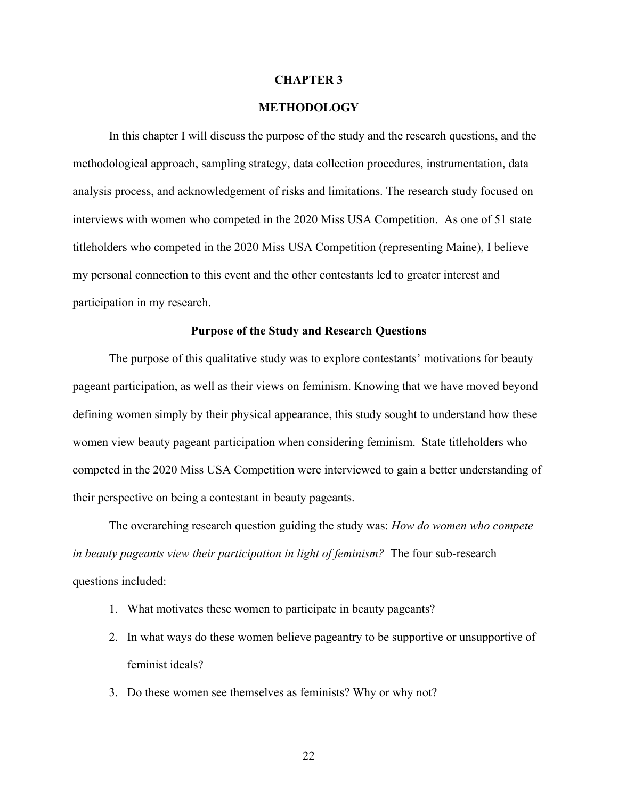#### **CHAPTER 3**

## **METHODOLOGY**

In this chapter I will discuss the purpose of the study and the research questions, and the methodological approach, sampling strategy, data collection procedures, instrumentation, data analysis process, and acknowledgement of risks and limitations. The research study focused on interviews with women who competed in the 2020 Miss USA Competition. As one of 51 state titleholders who competed in the 2020 Miss USA Competition (representing Maine), I believe my personal connection to this event and the other contestants led to greater interest and participation in my research.

#### **Purpose of the Study and Research Questions**

The purpose of this qualitative study was to explore contestants' motivations for beauty pageant participation, as well as their views on feminism. Knowing that we have moved beyond defining women simply by their physical appearance, this study sought to understand how these women view beauty pageant participation when considering feminism. State titleholders who competed in the 2020 Miss USA Competition were interviewed to gain a better understanding of their perspective on being a contestant in beauty pageants.

The overarching research question guiding the study was: *How do women who compete in beauty pageants view their participation in light of feminism?* The four sub-research questions included:

- 1. What motivates these women to participate in beauty pageants?
- 2. In what ways do these women believe pageantry to be supportive or unsupportive of feminist ideals?
- 3. Do these women see themselves as feminists? Why or why not?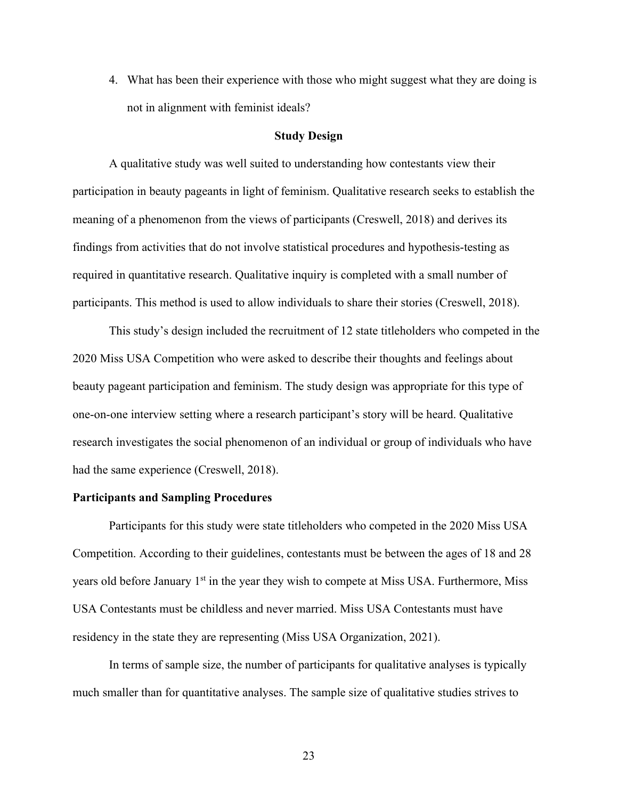4. What has been their experience with those who might suggest what they are doing is not in alignment with feminist ideals?

#### **Study Design**

A qualitative study was well suited to understanding how contestants view their participation in beauty pageants in light of feminism. Qualitative research seeks to establish the meaning of a phenomenon from the views of participants (Creswell, 2018) and derives its findings from activities that do not involve statistical procedures and hypothesis-testing as required in quantitative research. Qualitative inquiry is completed with a small number of participants. This method is used to allow individuals to share their stories (Creswell, 2018).

This study's design included the recruitment of 12 state titleholders who competed in the 2020 Miss USA Competition who were asked to describe their thoughts and feelings about beauty pageant participation and feminism. The study design was appropriate for this type of one-on-one interview setting where a research participant's story will be heard. Qualitative research investigates the social phenomenon of an individual or group of individuals who have had the same experience (Creswell, 2018).

#### **Participants and Sampling Procedures**

Participants for this study were state titleholders who competed in the 2020 Miss USA Competition. According to their guidelines, contestants must be between the ages of 18 and 28 years old before January  $1<sup>st</sup>$  in the year they wish to compete at Miss USA. Furthermore, Miss USA Contestants must be childless and never married. Miss USA Contestants must have residency in the state they are representing (Miss USA Organization, 2021).

In terms of sample size, the number of participants for qualitative analyses is typically much smaller than for quantitative analyses. The sample size of qualitative studies strives to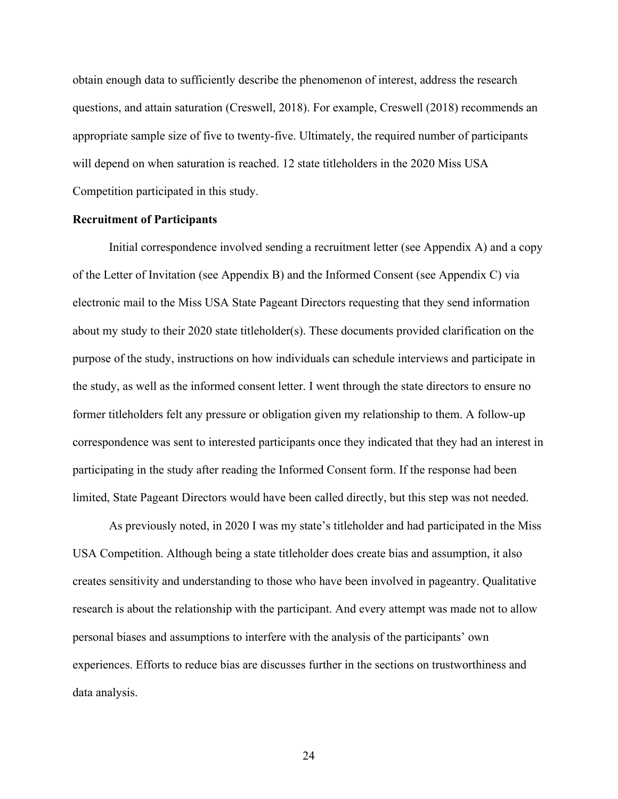obtain enough data to sufficiently describe the phenomenon of interest, address the research questions, and attain saturation (Creswell, 2018). For example, Creswell (2018) recommends an appropriate sample size of five to twenty-five. Ultimately, the required number of participants will depend on when saturation is reached. 12 state titleholders in the 2020 Miss USA Competition participated in this study.

#### **Recruitment of Participants**

Initial correspondence involved sending a recruitment letter (see Appendix A) and a copy of the Letter of Invitation (see Appendix B) and the Informed Consent (see Appendix C) via electronic mail to the Miss USA State Pageant Directors requesting that they send information about my study to their 2020 state titleholder(s). These documents provided clarification on the purpose of the study, instructions on how individuals can schedule interviews and participate in the study, as well as the informed consent letter. I went through the state directors to ensure no former titleholders felt any pressure or obligation given my relationship to them. A follow-up correspondence was sent to interested participants once they indicated that they had an interest in participating in the study after reading the Informed Consent form. If the response had been limited, State Pageant Directors would have been called directly, but this step was not needed.

As previously noted, in 2020 I was my state's titleholder and had participated in the Miss USA Competition. Although being a state titleholder does create bias and assumption, it also creates sensitivity and understanding to those who have been involved in pageantry. Qualitative research is about the relationship with the participant. And every attempt was made not to allow personal biases and assumptions to interfere with the analysis of the participants' own experiences. Efforts to reduce bias are discusses further in the sections on trustworthiness and data analysis.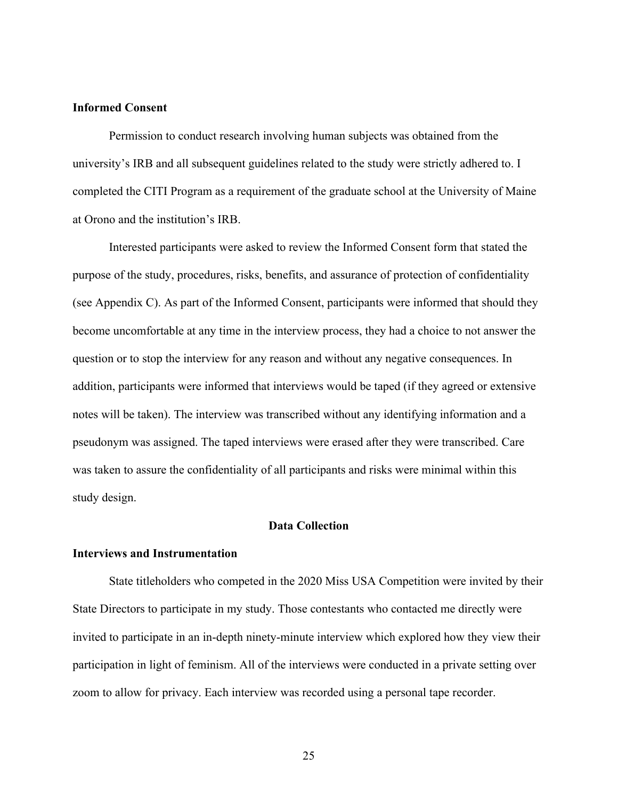### **Informed Consent**

Permission to conduct research involving human subjects was obtained from the university's IRB and all subsequent guidelines related to the study were strictly adhered to. I completed the CITI Program as a requirement of the graduate school at the University of Maine at Orono and the institution's IRB.

Interested participants were asked to review the Informed Consent form that stated the purpose of the study, procedures, risks, benefits, and assurance of protection of confidentiality (see Appendix C). As part of the Informed Consent, participants were informed that should they become uncomfortable at any time in the interview process, they had a choice to not answer the question or to stop the interview for any reason and without any negative consequences. In addition, participants were informed that interviews would be taped (if they agreed or extensive notes will be taken). The interview was transcribed without any identifying information and a pseudonym was assigned. The taped interviews were erased after they were transcribed. Care was taken to assure the confidentiality of all participants and risks were minimal within this study design.

### **Data Collection**

#### **Interviews and Instrumentation**

State titleholders who competed in the 2020 Miss USA Competition were invited by their State Directors to participate in my study. Those contestants who contacted me directly were invited to participate in an in-depth ninety-minute interview which explored how they view their participation in light of feminism. All of the interviews were conducted in a private setting over zoom to allow for privacy. Each interview was recorded using a personal tape recorder.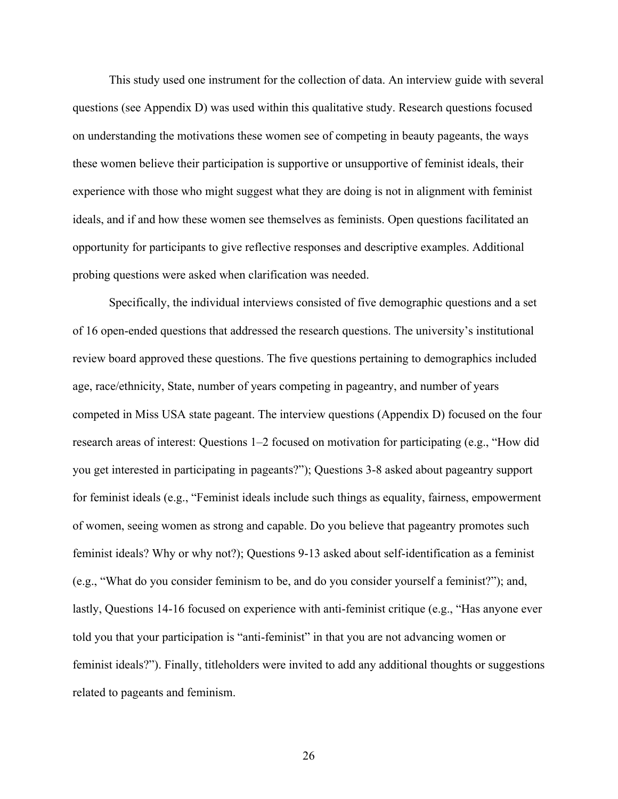This study used one instrument for the collection of data. An interview guide with several questions (see Appendix D) was used within this qualitative study. Research questions focused on understanding the motivations these women see of competing in beauty pageants, the ways these women believe their participation is supportive or unsupportive of feminist ideals, their experience with those who might suggest what they are doing is not in alignment with feminist ideals, and if and how these women see themselves as feminists. Open questions facilitated an opportunity for participants to give reflective responses and descriptive examples. Additional probing questions were asked when clarification was needed.

Specifically, the individual interviews consisted of five demographic questions and a set of 16 open-ended questions that addressed the research questions. The university's institutional review board approved these questions. The five questions pertaining to demographics included age, race/ethnicity, State, number of years competing in pageantry, and number of years competed in Miss USA state pageant. The interview questions (Appendix D) focused on the four research areas of interest: Questions 1–2 focused on motivation for participating (e.g., "How did you get interested in participating in pageants?"); Questions 3-8 asked about pageantry support for feminist ideals (e.g., "Feminist ideals include such things as equality, fairness, empowerment of women, seeing women as strong and capable. Do you believe that pageantry promotes such feminist ideals? Why or why not?); Questions 9-13 asked about self-identification as a feminist (e.g., "What do you consider feminism to be, and do you consider yourself a feminist?"); and, lastly, Questions 14-16 focused on experience with anti-feminist critique (e.g., "Has anyone ever told you that your participation is "anti-feminist" in that you are not advancing women or feminist ideals?"). Finally, titleholders were invited to add any additional thoughts or suggestions related to pageants and feminism.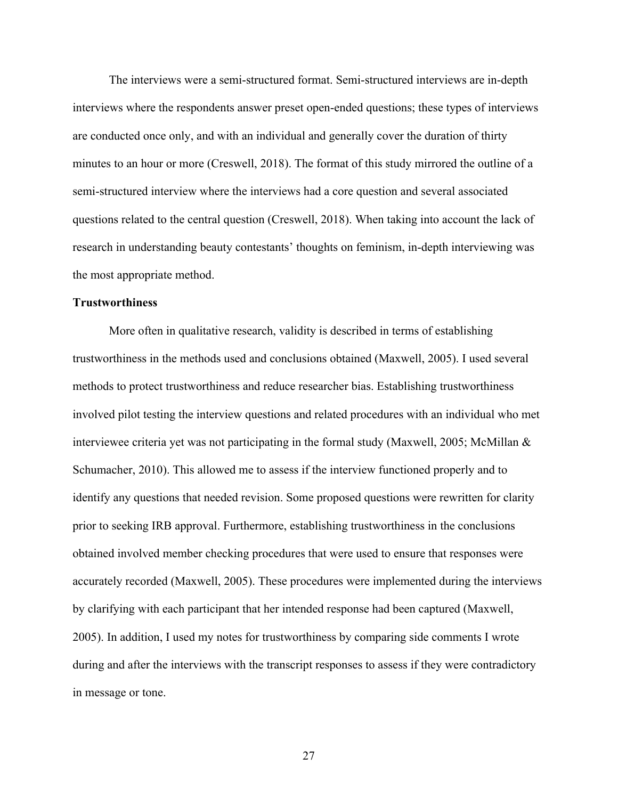The interviews were a semi-structured format. Semi-structured interviews are in-depth interviews where the respondents answer preset open-ended questions; these types of interviews are conducted once only, and with an individual and generally cover the duration of thirty minutes to an hour or more (Creswell, 2018). The format of this study mirrored the outline of a semi-structured interview where the interviews had a core question and several associated questions related to the central question (Creswell, 2018). When taking into account the lack of research in understanding beauty contestants' thoughts on feminism, in-depth interviewing was the most appropriate method.

### **Trustworthiness**

More often in qualitative research, validity is described in terms of establishing trustworthiness in the methods used and conclusions obtained (Maxwell, 2005). I used several methods to protect trustworthiness and reduce researcher bias. Establishing trustworthiness involved pilot testing the interview questions and related procedures with an individual who met interviewee criteria yet was not participating in the formal study (Maxwell, 2005; McMillan  $\&$ Schumacher, 2010). This allowed me to assess if the interview functioned properly and to identify any questions that needed revision. Some proposed questions were rewritten for clarity prior to seeking IRB approval. Furthermore, establishing trustworthiness in the conclusions obtained involved member checking procedures that were used to ensure that responses were accurately recorded (Maxwell, 2005). These procedures were implemented during the interviews by clarifying with each participant that her intended response had been captured (Maxwell, 2005). In addition, I used my notes for trustworthiness by comparing side comments I wrote during and after the interviews with the transcript responses to assess if they were contradictory in message or tone.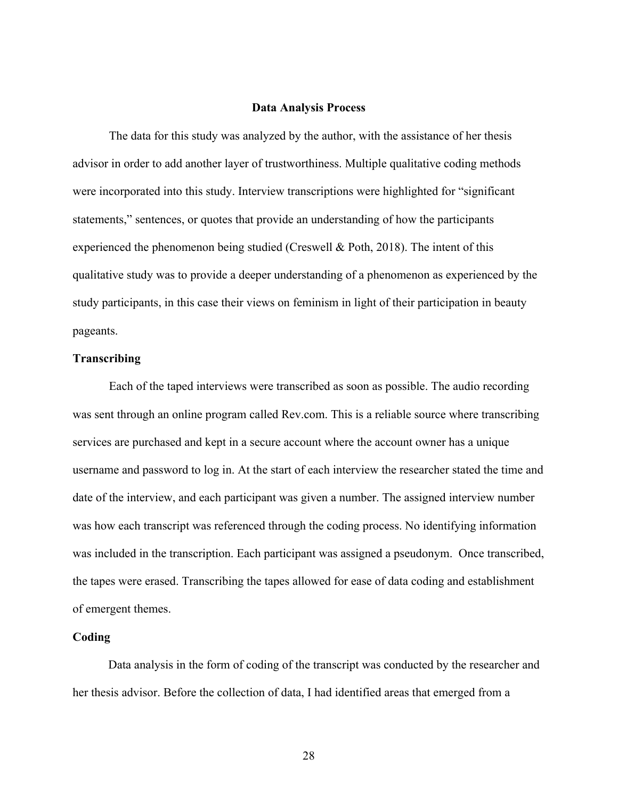### **Data Analysis Process**

The data for this study was analyzed by the author, with the assistance of her thesis advisor in order to add another layer of trustworthiness. Multiple qualitative coding methods were incorporated into this study. Interview transcriptions were highlighted for "significant statements," sentences, or quotes that provide an understanding of how the participants experienced the phenomenon being studied (Creswell & Poth, 2018). The intent of this qualitative study was to provide a deeper understanding of a phenomenon as experienced by the study participants, in this case their views on feminism in light of their participation in beauty pageants.

### **Transcribing**

Each of the taped interviews were transcribed as soon as possible. The audio recording was sent through an online program called Rev.com. This is a reliable source where transcribing services are purchased and kept in a secure account where the account owner has a unique username and password to log in. At the start of each interview the researcher stated the time and date of the interview, and each participant was given a number. The assigned interview number was how each transcript was referenced through the coding process. No identifying information was included in the transcription. Each participant was assigned a pseudonym. Once transcribed, the tapes were erased. Transcribing the tapes allowed for ease of data coding and establishment of emergent themes.

#### **Coding**

Data analysis in the form of coding of the transcript was conducted by the researcher and her thesis advisor. Before the collection of data, I had identified areas that emerged from a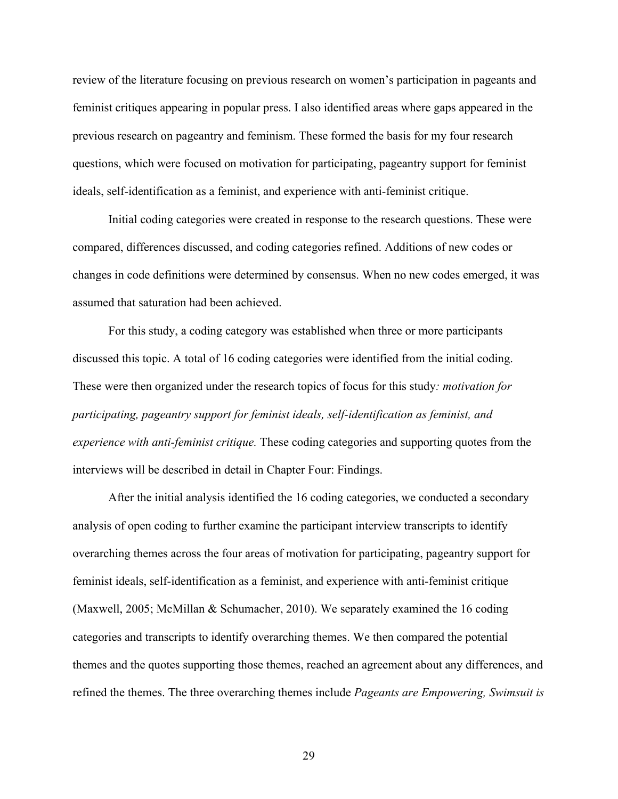review of the literature focusing on previous research on women's participation in pageants and feminist critiques appearing in popular press. I also identified areas where gaps appeared in the previous research on pageantry and feminism. These formed the basis for my four research questions, which were focused on motivation for participating, pageantry support for feminist ideals, self-identification as a feminist, and experience with anti-feminist critique.

Initial coding categories were created in response to the research questions. These were compared, differences discussed, and coding categories refined. Additions of new codes or changes in code definitions were determined by consensus. When no new codes emerged, it was assumed that saturation had been achieved.

For this study, a coding category was established when three or more participants discussed this topic. A total of 16 coding categories were identified from the initial coding. These were then organized under the research topics of focus for this study*: motivation for participating, pageantry support for feminist ideals, self-identification as feminist, and experience with anti-feminist critique.* These coding categories and supporting quotes from the interviews will be described in detail in Chapter Four: Findings.

After the initial analysis identified the 16 coding categories, we conducted a secondary analysis of open coding to further examine the participant interview transcripts to identify overarching themes across the four areas of motivation for participating, pageantry support for feminist ideals, self-identification as a feminist, and experience with anti-feminist critique (Maxwell, 2005; McMillan & Schumacher, 2010). We separately examined the 16 coding categories and transcripts to identify overarching themes. We then compared the potential themes and the quotes supporting those themes, reached an agreement about any differences, and refined the themes. The three overarching themes include *Pageants are Empowering, Swimsuit is*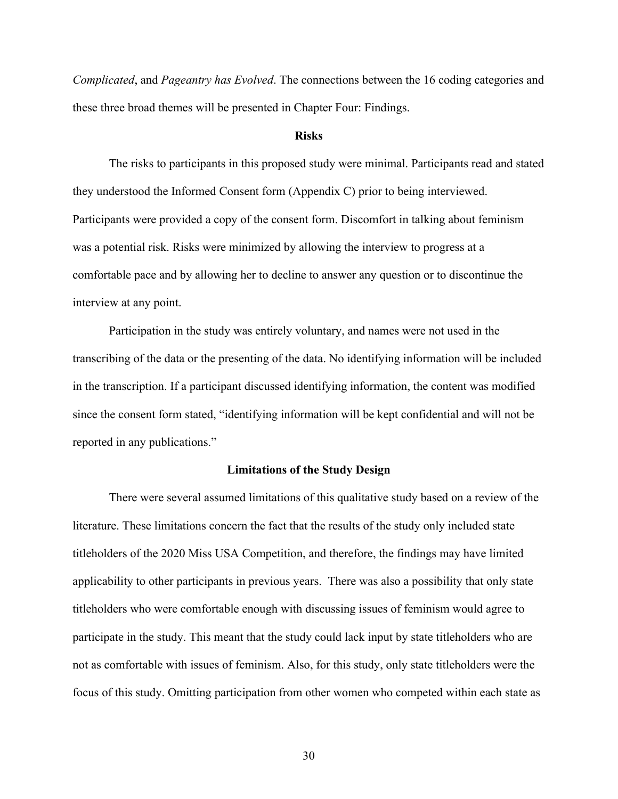*Complicated*, and *Pageantry has Evolved*. The connections between the 16 coding categories and these three broad themes will be presented in Chapter Four: Findings.

#### **Risks**

The risks to participants in this proposed study were minimal. Participants read and stated they understood the Informed Consent form (Appendix C) prior to being interviewed. Participants were provided a copy of the consent form. Discomfort in talking about feminism was a potential risk. Risks were minimized by allowing the interview to progress at a comfortable pace and by allowing her to decline to answer any question or to discontinue the interview at any point.

Participation in the study was entirely voluntary, and names were not used in the transcribing of the data or the presenting of the data. No identifying information will be included in the transcription. If a participant discussed identifying information, the content was modified since the consent form stated, "identifying information will be kept confidential and will not be reported in any publications."

#### **Limitations of the Study Design**

There were several assumed limitations of this qualitative study based on a review of the literature. These limitations concern the fact that the results of the study only included state titleholders of the 2020 Miss USA Competition, and therefore, the findings may have limited applicability to other participants in previous years. There was also a possibility that only state titleholders who were comfortable enough with discussing issues of feminism would agree to participate in the study. This meant that the study could lack input by state titleholders who are not as comfortable with issues of feminism. Also, for this study, only state titleholders were the focus of this study. Omitting participation from other women who competed within each state as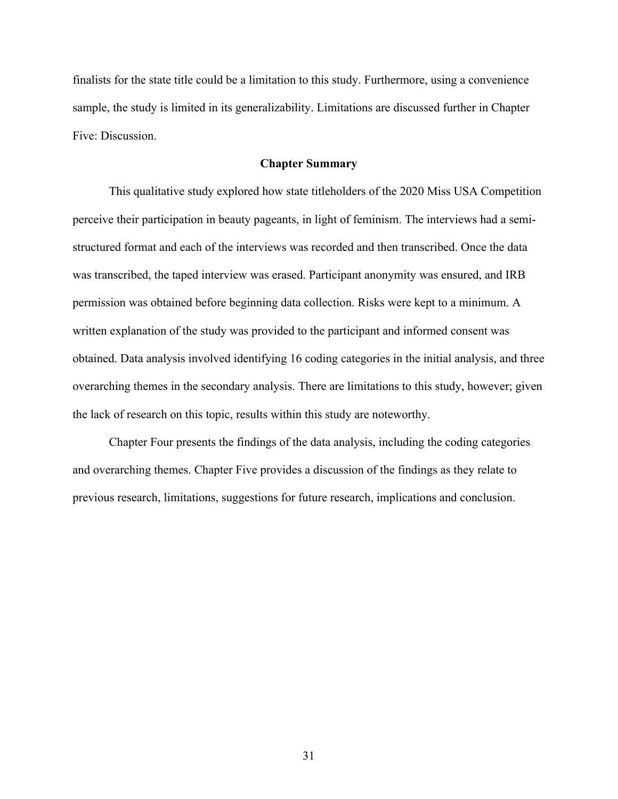finalists for the state title could be a limitation to this study. Furthermore, using a convenience sample, the study is limited in its generalizability. Limitations are discussed further in Chapter Five: Discussion.

## **Chapter Summary**

This qualitative study explored how state titleholders of the 2020 Miss USA Competition perceive their participation in beauty pageants, in light of feminism. The interviews had a semistructured format and each of the interviews was recorded and then transcribed. Once the data was transcribed, the taped interview was erased. Participant anonymity was ensured, and IRB permission was obtained before beginning data collection. Risks were kept to a minimum. A written explanation of the study was provided to the participant and informed consent was obtained. Data analysis involved identifying 16 coding categories in the initial analysis, and three overarching themes in the secondary analysis. There are limitations to this study, however; given the lack of research on this topic, results within this study are noteworthy.

Chapter Four presents the findings of the data analysis, including the coding categories and overarching themes. Chapter Five provides a discussion of the findings as they relate to previous research, limitations, suggestions for future research, implications and conclusion.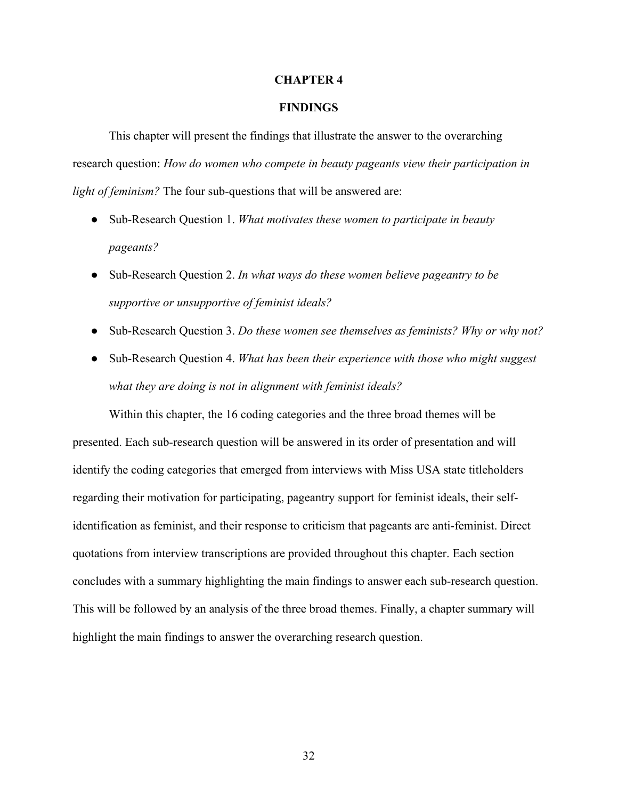#### **CHAPTER 4**

## **FINDINGS**

This chapter will present the findings that illustrate the answer to the overarching research question: *How do women who compete in beauty pageants view their participation in light of feminism?* The four sub-questions that will be answered are:

- Sub-Research Question 1. *What motivates these women to participate in beauty pageants?*
- Sub-Research Question 2. *In what ways do these women believe pageantry to be supportive or unsupportive of feminist ideals?*
- Sub-Research Question 3. *Do these women see themselves as feminists? Why or why not?*
- Sub-Research Question 4. *What has been their experience with those who might suggest what they are doing is not in alignment with feminist ideals?*

Within this chapter, the 16 coding categories and the three broad themes will be presented. Each sub-research question will be answered in its order of presentation and will identify the coding categories that emerged from interviews with Miss USA state titleholders regarding their motivation for participating, pageantry support for feminist ideals, their selfidentification as feminist, and their response to criticism that pageants are anti-feminist. Direct quotations from interview transcriptions are provided throughout this chapter. Each section concludes with a summary highlighting the main findings to answer each sub-research question. This will be followed by an analysis of the three broad themes. Finally, a chapter summary will highlight the main findings to answer the overarching research question.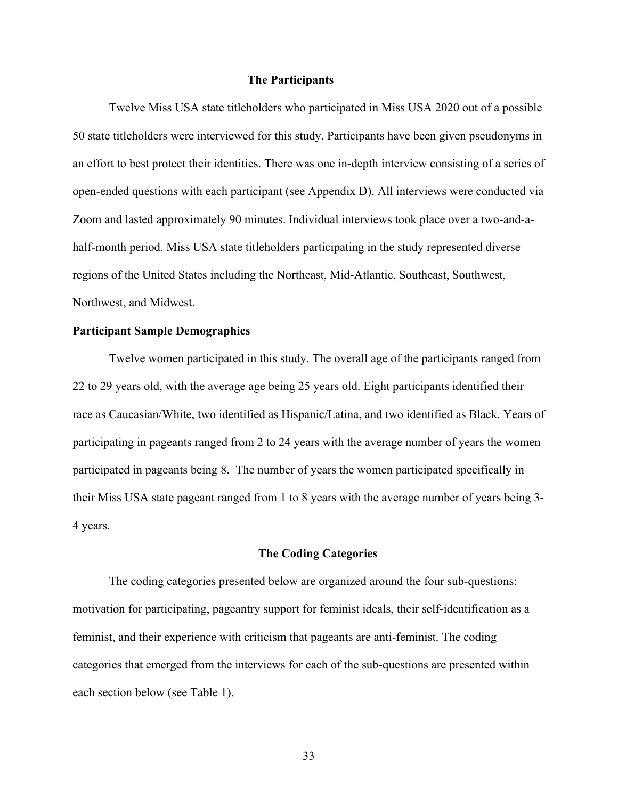#### **The Participants**

Twelve Miss USA state titleholders who participated in Miss USA 2020 out of a possible 50 state titleholders were interviewed for this study. Participants have been given pseudonyms in an effort to best protect their identities. There was one in-depth interview consisting of a series of open-ended questions with each participant (see Appendix D). All interviews were conducted via Zoom and lasted approximately 90 minutes. Individual interviews took place over a two-and-ahalf-month period. Miss USA state titleholders participating in the study represented diverse regions of the United States including the Northeast, Mid-Atlantic, Southeast, Southwest, Northwest, and Midwest.

#### **Participant Sample Demographics**

Twelve women participated in this study. The overall age of the participants ranged from 22 to 29 years old, with the average age being 25 years old. Eight participants identified their race as Caucasian/White, two identified as Hispanic/Latina, and two identified as Black. Years of participating in pageants ranged from 2 to 24 years with the average number of years the women participated in pageants being 8. The number of years the women participated specifically in their Miss USA state pageant ranged from 1 to 8 years with the average number of years being 3- 4 years.

#### **The Coding Categories**

The coding categories presented below are organized around the four sub-questions: motivation for participating, pageantry support for feminist ideals, their self-identification as a feminist, and their experience with criticism that pageants are anti-feminist. The coding categories that emerged from the interviews for each of the sub-questions are presented within each section below (see Table 1).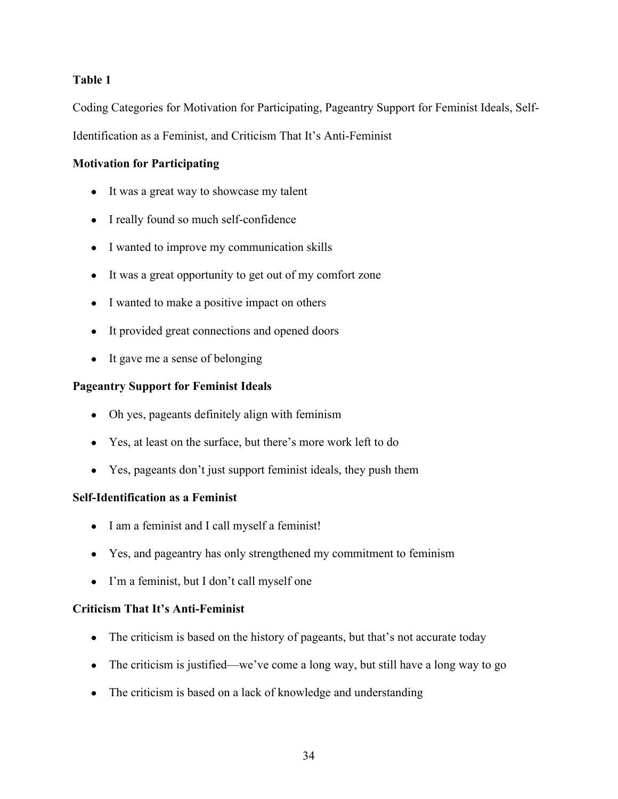# **Table 1**

Coding Categories for Motivation for Participating, Pageantry Support for Feminist Ideals, Self-Identification as a Feminist, and Criticism That It's Anti-Feminist

# **Motivation for Participating**

- It was a great way to showcase my talent
- I really found so much self-confidence
- I wanted to improve my communication skills
- It was a great opportunity to get out of my comfort zone
- I wanted to make a positive impact on others
- It provided great connections and opened doors
- It gave me a sense of belonging

# **Pageantry Support for Feminist Ideals**

- Oh yes, pageants definitely align with feminism
- Yes, at least on the surface, but there's more work left to do
- Yes, pageants don't just support feminist ideals, they push them

# **Self-Identification as a Feminist**

- I am a feminist and I call myself a feminist!
- Yes, and pageantry has only strengthened my commitment to feminism
- I'm a feminist, but I don't call myself one

# **Criticism That It's Anti-Feminist**

- The criticism is based on the history of pageants, but that's not accurate today
- The criticism is justified—we've come a long way, but still have a long way to go
- The criticism is based on a lack of knowledge and understanding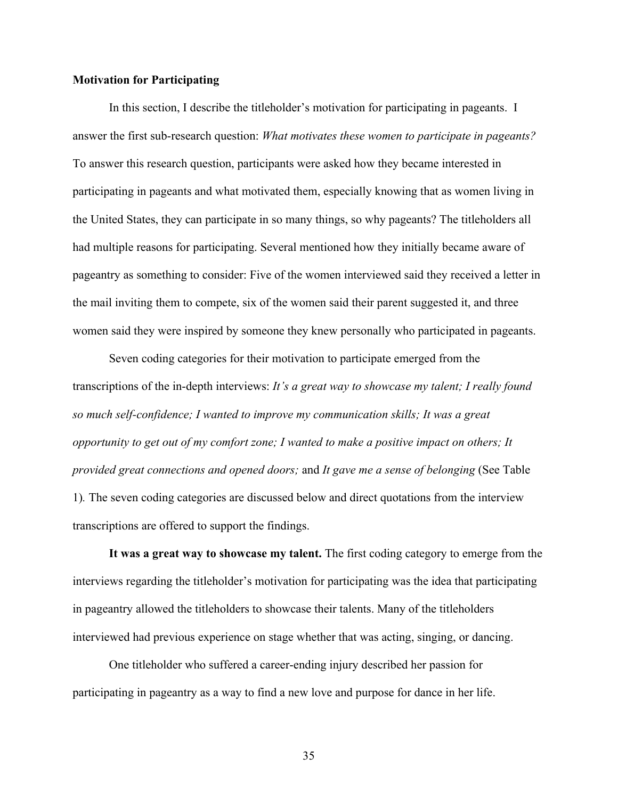## **Motivation for Participating**

In this section, I describe the titleholder's motivation for participating in pageants. I answer the first sub-research question: *What motivates these women to participate in pageants?* To answer this research question, participants were asked how they became interested in participating in pageants and what motivated them, especially knowing that as women living in the United States, they can participate in so many things, so why pageants? The titleholders all had multiple reasons for participating. Several mentioned how they initially became aware of pageantry as something to consider: Five of the women interviewed said they received a letter in the mail inviting them to compete, six of the women said their parent suggested it, and three women said they were inspired by someone they knew personally who participated in pageants.

Seven coding categories for their motivation to participate emerged from the transcriptions of the in-depth interviews: *It's a great way to showcase my talent; I really found so much self-confidence; I wanted to improve my communication skills; It was a great opportunity to get out of my comfort zone; I wanted to make a positive impact on others; It provided great connections and opened doors;* and *It gave me a sense of belonging* (See Table 1)*.* The seven coding categories are discussed below and direct quotations from the interview transcriptions are offered to support the findings.

**It was a great way to showcase my talent.** The first coding category to emerge from the interviews regarding the titleholder's motivation for participating was the idea that participating in pageantry allowed the titleholders to showcase their talents. Many of the titleholders interviewed had previous experience on stage whether that was acting, singing, or dancing.

One titleholder who suffered a career-ending injury described her passion for participating in pageantry as a way to find a new love and purpose for dance in her life.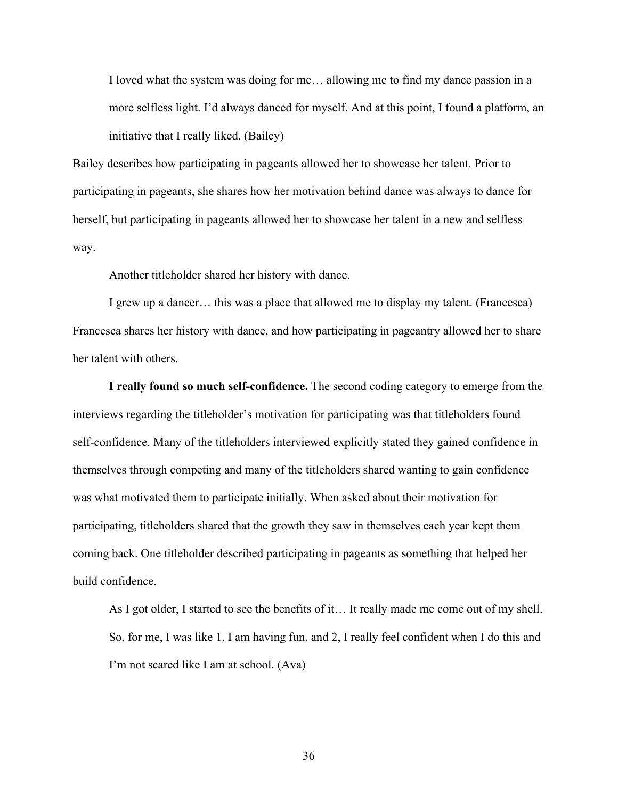I loved what the system was doing for me… allowing me to find my dance passion in a more selfless light. I'd always danced for myself. And at this point, I found a platform, an initiative that I really liked. (Bailey)

Bailey describes how participating in pageants allowed her to showcase her talent*.* Prior to participating in pageants, she shares how her motivation behind dance was always to dance for herself, but participating in pageants allowed her to showcase her talent in a new and selfless way.

Another titleholder shared her history with dance.

I grew up a dancer… this was a place that allowed me to display my talent. (Francesca) Francesca shares her history with dance, and how participating in pageantry allowed her to share her talent with others.

**I really found so much self-confidence.** The second coding category to emerge from the interviews regarding the titleholder's motivation for participating was that titleholders found self-confidence. Many of the titleholders interviewed explicitly stated they gained confidence in themselves through competing and many of the titleholders shared wanting to gain confidence was what motivated them to participate initially. When asked about their motivation for participating, titleholders shared that the growth they saw in themselves each year kept them coming back. One titleholder described participating in pageants as something that helped her build confidence.

As I got older, I started to see the benefits of it… It really made me come out of my shell. So, for me, I was like 1, I am having fun, and 2, I really feel confident when I do this and I'm not scared like I am at school. (Ava)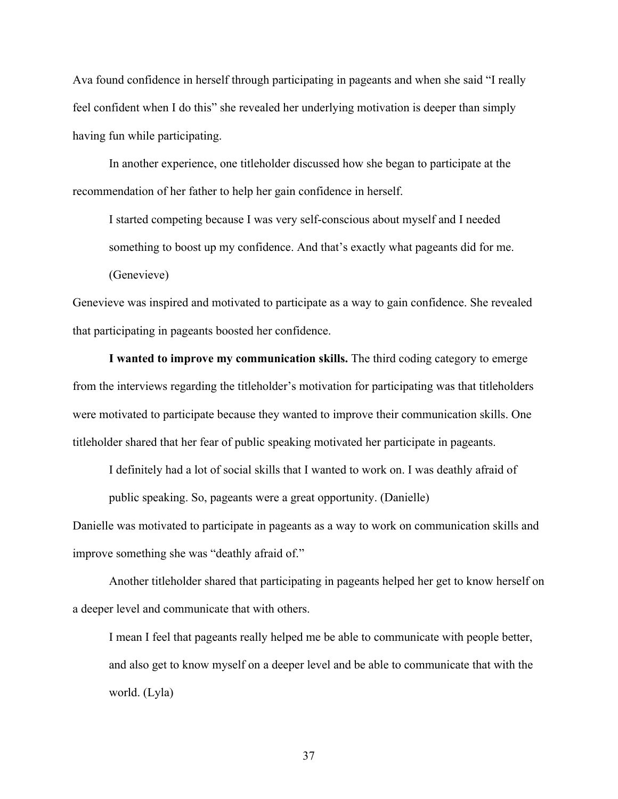Ava found confidence in herself through participating in pageants and when she said "I really feel confident when I do this" she revealed her underlying motivation is deeper than simply having fun while participating.

In another experience, one titleholder discussed how she began to participate at the recommendation of her father to help her gain confidence in herself.

I started competing because I was very self-conscious about myself and I needed something to boost up my confidence. And that's exactly what pageants did for me.

(Genevieve)

Genevieve was inspired and motivated to participate as a way to gain confidence. She revealed that participating in pageants boosted her confidence.

**I wanted to improve my communication skills.** The third coding category to emerge from the interviews regarding the titleholder's motivation for participating was that titleholders were motivated to participate because they wanted to improve their communication skills. One titleholder shared that her fear of public speaking motivated her participate in pageants.

I definitely had a lot of social skills that I wanted to work on. I was deathly afraid of

public speaking. So, pageants were a great opportunity. (Danielle)

Danielle was motivated to participate in pageants as a way to work on communication skills and improve something she was "deathly afraid of."

Another titleholder shared that participating in pageants helped her get to know herself on a deeper level and communicate that with others.

I mean I feel that pageants really helped me be able to communicate with people better, and also get to know myself on a deeper level and be able to communicate that with the world. (Lyla)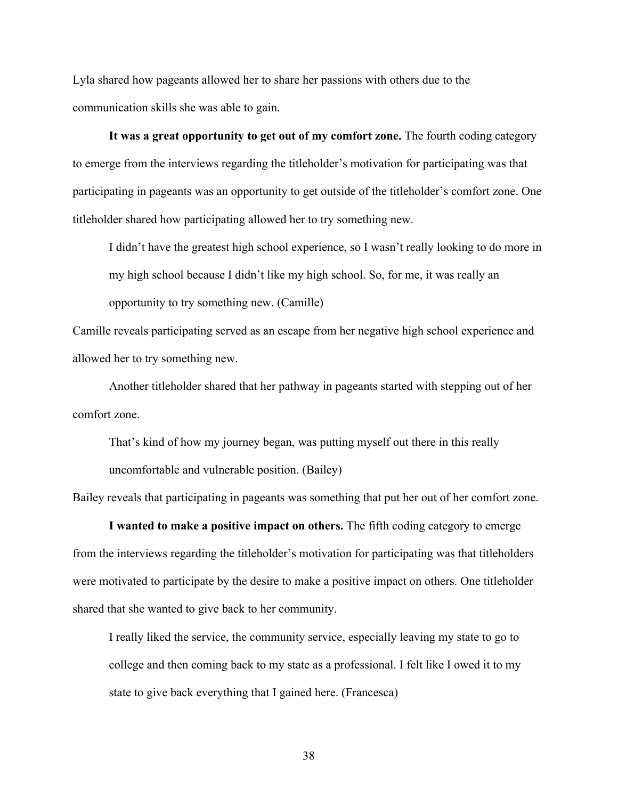Lyla shared how pageants allowed her to share her passions with others due to the communication skills she was able to gain.

**It was a great opportunity to get out of my comfort zone.** The fourth coding category to emerge from the interviews regarding the titleholder's motivation for participating was that participating in pageants was an opportunity to get outside of the titleholder's comfort zone. One titleholder shared how participating allowed her to try something new.

I didn't have the greatest high school experience, so I wasn't really looking to do more in my high school because I didn't like my high school. So, for me, it was really an opportunity to try something new. (Camille)

Camille reveals participating served as an escape from her negative high school experience and allowed her to try something new.

Another titleholder shared that her pathway in pageants started with stepping out of her comfort zone.

That's kind of how my journey began, was putting myself out there in this really uncomfortable and vulnerable position. (Bailey)

Bailey reveals that participating in pageants was something that put her out of her comfort zone.

**I wanted to make a positive impact on others.** The fifth coding category to emerge from the interviews regarding the titleholder's motivation for participating was that titleholders were motivated to participate by the desire to make a positive impact on others. One titleholder shared that she wanted to give back to her community.

I really liked the service, the community service, especially leaving my state to go to college and then coming back to my state as a professional. I felt like I owed it to my state to give back everything that I gained here. (Francesca)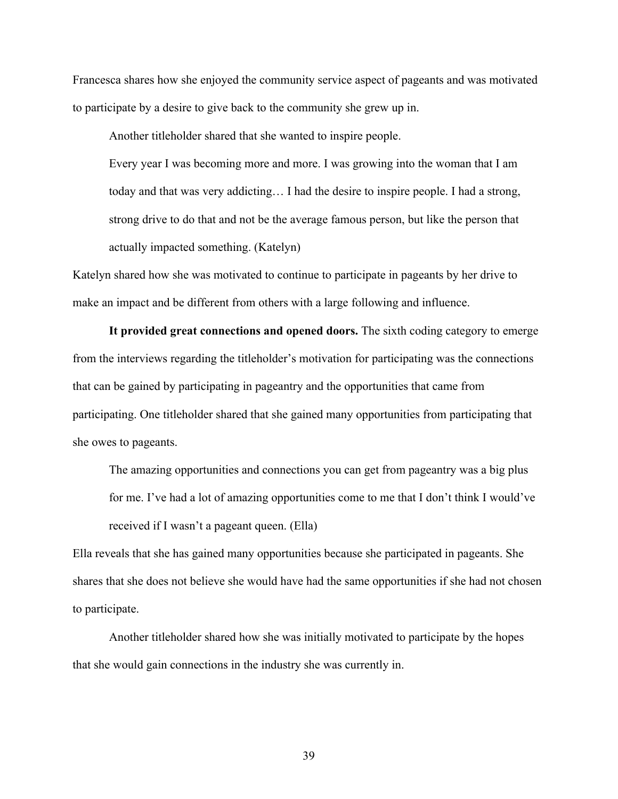Francesca shares how she enjoyed the community service aspect of pageants and was motivated to participate by a desire to give back to the community she grew up in.

Another titleholder shared that she wanted to inspire people.

Every year I was becoming more and more. I was growing into the woman that I am today and that was very addicting… I had the desire to inspire people. I had a strong, strong drive to do that and not be the average famous person, but like the person that actually impacted something. (Katelyn)

Katelyn shared how she was motivated to continue to participate in pageants by her drive to make an impact and be different from others with a large following and influence.

**It provided great connections and opened doors.** The sixth coding category to emerge from the interviews regarding the titleholder's motivation for participating was the connections that can be gained by participating in pageantry and the opportunities that came from participating. One titleholder shared that she gained many opportunities from participating that she owes to pageants.

The amazing opportunities and connections you can get from pageantry was a big plus for me. I've had a lot of amazing opportunities come to me that I don't think I would've received if I wasn't a pageant queen. (Ella)

Ella reveals that she has gained many opportunities because she participated in pageants. She shares that she does not believe she would have had the same opportunities if she had not chosen to participate.

Another titleholder shared how she was initially motivated to participate by the hopes that she would gain connections in the industry she was currently in.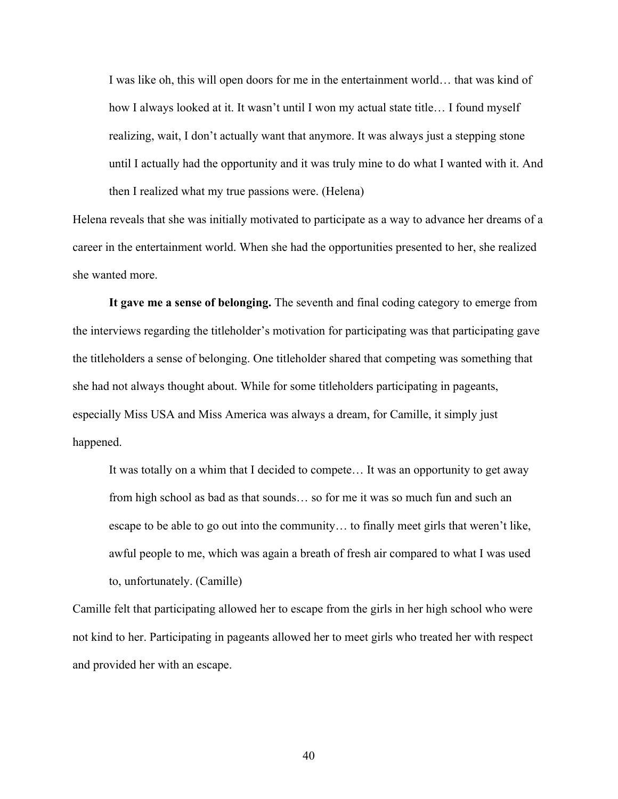I was like oh, this will open doors for me in the entertainment world… that was kind of how I always looked at it. It wasn't until I won my actual state title... I found myself realizing, wait, I don't actually want that anymore. It was always just a stepping stone until I actually had the opportunity and it was truly mine to do what I wanted with it. And then I realized what my true passions were. (Helena)

Helena reveals that she was initially motivated to participate as a way to advance her dreams of a career in the entertainment world. When she had the opportunities presented to her, she realized she wanted more.

**It gave me a sense of belonging.** The seventh and final coding category to emerge from the interviews regarding the titleholder's motivation for participating was that participating gave the titleholders a sense of belonging. One titleholder shared that competing was something that she had not always thought about. While for some titleholders participating in pageants, especially Miss USA and Miss America was always a dream, for Camille, it simply just happened.

It was totally on a whim that I decided to compete… It was an opportunity to get away from high school as bad as that sounds… so for me it was so much fun and such an escape to be able to go out into the community… to finally meet girls that weren't like, awful people to me, which was again a breath of fresh air compared to what I was used to, unfortunately. (Camille)

Camille felt that participating allowed her to escape from the girls in her high school who were not kind to her. Participating in pageants allowed her to meet girls who treated her with respect and provided her with an escape.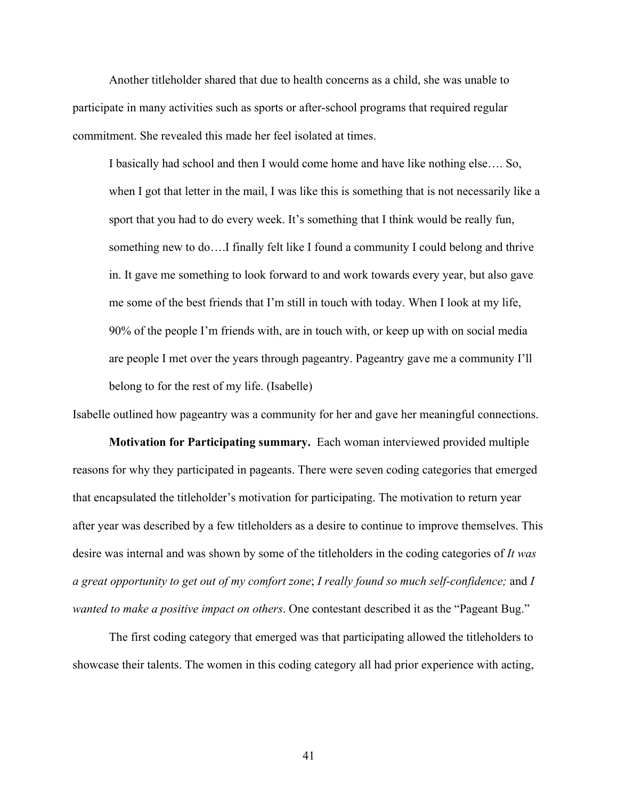Another titleholder shared that due to health concerns as a child, she was unable to participate in many activities such as sports or after-school programs that required regular commitment. She revealed this made her feel isolated at times.

I basically had school and then I would come home and have like nothing else…. So, when I got that letter in the mail, I was like this is something that is not necessarily like a sport that you had to do every week. It's something that I think would be really fun, something new to do….I finally felt like I found a community I could belong and thrive in. It gave me something to look forward to and work towards every year, but also gave me some of the best friends that I'm still in touch with today. When I look at my life, 90% of the people I'm friends with, are in touch with, or keep up with on social media are people I met over the years through pageantry. Pageantry gave me a community I'll belong to for the rest of my life. (Isabelle)

Isabelle outlined how pageantry was a community for her and gave her meaningful connections.

**Motivation for Participating summary.** Each woman interviewed provided multiple reasons for why they participated in pageants. There were seven coding categories that emerged that encapsulated the titleholder's motivation for participating. The motivation to return year after year was described by a few titleholders as a desire to continue to improve themselves. This desire was internal and was shown by some of the titleholders in the coding categories of *It was a great opportunity to get out of my comfort zone*; *I really found so much self-confidence;* and *I wanted to make a positive impact on others*. One contestant described it as the "Pageant Bug."

The first coding category that emerged was that participating allowed the titleholders to showcase their talents. The women in this coding category all had prior experience with acting,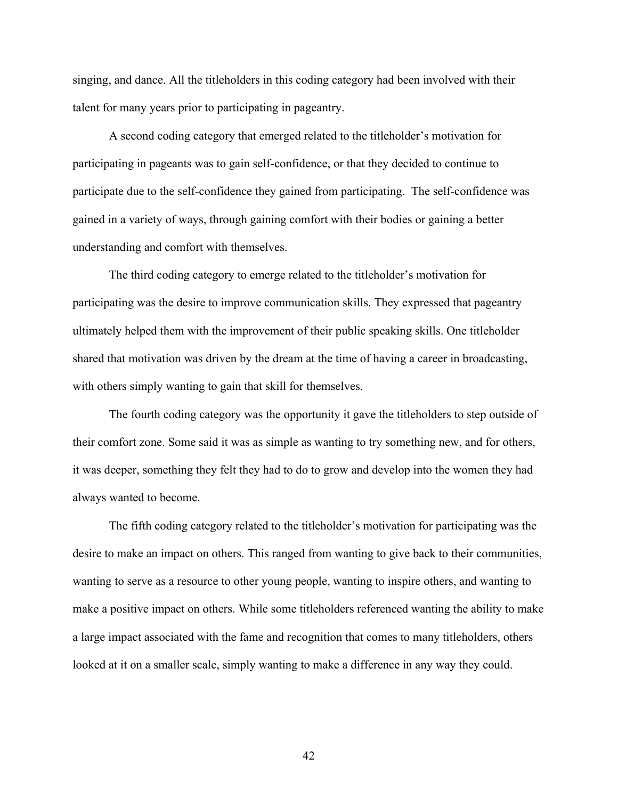singing, and dance. All the titleholders in this coding category had been involved with their talent for many years prior to participating in pageantry.

A second coding category that emerged related to the titleholder's motivation for participating in pageants was to gain self-confidence, or that they decided to continue to participate due to the self-confidence they gained from participating. The self-confidence was gained in a variety of ways, through gaining comfort with their bodies or gaining a better understanding and comfort with themselves.

The third coding category to emerge related to the titleholder's motivation for participating was the desire to improve communication skills. They expressed that pageantry ultimately helped them with the improvement of their public speaking skills. One titleholder shared that motivation was driven by the dream at the time of having a career in broadcasting, with others simply wanting to gain that skill for themselves.

The fourth coding category was the opportunity it gave the titleholders to step outside of their comfort zone. Some said it was as simple as wanting to try something new, and for others, it was deeper, something they felt they had to do to grow and develop into the women they had always wanted to become.

The fifth coding category related to the titleholder's motivation for participating was the desire to make an impact on others. This ranged from wanting to give back to their communities, wanting to serve as a resource to other young people, wanting to inspire others, and wanting to make a positive impact on others. While some titleholders referenced wanting the ability to make a large impact associated with the fame and recognition that comes to many titleholders, others looked at it on a smaller scale, simply wanting to make a difference in any way they could.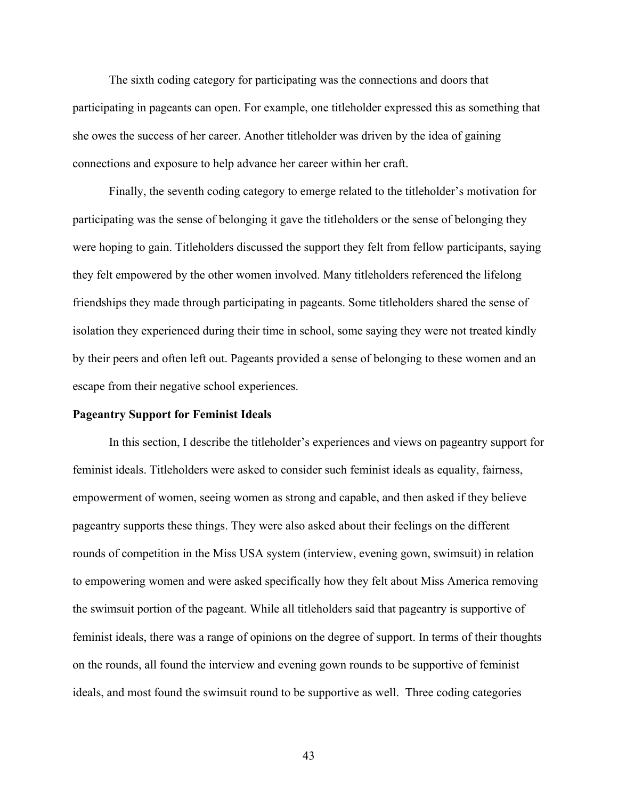The sixth coding category for participating was the connections and doors that participating in pageants can open. For example, one titleholder expressed this as something that she owes the success of her career. Another titleholder was driven by the idea of gaining connections and exposure to help advance her career within her craft.

Finally, the seventh coding category to emerge related to the titleholder's motivation for participating was the sense of belonging it gave the titleholders or the sense of belonging they were hoping to gain. Titleholders discussed the support they felt from fellow participants, saying they felt empowered by the other women involved. Many titleholders referenced the lifelong friendships they made through participating in pageants. Some titleholders shared the sense of isolation they experienced during their time in school, some saying they were not treated kindly by their peers and often left out. Pageants provided a sense of belonging to these women and an escape from their negative school experiences.

#### **Pageantry Support for Feminist Ideals**

In this section, I describe the titleholder's experiences and views on pageantry support for feminist ideals. Titleholders were asked to consider such feminist ideals as equality, fairness, empowerment of women, seeing women as strong and capable, and then asked if they believe pageantry supports these things. They were also asked about their feelings on the different rounds of competition in the Miss USA system (interview, evening gown, swimsuit) in relation to empowering women and were asked specifically how they felt about Miss America removing the swimsuit portion of the pageant. While all titleholders said that pageantry is supportive of feminist ideals, there was a range of opinions on the degree of support. In terms of their thoughts on the rounds, all found the interview and evening gown rounds to be supportive of feminist ideals, and most found the swimsuit round to be supportive as well. Three coding categories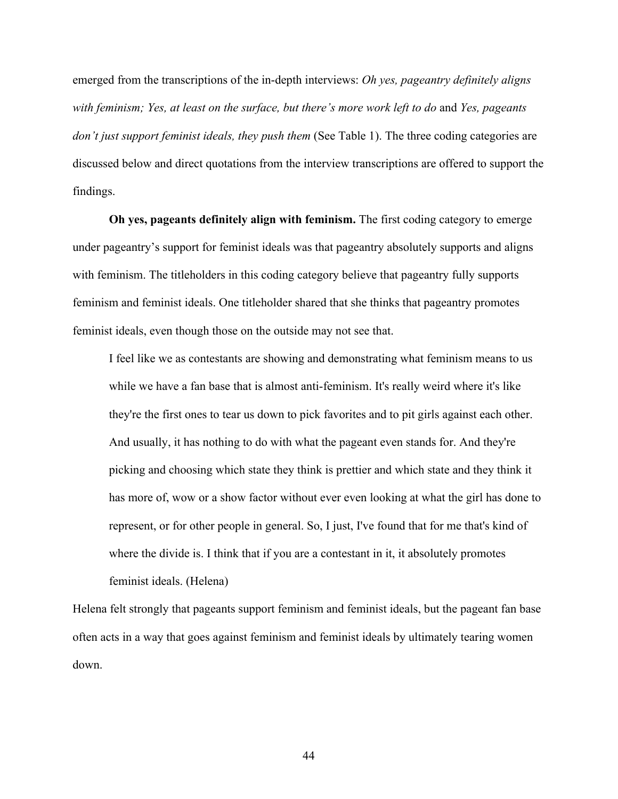emerged from the transcriptions of the in-depth interviews: *Oh yes, pageantry definitely aligns*  with feminism; Yes, at least on the surface, but there's more work left to do and *Yes*, pageants *don't just support feminist ideals, they push them (See Table 1). The three coding categories are* discussed below and direct quotations from the interview transcriptions are offered to support the findings.

**Oh yes, pageants definitely align with feminism.** The first coding category to emerge under pageantry's support for feminist ideals was that pageantry absolutely supports and aligns with feminism. The titleholders in this coding category believe that pageantry fully supports feminism and feminist ideals. One titleholder shared that she thinks that pageantry promotes feminist ideals, even though those on the outside may not see that.

I feel like we as contestants are showing and demonstrating what feminism means to us while we have a fan base that is almost anti-feminism. It's really weird where it's like they're the first ones to tear us down to pick favorites and to pit girls against each other. And usually, it has nothing to do with what the pageant even stands for. And they're picking and choosing which state they think is prettier and which state and they think it has more of, wow or a show factor without ever even looking at what the girl has done to represent, or for other people in general. So, I just, I've found that for me that's kind of where the divide is. I think that if you are a contestant in it, it absolutely promotes feminist ideals. (Helena)

Helena felt strongly that pageants support feminism and feminist ideals, but the pageant fan base often acts in a way that goes against feminism and feminist ideals by ultimately tearing women down.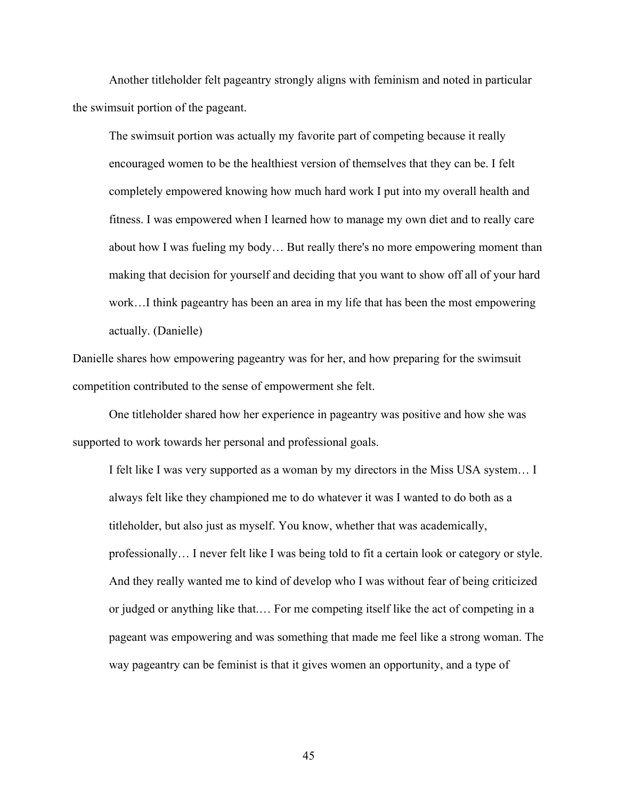Another titleholder felt pageantry strongly aligns with feminism and noted in particular the swimsuit portion of the pageant.

The swimsuit portion was actually my favorite part of competing because it really encouraged women to be the healthiest version of themselves that they can be. I felt completely empowered knowing how much hard work I put into my overall health and fitness. I was empowered when I learned how to manage my own diet and to really care about how I was fueling my body… But really there's no more empowering moment than making that decision for yourself and deciding that you want to show off all of your hard work…I think pageantry has been an area in my life that has been the most empowering actually. (Danielle)

Danielle shares how empowering pageantry was for her, and how preparing for the swimsuit competition contributed to the sense of empowerment she felt.

One titleholder shared how her experience in pageantry was positive and how she was supported to work towards her personal and professional goals.

I felt like I was very supported as a woman by my directors in the Miss USA system… I always felt like they championed me to do whatever it was I wanted to do both as a titleholder, but also just as myself. You know, whether that was academically, professionally… I never felt like I was being told to fit a certain look or category or style. And they really wanted me to kind of develop who I was without fear of being criticized or judged or anything like that.… For me competing itself like the act of competing in a pageant was empowering and was something that made me feel like a strong woman. The way pageantry can be feminist is that it gives women an opportunity, and a type of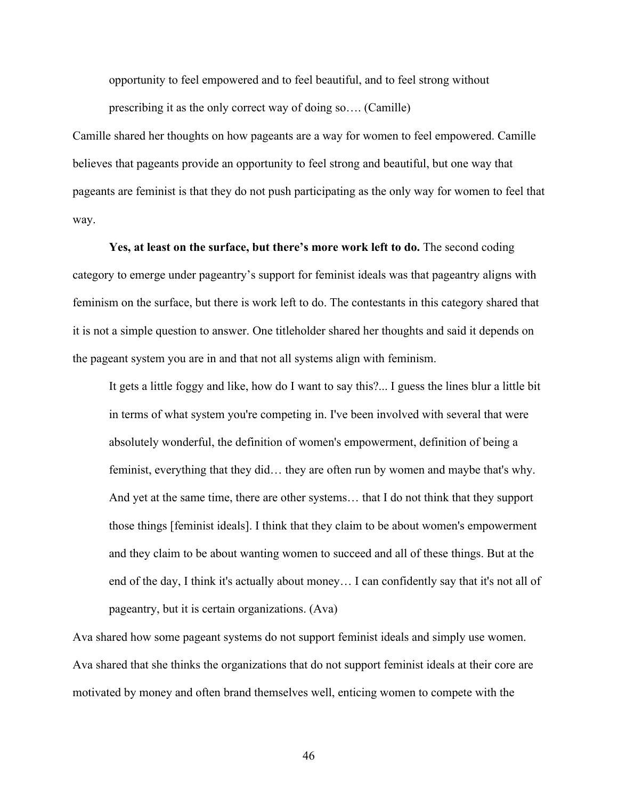opportunity to feel empowered and to feel beautiful, and to feel strong without

prescribing it as the only correct way of doing so…. (Camille)

Camille shared her thoughts on how pageants are a way for women to feel empowered. Camille believes that pageants provide an opportunity to feel strong and beautiful, but one way that pageants are feminist is that they do not push participating as the only way for women to feel that way.

**Yes, at least on the surface, but there's more work left to do.** The second coding category to emerge under pageantry's support for feminist ideals was that pageantry aligns with feminism on the surface, but there is work left to do. The contestants in this category shared that it is not a simple question to answer. One titleholder shared her thoughts and said it depends on the pageant system you are in and that not all systems align with feminism.

It gets a little foggy and like, how do I want to say this?... I guess the lines blur a little bit in terms of what system you're competing in. I've been involved with several that were absolutely wonderful, the definition of women's empowerment, definition of being a feminist, everything that they did… they are often run by women and maybe that's why. And yet at the same time, there are other systems… that I do not think that they support those things [feminist ideals]. I think that they claim to be about women's empowerment and they claim to be about wanting women to succeed and all of these things. But at the end of the day, I think it's actually about money… I can confidently say that it's not all of pageantry, but it is certain organizations. (Ava)

Ava shared how some pageant systems do not support feminist ideals and simply use women. Ava shared that she thinks the organizations that do not support feminist ideals at their core are motivated by money and often brand themselves well, enticing women to compete with the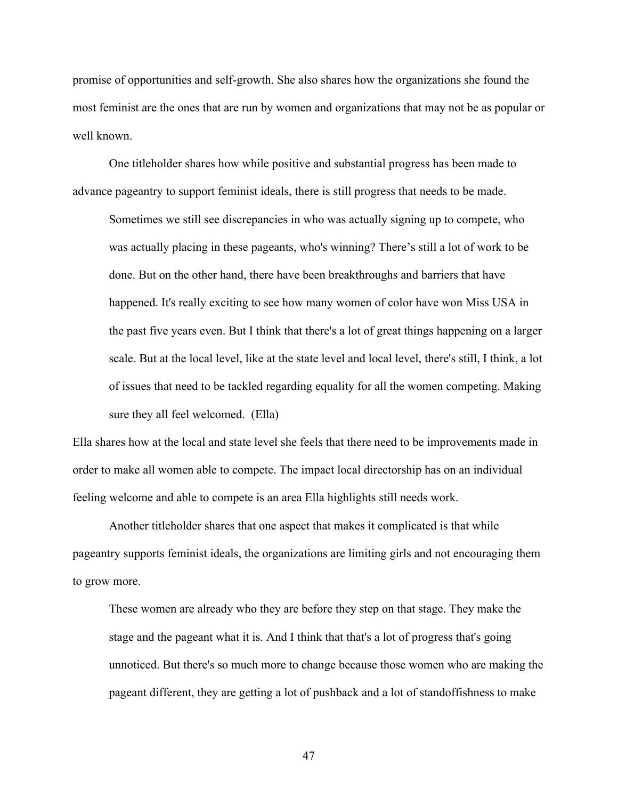promise of opportunities and self-growth. She also shares how the organizations she found the most feminist are the ones that are run by women and organizations that may not be as popular or well known.

One titleholder shares how while positive and substantial progress has been made to advance pageantry to support feminist ideals, there is still progress that needs to be made.

Sometimes we still see discrepancies in who was actually signing up to compete, who was actually placing in these pageants, who's winning? There's still a lot of work to be done. But on the other hand, there have been breakthroughs and barriers that have happened. It's really exciting to see how many women of color have won Miss USA in the past five years even. But I think that there's a lot of great things happening on a larger scale. But at the local level, like at the state level and local level, there's still, I think, a lot of issues that need to be tackled regarding equality for all the women competing. Making sure they all feel welcomed. (Ella)

Ella shares how at the local and state level she feels that there need to be improvements made in order to make all women able to compete. The impact local directorship has on an individual feeling welcome and able to compete is an area Ella highlights still needs work.

Another titleholder shares that one aspect that makes it complicated is that while pageantry supports feminist ideals, the organizations are limiting girls and not encouraging them to grow more.

These women are already who they are before they step on that stage. They make the stage and the pageant what it is. And I think that that's a lot of progress that's going unnoticed. But there's so much more to change because those women who are making the pageant different, they are getting a lot of pushback and a lot of standoffishness to make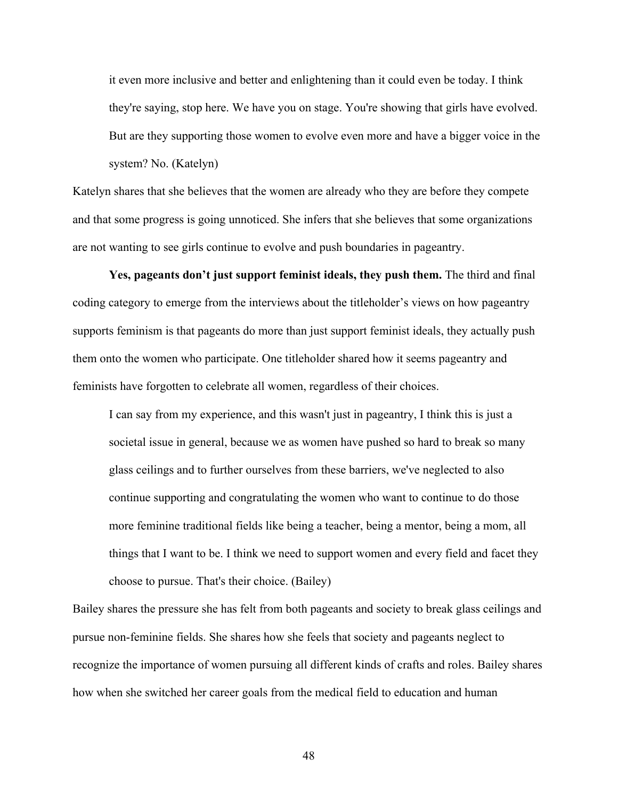it even more inclusive and better and enlightening than it could even be today. I think they're saying, stop here. We have you on stage. You're showing that girls have evolved. But are they supporting those women to evolve even more and have a bigger voice in the system? No. (Katelyn)

Katelyn shares that she believes that the women are already who they are before they compete and that some progress is going unnoticed. She infers that she believes that some organizations are not wanting to see girls continue to evolve and push boundaries in pageantry.

**Yes, pageants don't just support feminist ideals, they push them.** The third and final coding category to emerge from the interviews about the titleholder's views on how pageantry supports feminism is that pageants do more than just support feminist ideals, they actually push them onto the women who participate. One titleholder shared how it seems pageantry and feminists have forgotten to celebrate all women, regardless of their choices.

I can say from my experience, and this wasn't just in pageantry, I think this is just a societal issue in general, because we as women have pushed so hard to break so many glass ceilings and to further ourselves from these barriers, we've neglected to also continue supporting and congratulating the women who want to continue to do those more feminine traditional fields like being a teacher, being a mentor, being a mom, all things that I want to be. I think we need to support women and every field and facet they choose to pursue. That's their choice. (Bailey)

Bailey shares the pressure she has felt from both pageants and society to break glass ceilings and pursue non-feminine fields. She shares how she feels that society and pageants neglect to recognize the importance of women pursuing all different kinds of crafts and roles. Bailey shares how when she switched her career goals from the medical field to education and human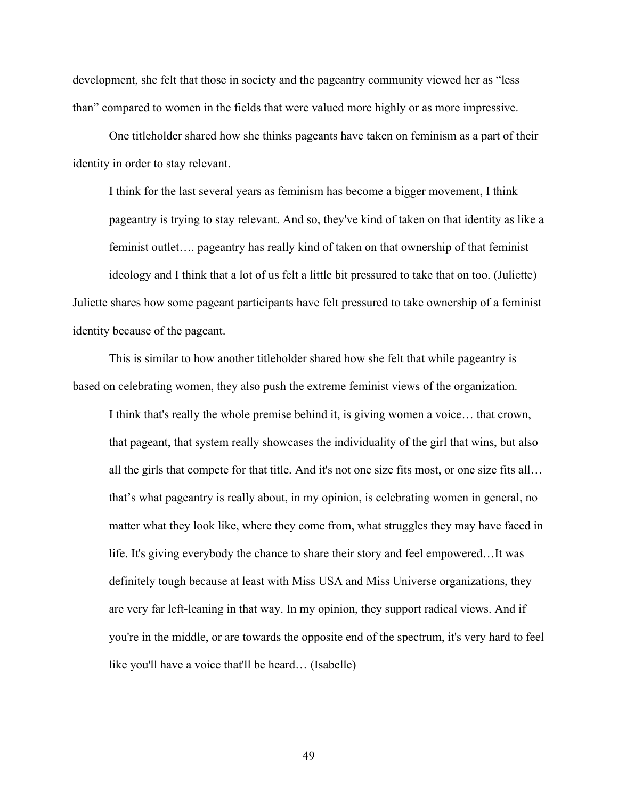development, she felt that those in society and the pageantry community viewed her as "less than" compared to women in the fields that were valued more highly or as more impressive.

One titleholder shared how she thinks pageants have taken on feminism as a part of their identity in order to stay relevant.

I think for the last several years as feminism has become a bigger movement, I think pageantry is trying to stay relevant. And so, they've kind of taken on that identity as like a feminist outlet…. pageantry has really kind of taken on that ownership of that feminist ideology and I think that a lot of us felt a little bit pressured to take that on too. (Juliette) Juliette shares how some pageant participants have felt pressured to take ownership of a feminist identity because of the pageant.

This is similar to how another titleholder shared how she felt that while pageantry is based on celebrating women, they also push the extreme feminist views of the organization.

I think that's really the whole premise behind it, is giving women a voice… that crown, that pageant, that system really showcases the individuality of the girl that wins, but also all the girls that compete for that title. And it's not one size fits most, or one size fits all… that's what pageantry is really about, in my opinion, is celebrating women in general, no matter what they look like, where they come from, what struggles they may have faced in life. It's giving everybody the chance to share their story and feel empowered…It was definitely tough because at least with Miss USA and Miss Universe organizations, they are very far left-leaning in that way. In my opinion, they support radical views. And if you're in the middle, or are towards the opposite end of the spectrum, it's very hard to feel like you'll have a voice that'll be heard… (Isabelle)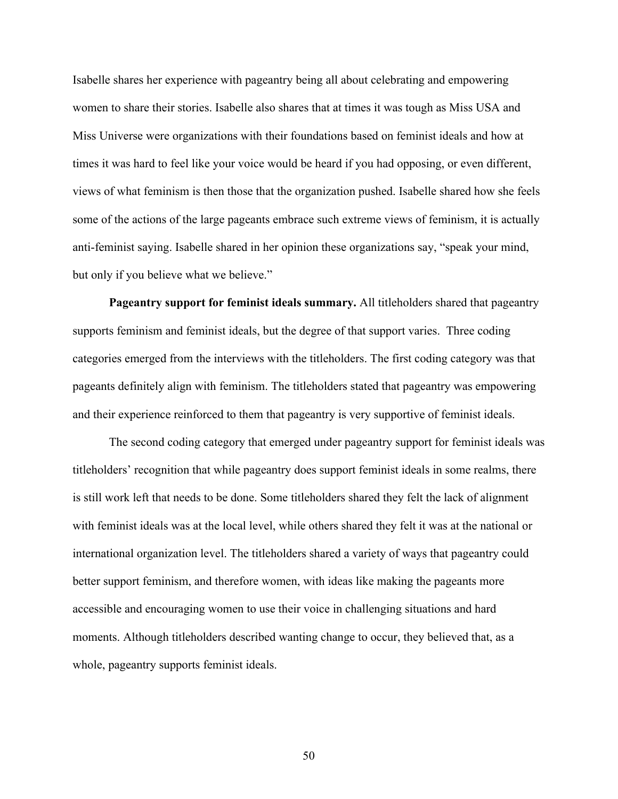Isabelle shares her experience with pageantry being all about celebrating and empowering women to share their stories. Isabelle also shares that at times it was tough as Miss USA and Miss Universe were organizations with their foundations based on feminist ideals and how at times it was hard to feel like your voice would be heard if you had opposing, or even different, views of what feminism is then those that the organization pushed. Isabelle shared how she feels some of the actions of the large pageants embrace such extreme views of feminism, it is actually anti-feminist saying. Isabelle shared in her opinion these organizations say, "speak your mind, but only if you believe what we believe."

**Pageantry support for feminist ideals summary.** All titleholders shared that pageantry supports feminism and feminist ideals, but the degree of that support varies. Three coding categories emerged from the interviews with the titleholders. The first coding category was that pageants definitely align with feminism. The titleholders stated that pageantry was empowering and their experience reinforced to them that pageantry is very supportive of feminist ideals.

The second coding category that emerged under pageantry support for feminist ideals was titleholders' recognition that while pageantry does support feminist ideals in some realms, there is still work left that needs to be done. Some titleholders shared they felt the lack of alignment with feminist ideals was at the local level, while others shared they felt it was at the national or international organization level. The titleholders shared a variety of ways that pageantry could better support feminism, and therefore women, with ideas like making the pageants more accessible and encouraging women to use their voice in challenging situations and hard moments. Although titleholders described wanting change to occur, they believed that, as a whole, pageantry supports feminist ideals.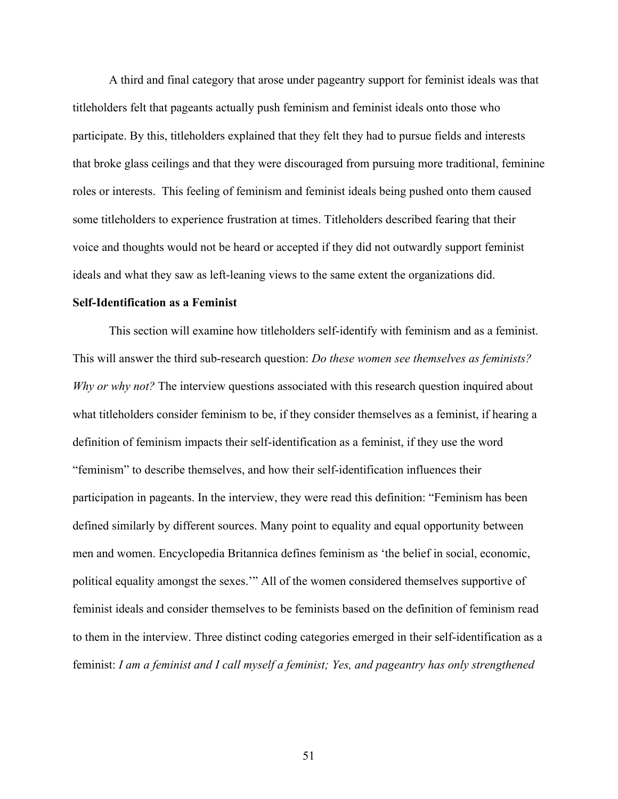A third and final category that arose under pageantry support for feminist ideals was that titleholders felt that pageants actually push feminism and feminist ideals onto those who participate. By this, titleholders explained that they felt they had to pursue fields and interests that broke glass ceilings and that they were discouraged from pursuing more traditional, feminine roles or interests. This feeling of feminism and feminist ideals being pushed onto them caused some titleholders to experience frustration at times. Titleholders described fearing that their voice and thoughts would not be heard or accepted if they did not outwardly support feminist ideals and what they saw as left-leaning views to the same extent the organizations did.

#### **Self-Identification as a Feminist**

This section will examine how titleholders self-identify with feminism and as a feminist. This will answer the third sub-research question: *Do these women see themselves as feminists? Why or why not?* The interview questions associated with this research question inquired about what titleholders consider feminism to be, if they consider themselves as a feminist, if hearing a definition of feminism impacts their self-identification as a feminist, if they use the word "feminism" to describe themselves, and how their self-identification influences their participation in pageants. In the interview, they were read this definition: "Feminism has been defined similarly by different sources. Many point to equality and equal opportunity between men and women. Encyclopedia Britannica defines feminism as 'the belief in social, economic, political equality amongst the sexes.'" All of the women considered themselves supportive of feminist ideals and consider themselves to be feminists based on the definition of feminism read to them in the interview. Three distinct coding categories emerged in their self-identification as a feminist: *I am a feminist and I call myself a feminist; Yes, and pageantry has only strengthened*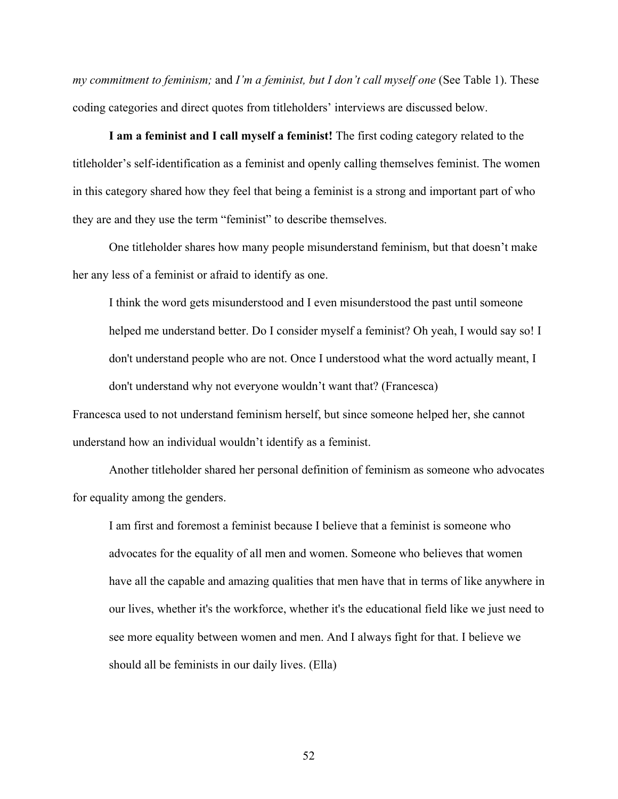*my commitment to feminism;* and *I'm a feminist, but I don't call myself one* (See Table 1). These coding categories and direct quotes from titleholders' interviews are discussed below.

**I am a feminist and I call myself a feminist!** The first coding category related to the titleholder's self-identification as a feminist and openly calling themselves feminist. The women in this category shared how they feel that being a feminist is a strong and important part of who they are and they use the term "feminist" to describe themselves.

One titleholder shares how many people misunderstand feminism, but that doesn't make her any less of a feminist or afraid to identify as one.

I think the word gets misunderstood and I even misunderstood the past until someone helped me understand better. Do I consider myself a feminist? Oh yeah, I would say so! I don't understand people who are not. Once I understood what the word actually meant, I don't understand why not everyone wouldn't want that? (Francesca)

Francesca used to not understand feminism herself, but since someone helped her, she cannot understand how an individual wouldn't identify as a feminist.

Another titleholder shared her personal definition of feminism as someone who advocates for equality among the genders.

I am first and foremost a feminist because I believe that a feminist is someone who advocates for the equality of all men and women. Someone who believes that women have all the capable and amazing qualities that men have that in terms of like anywhere in our lives, whether it's the workforce, whether it's the educational field like we just need to see more equality between women and men. And I always fight for that. I believe we should all be feminists in our daily lives. (Ella)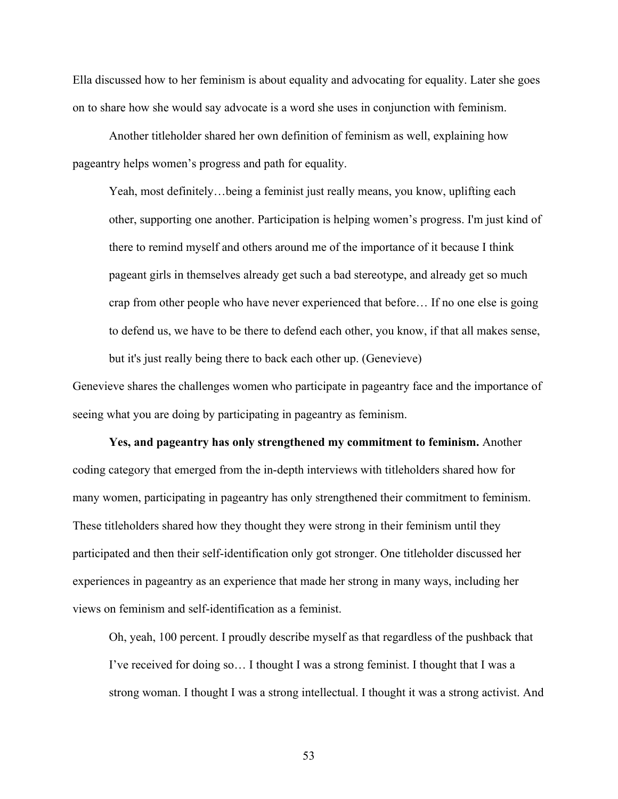Ella discussed how to her feminism is about equality and advocating for equality. Later she goes on to share how she would say advocate is a word she uses in conjunction with feminism.

Another titleholder shared her own definition of feminism as well, explaining how pageantry helps women's progress and path for equality.

Yeah, most definitely…being a feminist just really means, you know, uplifting each other, supporting one another. Participation is helping women's progress. I'm just kind of there to remind myself and others around me of the importance of it because I think pageant girls in themselves already get such a bad stereotype, and already get so much crap from other people who have never experienced that before… If no one else is going to defend us, we have to be there to defend each other, you know, if that all makes sense, but it's just really being there to back each other up. (Genevieve)

Genevieve shares the challenges women who participate in pageantry face and the importance of seeing what you are doing by participating in pageantry as feminism.

**Yes, and pageantry has only strengthened my commitment to feminism.** Another coding category that emerged from the in-depth interviews with titleholders shared how for many women, participating in pageantry has only strengthened their commitment to feminism. These titleholders shared how they thought they were strong in their feminism until they participated and then their self-identification only got stronger. One titleholder discussed her experiences in pageantry as an experience that made her strong in many ways, including her views on feminism and self-identification as a feminist.

Oh, yeah, 100 percent. I proudly describe myself as that regardless of the pushback that I've received for doing so… I thought I was a strong feminist. I thought that I was a strong woman. I thought I was a strong intellectual. I thought it was a strong activist. And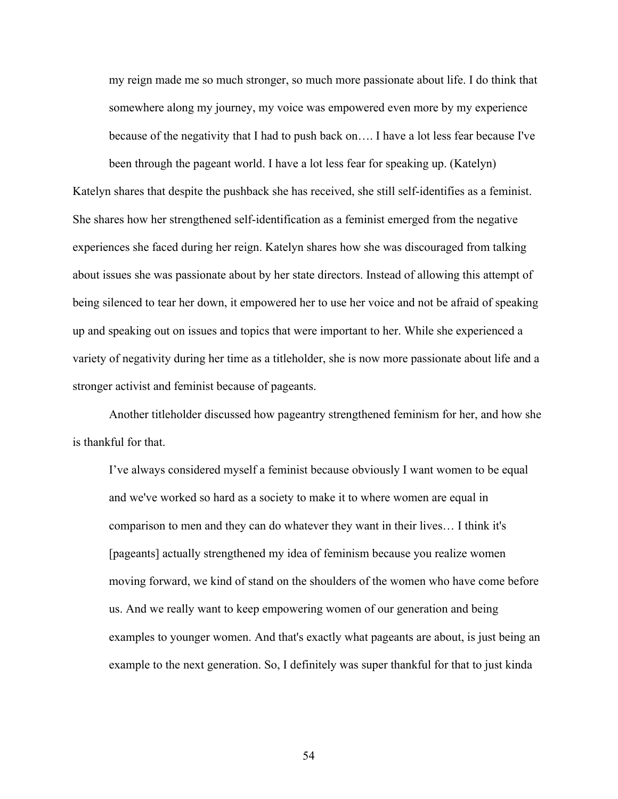my reign made me so much stronger, so much more passionate about life. I do think that somewhere along my journey, my voice was empowered even more by my experience because of the negativity that I had to push back on…. I have a lot less fear because I've

been through the pageant world. I have a lot less fear for speaking up. (Katelyn) Katelyn shares that despite the pushback she has received, she still self-identifies as a feminist. She shares how her strengthened self-identification as a feminist emerged from the negative experiences she faced during her reign. Katelyn shares how she was discouraged from talking about issues she was passionate about by her state directors. Instead of allowing this attempt of being silenced to tear her down, it empowered her to use her voice and not be afraid of speaking up and speaking out on issues and topics that were important to her. While she experienced a variety of negativity during her time as a titleholder, she is now more passionate about life and a stronger activist and feminist because of pageants.

Another titleholder discussed how pageantry strengthened feminism for her, and how she is thankful for that.

I've always considered myself a feminist because obviously I want women to be equal and we've worked so hard as a society to make it to where women are equal in comparison to men and they can do whatever they want in their lives… I think it's [pageants] actually strengthened my idea of feminism because you realize women moving forward, we kind of stand on the shoulders of the women who have come before us. And we really want to keep empowering women of our generation and being examples to younger women. And that's exactly what pageants are about, is just being an example to the next generation. So, I definitely was super thankful for that to just kinda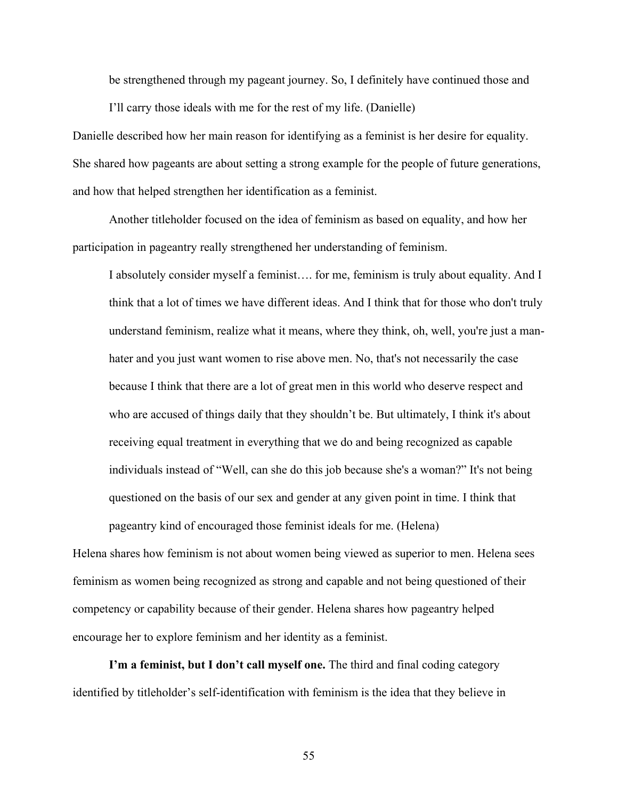be strengthened through my pageant journey. So, I definitely have continued those and

I'll carry those ideals with me for the rest of my life. (Danielle)

Danielle described how her main reason for identifying as a feminist is her desire for equality. She shared how pageants are about setting a strong example for the people of future generations, and how that helped strengthen her identification as a feminist.

Another titleholder focused on the idea of feminism as based on equality, and how her participation in pageantry really strengthened her understanding of feminism.

I absolutely consider myself a feminist…. for me, feminism is truly about equality. And I think that a lot of times we have different ideas. And I think that for those who don't truly understand feminism, realize what it means, where they think, oh, well, you're just a manhater and you just want women to rise above men. No, that's not necessarily the case because I think that there are a lot of great men in this world who deserve respect and who are accused of things daily that they shouldn't be. But ultimately, I think it's about receiving equal treatment in everything that we do and being recognized as capable individuals instead of "Well, can she do this job because she's a woman?" It's not being questioned on the basis of our sex and gender at any given point in time. I think that pageantry kind of encouraged those feminist ideals for me. (Helena)

Helena shares how feminism is not about women being viewed as superior to men. Helena sees feminism as women being recognized as strong and capable and not being questioned of their competency or capability because of their gender. Helena shares how pageantry helped encourage her to explore feminism and her identity as a feminist.

**I'm a feminist, but I don't call myself one.** The third and final coding category identified by titleholder's self-identification with feminism is the idea that they believe in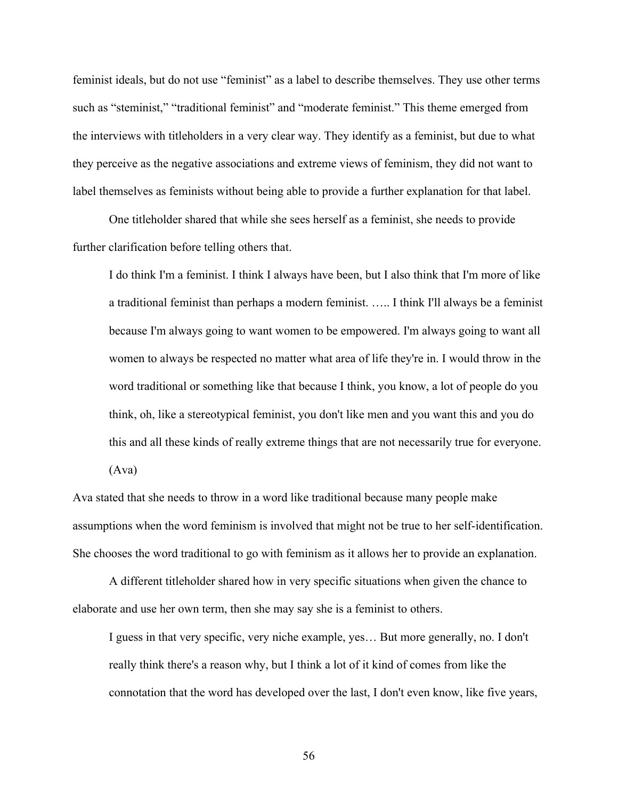feminist ideals, but do not use "feminist" as a label to describe themselves. They use other terms such as "steminist," "traditional feminist" and "moderate feminist." This theme emerged from the interviews with titleholders in a very clear way. They identify as a feminist, but due to what they perceive as the negative associations and extreme views of feminism, they did not want to label themselves as feminists without being able to provide a further explanation for that label.

One titleholder shared that while she sees herself as a feminist, she needs to provide further clarification before telling others that.

I do think I'm a feminist. I think I always have been, but I also think that I'm more of like a traditional feminist than perhaps a modern feminist. ….. I think I'll always be a feminist because I'm always going to want women to be empowered. I'm always going to want all women to always be respected no matter what area of life they're in. I would throw in the word traditional or something like that because I think, you know, a lot of people do you think, oh, like a stereotypical feminist, you don't like men and you want this and you do this and all these kinds of really extreme things that are not necessarily true for everyone.

(Ava)

Ava stated that she needs to throw in a word like traditional because many people make assumptions when the word feminism is involved that might not be true to her self-identification. She chooses the word traditional to go with feminism as it allows her to provide an explanation.

A different titleholder shared how in very specific situations when given the chance to elaborate and use her own term, then she may say she is a feminist to others.

I guess in that very specific, very niche example, yes… But more generally, no. I don't really think there's a reason why, but I think a lot of it kind of comes from like the connotation that the word has developed over the last, I don't even know, like five years,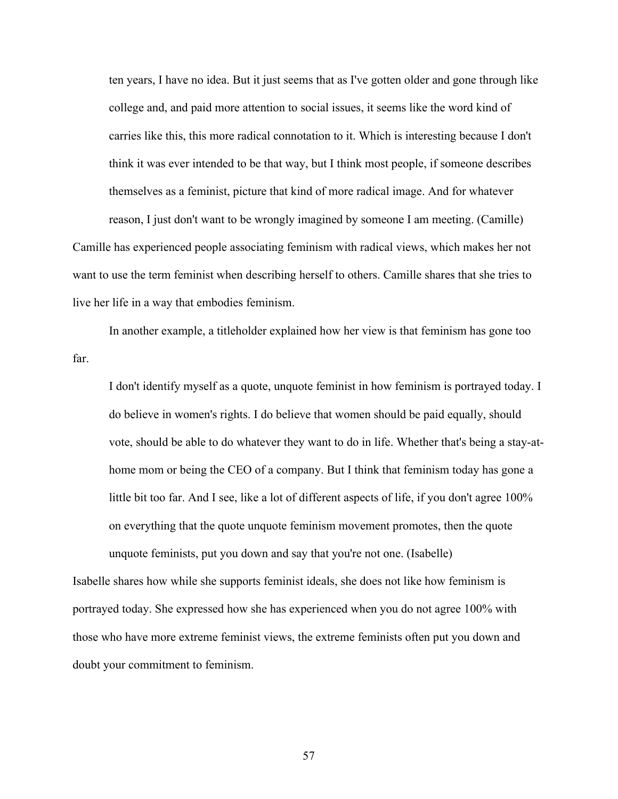ten years, I have no idea. But it just seems that as I've gotten older and gone through like college and, and paid more attention to social issues, it seems like the word kind of carries like this, this more radical connotation to it. Which is interesting because I don't think it was ever intended to be that way, but I think most people, if someone describes themselves as a feminist, picture that kind of more radical image. And for whatever

reason, I just don't want to be wrongly imagined by someone I am meeting. (Camille) Camille has experienced people associating feminism with radical views, which makes her not want to use the term feminist when describing herself to others. Camille shares that she tries to live her life in a way that embodies feminism.

In another example, a titleholder explained how her view is that feminism has gone too far.

I don't identify myself as a quote, unquote feminist in how feminism is portrayed today. I do believe in women's rights. I do believe that women should be paid equally, should vote, should be able to do whatever they want to do in life. Whether that's being a stay-athome mom or being the CEO of a company. But I think that feminism today has gone a little bit too far. And I see, like a lot of different aspects of life, if you don't agree 100% on everything that the quote unquote feminism movement promotes, then the quote

unquote feminists, put you down and say that you're not one. (Isabelle) Isabelle shares how while she supports feminist ideals, she does not like how feminism is portrayed today. She expressed how she has experienced when you do not agree 100% with those who have more extreme feminist views, the extreme feminists often put you down and doubt your commitment to feminism.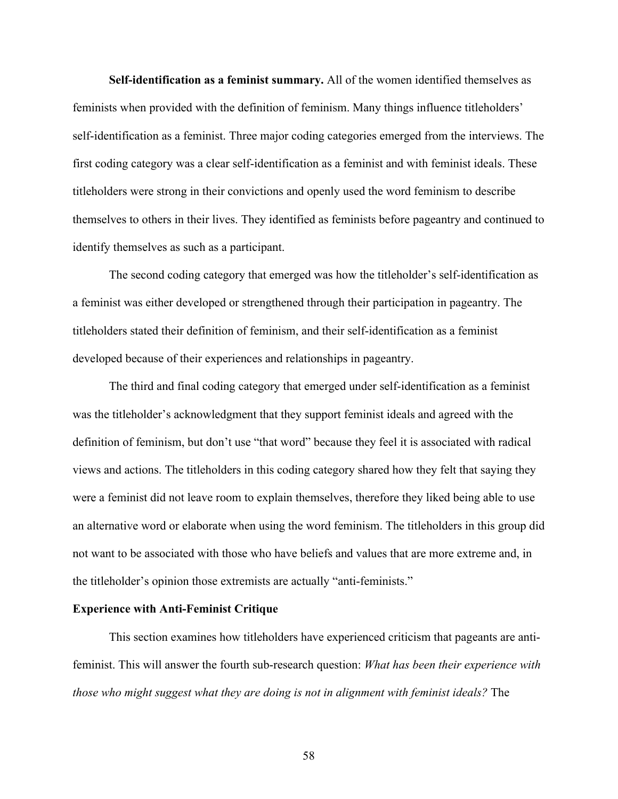**Self-identification as a feminist summary.** All of the women identified themselves as feminists when provided with the definition of feminism. Many things influence titleholders' self-identification as a feminist. Three major coding categories emerged from the interviews. The first coding category was a clear self-identification as a feminist and with feminist ideals. These titleholders were strong in their convictions and openly used the word feminism to describe themselves to others in their lives. They identified as feminists before pageantry and continued to identify themselves as such as a participant.

The second coding category that emerged was how the titleholder's self-identification as a feminist was either developed or strengthened through their participation in pageantry. The titleholders stated their definition of feminism, and their self-identification as a feminist developed because of their experiences and relationships in pageantry.

The third and final coding category that emerged under self-identification as a feminist was the titleholder's acknowledgment that they support feminist ideals and agreed with the definition of feminism, but don't use "that word" because they feel it is associated with radical views and actions. The titleholders in this coding category shared how they felt that saying they were a feminist did not leave room to explain themselves, therefore they liked being able to use an alternative word or elaborate when using the word feminism. The titleholders in this group did not want to be associated with those who have beliefs and values that are more extreme and, in the titleholder's opinion those extremists are actually "anti-feminists."

#### **Experience with Anti-Feminist Critique**

This section examines how titleholders have experienced criticism that pageants are antifeminist. This will answer the fourth sub-research question: *What has been their experience with those who might suggest what they are doing is not in alignment with feminist ideals?* The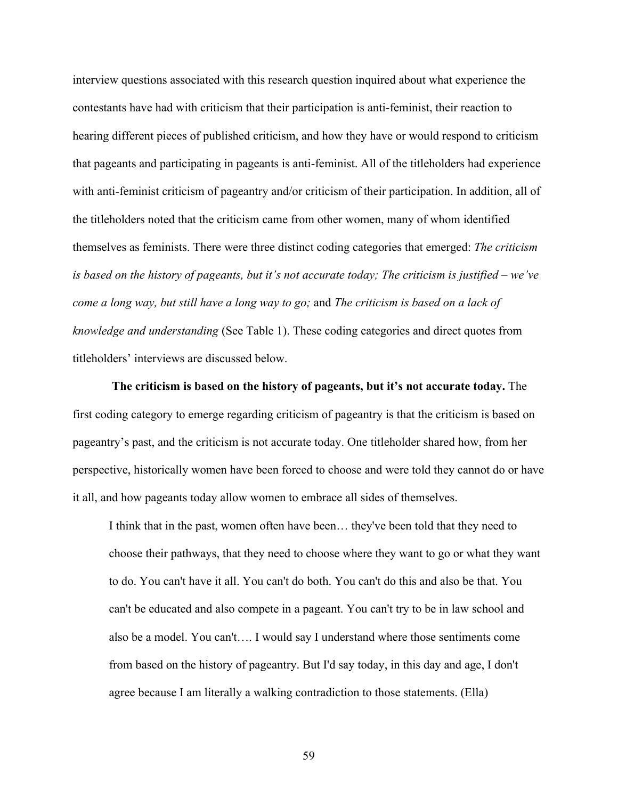interview questions associated with this research question inquired about what experience the contestants have had with criticism that their participation is anti-feminist, their reaction to hearing different pieces of published criticism, and how they have or would respond to criticism that pageants and participating in pageants is anti-feminist. All of the titleholders had experience with anti-feminist criticism of pageantry and/or criticism of their participation. In addition, all of the titleholders noted that the criticism came from other women, many of whom identified themselves as feminists. There were three distinct coding categories that emerged: *The criticism is based on the history of pageants, but it's not accurate today; The criticism is justified – we've come a long way, but still have a long way to go;* and *The criticism is based on a lack of knowledge and understanding* (See Table 1). These coding categories and direct quotes from titleholders' interviews are discussed below.

**The criticism is based on the history of pageants, but it's not accurate today.** The first coding category to emerge regarding criticism of pageantry is that the criticism is based on pageantry's past, and the criticism is not accurate today. One titleholder shared how, from her perspective, historically women have been forced to choose and were told they cannot do or have it all, and how pageants today allow women to embrace all sides of themselves.

I think that in the past, women often have been… they've been told that they need to choose their pathways, that they need to choose where they want to go or what they want to do. You can't have it all. You can't do both. You can't do this and also be that. You can't be educated and also compete in a pageant. You can't try to be in law school and also be a model. You can't…. I would say I understand where those sentiments come from based on the history of pageantry. But I'd say today, in this day and age, I don't agree because I am literally a walking contradiction to those statements. (Ella)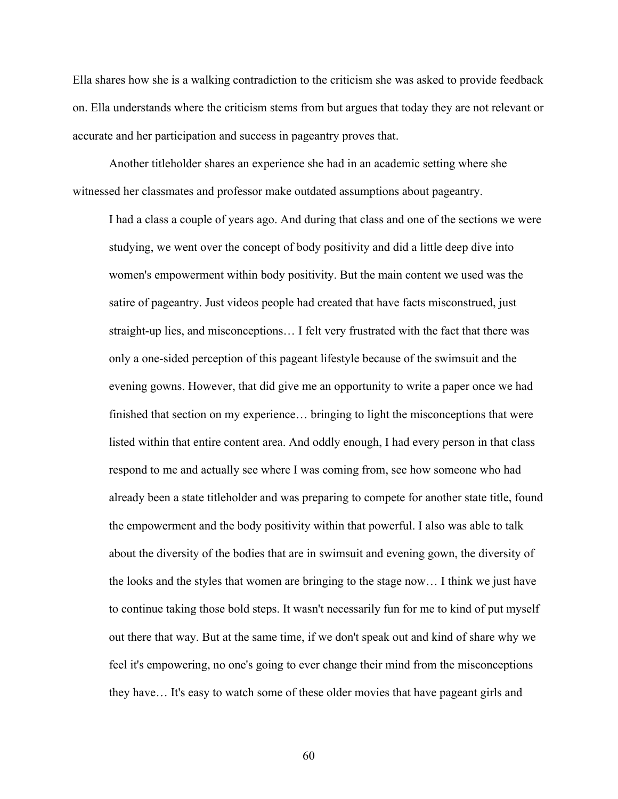Ella shares how she is a walking contradiction to the criticism she was asked to provide feedback on. Ella understands where the criticism stems from but argues that today they are not relevant or accurate and her participation and success in pageantry proves that.

Another titleholder shares an experience she had in an academic setting where she witnessed her classmates and professor make outdated assumptions about pageantry.

I had a class a couple of years ago. And during that class and one of the sections we were studying, we went over the concept of body positivity and did a little deep dive into women's empowerment within body positivity. But the main content we used was the satire of pageantry. Just videos people had created that have facts misconstrued, just straight-up lies, and misconceptions… I felt very frustrated with the fact that there was only a one-sided perception of this pageant lifestyle because of the swimsuit and the evening gowns. However, that did give me an opportunity to write a paper once we had finished that section on my experience… bringing to light the misconceptions that were listed within that entire content area. And oddly enough, I had every person in that class respond to me and actually see where I was coming from, see how someone who had already been a state titleholder and was preparing to compete for another state title, found the empowerment and the body positivity within that powerful. I also was able to talk about the diversity of the bodies that are in swimsuit and evening gown, the diversity of the looks and the styles that women are bringing to the stage now… I think we just have to continue taking those bold steps. It wasn't necessarily fun for me to kind of put myself out there that way. But at the same time, if we don't speak out and kind of share why we feel it's empowering, no one's going to ever change their mind from the misconceptions they have… It's easy to watch some of these older movies that have pageant girls and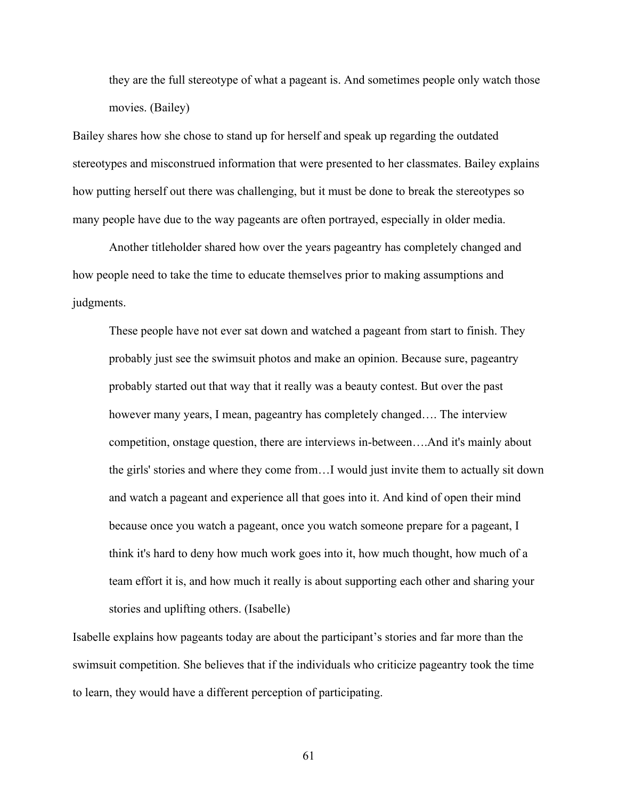they are the full stereotype of what a pageant is. And sometimes people only watch those movies. (Bailey)

Bailey shares how she chose to stand up for herself and speak up regarding the outdated stereotypes and misconstrued information that were presented to her classmates. Bailey explains how putting herself out there was challenging, but it must be done to break the stereotypes so many people have due to the way pageants are often portrayed, especially in older media.

Another titleholder shared how over the years pageantry has completely changed and how people need to take the time to educate themselves prior to making assumptions and judgments.

These people have not ever sat down and watched a pageant from start to finish. They probably just see the swimsuit photos and make an opinion. Because sure, pageantry probably started out that way that it really was a beauty contest. But over the past however many years, I mean, pageantry has completely changed…. The interview competition, onstage question, there are interviews in-between….And it's mainly about the girls' stories and where they come from…I would just invite them to actually sit down and watch a pageant and experience all that goes into it. And kind of open their mind because once you watch a pageant, once you watch someone prepare for a pageant, I think it's hard to deny how much work goes into it, how much thought, how much of a team effort it is, and how much it really is about supporting each other and sharing your stories and uplifting others. (Isabelle)

Isabelle explains how pageants today are about the participant's stories and far more than the swimsuit competition. She believes that if the individuals who criticize pageantry took the time to learn, they would have a different perception of participating.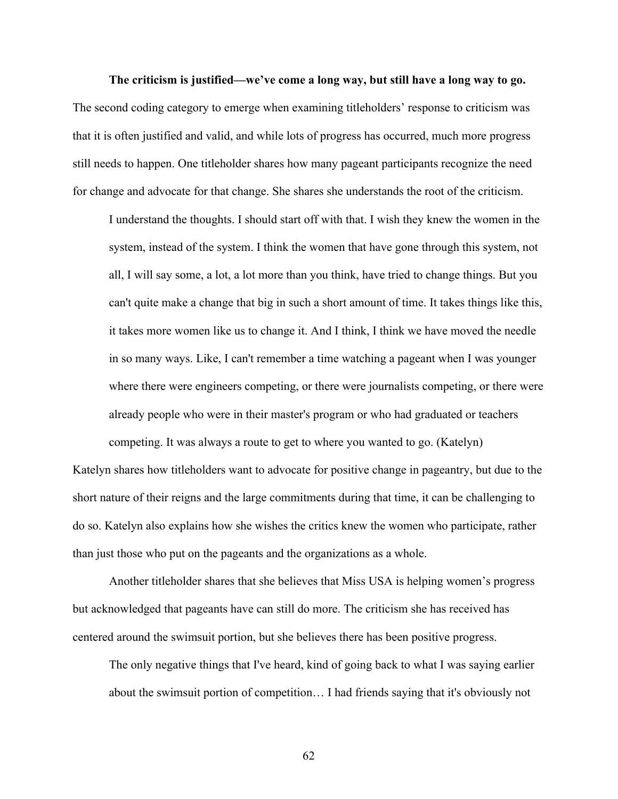**The criticism is justified—we've come a long way, but still have a long way to go.** The second coding category to emerge when examining titleholders' response to criticism was that it is often justified and valid, and while lots of progress has occurred, much more progress still needs to happen. One titleholder shares how many pageant participants recognize the need for change and advocate for that change. She shares she understands the root of the criticism.

I understand the thoughts. I should start off with that. I wish they knew the women in the system, instead of the system. I think the women that have gone through this system, not all, I will say some, a lot, a lot more than you think, have tried to change things. But you can't quite make a change that big in such a short amount of time. It takes things like this, it takes more women like us to change it. And I think, I think we have moved the needle in so many ways. Like, I can't remember a time watching a pageant when I was younger where there were engineers competing, or there were journalists competing, or there were already people who were in their master's program or who had graduated or teachers competing. It was always a route to get to where you wanted to go. (Katelyn)

Katelyn shares how titleholders want to advocate for positive change in pageantry, but due to the short nature of their reigns and the large commitments during that time, it can be challenging to do so. Katelyn also explains how she wishes the critics knew the women who participate, rather than just those who put on the pageants and the organizations as a whole.

Another titleholder shares that she believes that Miss USA is helping women's progress but acknowledged that pageants have can still do more. The criticism she has received has centered around the swimsuit portion, but she believes there has been positive progress.

The only negative things that I've heard, kind of going back to what I was saying earlier about the swimsuit portion of competition… I had friends saying that it's obviously not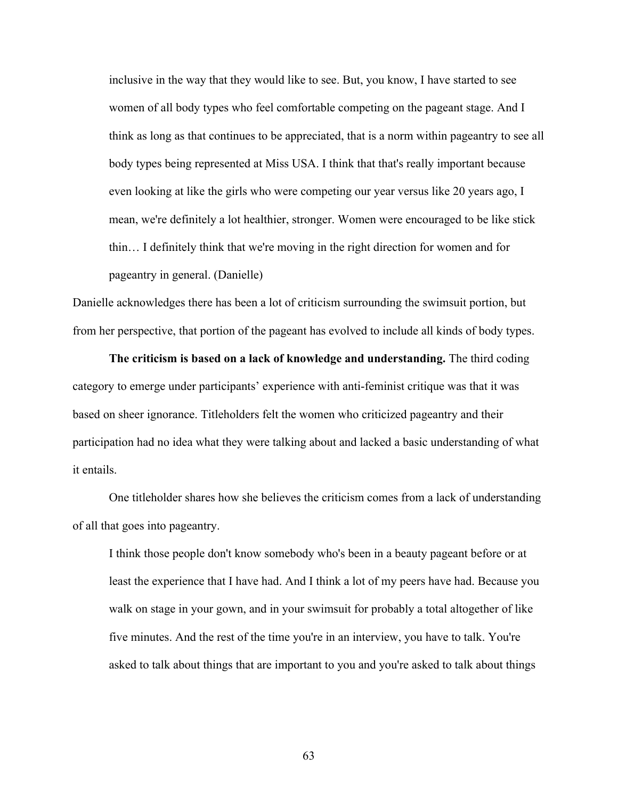inclusive in the way that they would like to see. But, you know, I have started to see women of all body types who feel comfortable competing on the pageant stage. And I think as long as that continues to be appreciated, that is a norm within pageantry to see all body types being represented at Miss USA. I think that that's really important because even looking at like the girls who were competing our year versus like 20 years ago, I mean, we're definitely a lot healthier, stronger. Women were encouraged to be like stick thin… I definitely think that we're moving in the right direction for women and for pageantry in general. (Danielle)

Danielle acknowledges there has been a lot of criticism surrounding the swimsuit portion, but from her perspective, that portion of the pageant has evolved to include all kinds of body types.

**The criticism is based on a lack of knowledge and understanding.** The third coding category to emerge under participants' experience with anti-feminist critique was that it was based on sheer ignorance. Titleholders felt the women who criticized pageantry and their participation had no idea what they were talking about and lacked a basic understanding of what it entails.

One titleholder shares how she believes the criticism comes from a lack of understanding of all that goes into pageantry.

I think those people don't know somebody who's been in a beauty pageant before or at least the experience that I have had. And I think a lot of my peers have had. Because you walk on stage in your gown, and in your swimsuit for probably a total altogether of like five minutes. And the rest of the time you're in an interview, you have to talk. You're asked to talk about things that are important to you and you're asked to talk about things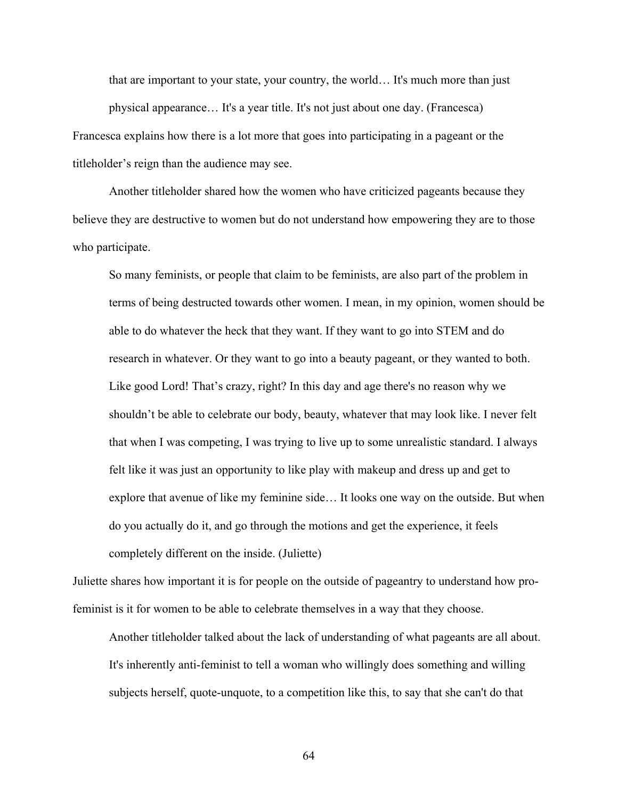that are important to your state, your country, the world… It's much more than just physical appearance… It's a year title. It's not just about one day. (Francesca) Francesca explains how there is a lot more that goes into participating in a pageant or the titleholder's reign than the audience may see.

Another titleholder shared how the women who have criticized pageants because they believe they are destructive to women but do not understand how empowering they are to those who participate.

So many feminists, or people that claim to be feminists, are also part of the problem in terms of being destructed towards other women. I mean, in my opinion, women should be able to do whatever the heck that they want. If they want to go into STEM and do research in whatever. Or they want to go into a beauty pageant, or they wanted to both. Like good Lord! That's crazy, right? In this day and age there's no reason why we shouldn't be able to celebrate our body, beauty, whatever that may look like. I never felt that when I was competing, I was trying to live up to some unrealistic standard. I always felt like it was just an opportunity to like play with makeup and dress up and get to explore that avenue of like my feminine side… It looks one way on the outside. But when do you actually do it, and go through the motions and get the experience, it feels completely different on the inside. (Juliette)

Juliette shares how important it is for people on the outside of pageantry to understand how profeminist is it for women to be able to celebrate themselves in a way that they choose.

Another titleholder talked about the lack of understanding of what pageants are all about. It's inherently anti-feminist to tell a woman who willingly does something and willing subjects herself, quote-unquote, to a competition like this, to say that she can't do that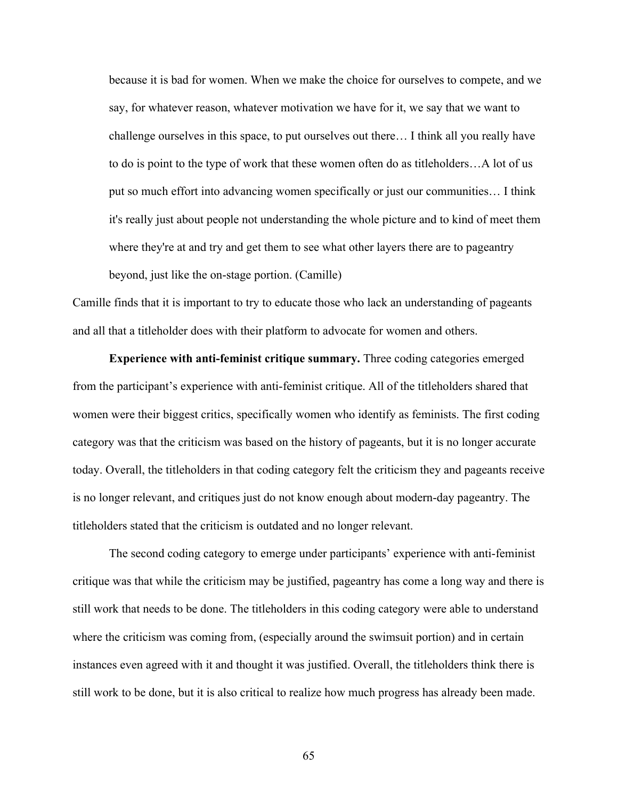because it is bad for women. When we make the choice for ourselves to compete, and we say, for whatever reason, whatever motivation we have for it, we say that we want to challenge ourselves in this space, to put ourselves out there… I think all you really have to do is point to the type of work that these women often do as titleholders…A lot of us put so much effort into advancing women specifically or just our communities… I think it's really just about people not understanding the whole picture and to kind of meet them where they're at and try and get them to see what other layers there are to pageantry

beyond, just like the on-stage portion. (Camille)

Camille finds that it is important to try to educate those who lack an understanding of pageants and all that a titleholder does with their platform to advocate for women and others.

**Experience with anti-feminist critique summary.** Three coding categories emerged from the participant's experience with anti-feminist critique. All of the titleholders shared that women were their biggest critics, specifically women who identify as feminists. The first coding category was that the criticism was based on the history of pageants, but it is no longer accurate today. Overall, the titleholders in that coding category felt the criticism they and pageants receive is no longer relevant, and critiques just do not know enough about modern-day pageantry. The titleholders stated that the criticism is outdated and no longer relevant.

The second coding category to emerge under participants' experience with anti-feminist critique was that while the criticism may be justified, pageantry has come a long way and there is still work that needs to be done. The titleholders in this coding category were able to understand where the criticism was coming from, (especially around the swimsuit portion) and in certain instances even agreed with it and thought it was justified. Overall, the titleholders think there is still work to be done, but it is also critical to realize how much progress has already been made.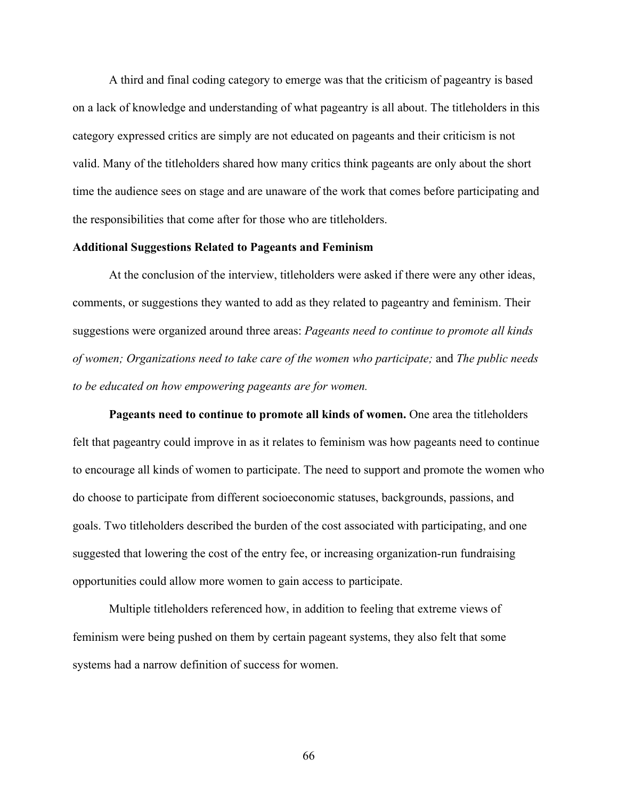A third and final coding category to emerge was that the criticism of pageantry is based on a lack of knowledge and understanding of what pageantry is all about. The titleholders in this category expressed critics are simply are not educated on pageants and their criticism is not valid. Many of the titleholders shared how many critics think pageants are only about the short time the audience sees on stage and are unaware of the work that comes before participating and the responsibilities that come after for those who are titleholders.

## **Additional Suggestions Related to Pageants and Feminism**

At the conclusion of the interview, titleholders were asked if there were any other ideas, comments, or suggestions they wanted to add as they related to pageantry and feminism. Their suggestions were organized around three areas: *Pageants need to continue to promote all kinds of women; Organizations need to take care of the women who participate;* and *The public needs to be educated on how empowering pageants are for women.* 

**Pageants need to continue to promote all kinds of women.** One area the titleholders felt that pageantry could improve in as it relates to feminism was how pageants need to continue to encourage all kinds of women to participate. The need to support and promote the women who do choose to participate from different socioeconomic statuses, backgrounds, passions, and goals. Two titleholders described the burden of the cost associated with participating, and one suggested that lowering the cost of the entry fee, or increasing organization-run fundraising opportunities could allow more women to gain access to participate.

Multiple titleholders referenced how, in addition to feeling that extreme views of feminism were being pushed on them by certain pageant systems, they also felt that some systems had a narrow definition of success for women.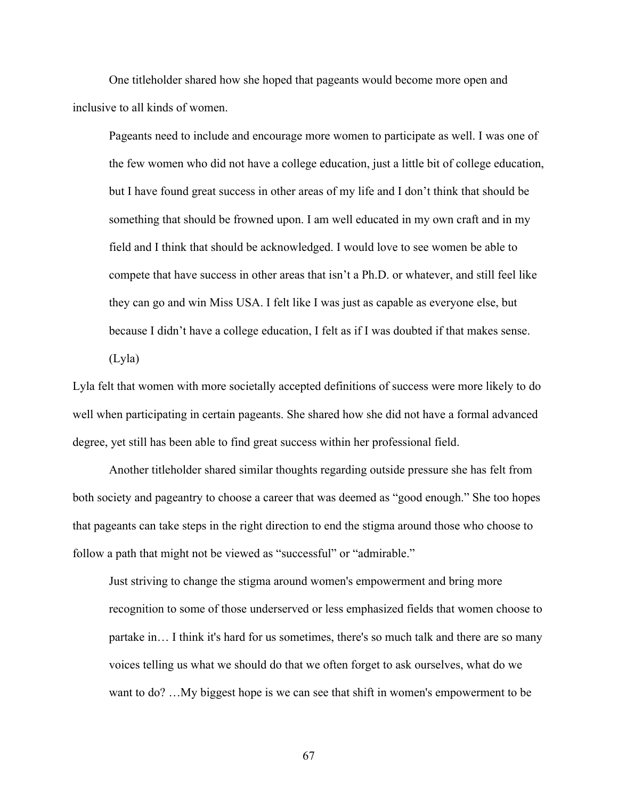One titleholder shared how she hoped that pageants would become more open and inclusive to all kinds of women.

Pageants need to include and encourage more women to participate as well. I was one of the few women who did not have a college education, just a little bit of college education, but I have found great success in other areas of my life and I don't think that should be something that should be frowned upon. I am well educated in my own craft and in my field and I think that should be acknowledged. I would love to see women be able to compete that have success in other areas that isn't a Ph.D. or whatever, and still feel like they can go and win Miss USA. I felt like I was just as capable as everyone else, but because I didn't have a college education, I felt as if I was doubted if that makes sense.

(Lyla)

Lyla felt that women with more societally accepted definitions of success were more likely to do well when participating in certain pageants. She shared how she did not have a formal advanced degree, yet still has been able to find great success within her professional field.

Another titleholder shared similar thoughts regarding outside pressure she has felt from both society and pageantry to choose a career that was deemed as "good enough." She too hopes that pageants can take steps in the right direction to end the stigma around those who choose to follow a path that might not be viewed as "successful" or "admirable."

Just striving to change the stigma around women's empowerment and bring more recognition to some of those underserved or less emphasized fields that women choose to partake in… I think it's hard for us sometimes, there's so much talk and there are so many voices telling us what we should do that we often forget to ask ourselves, what do we want to do? …My biggest hope is we can see that shift in women's empowerment to be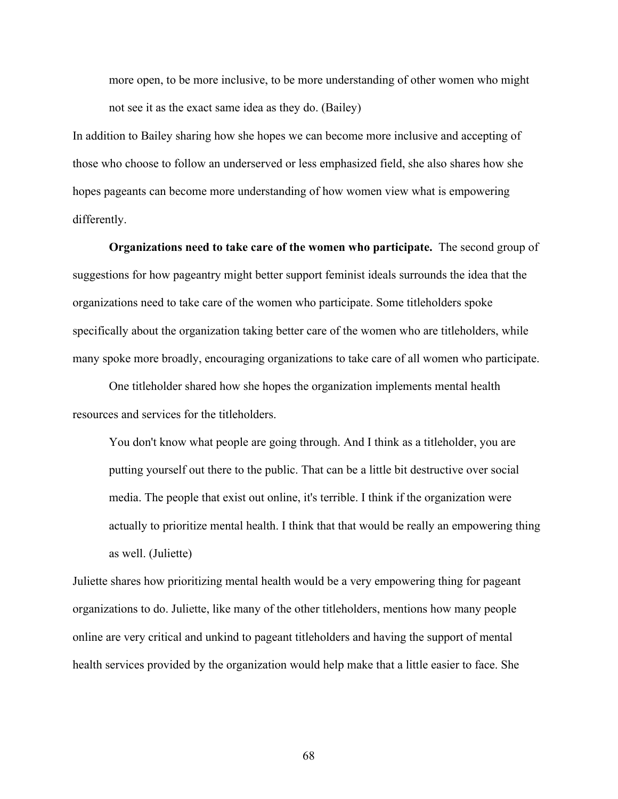more open, to be more inclusive, to be more understanding of other women who might not see it as the exact same idea as they do. (Bailey)

In addition to Bailey sharing how she hopes we can become more inclusive and accepting of those who choose to follow an underserved or less emphasized field, she also shares how she hopes pageants can become more understanding of how women view what is empowering differently.

**Organizations need to take care of the women who participate.**The second group of suggestions for how pageantry might better support feminist ideals surrounds the idea that the organizations need to take care of the women who participate. Some titleholders spoke specifically about the organization taking better care of the women who are titleholders, while many spoke more broadly, encouraging organizations to take care of all women who participate.

One titleholder shared how she hopes the organization implements mental health resources and services for the titleholders.

You don't know what people are going through. And I think as a titleholder, you are putting yourself out there to the public. That can be a little bit destructive over social media. The people that exist out online, it's terrible. I think if the organization were actually to prioritize mental health. I think that that would be really an empowering thing as well. (Juliette)

Juliette shares how prioritizing mental health would be a very empowering thing for pageant organizations to do. Juliette, like many of the other titleholders, mentions how many people online are very critical and unkind to pageant titleholders and having the support of mental health services provided by the organization would help make that a little easier to face. She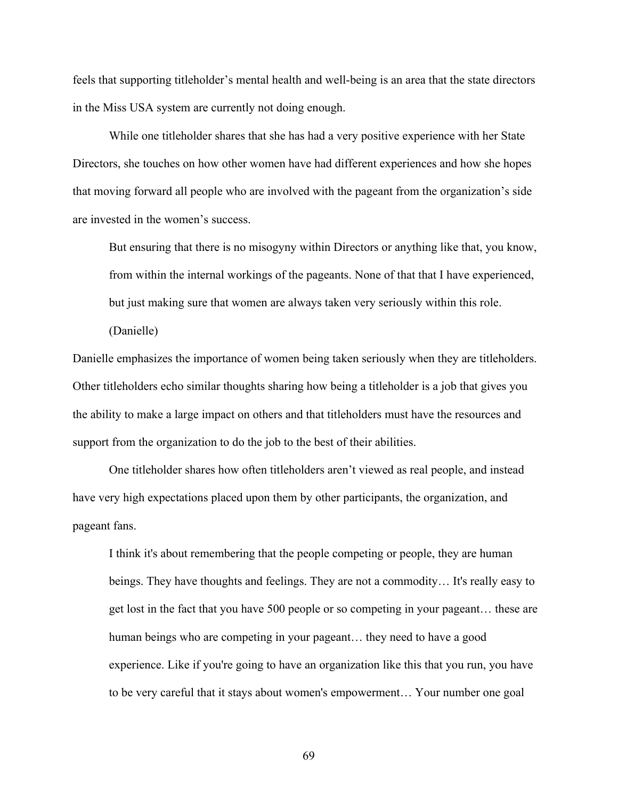feels that supporting titleholder's mental health and well-being is an area that the state directors in the Miss USA system are currently not doing enough.

While one titleholder shares that she has had a very positive experience with her State Directors, she touches on how other women have had different experiences and how she hopes that moving forward all people who are involved with the pageant from the organization's side are invested in the women's success.

But ensuring that there is no misogyny within Directors or anything like that, you know, from within the internal workings of the pageants. None of that that I have experienced, but just making sure that women are always taken very seriously within this role.

(Danielle)

Danielle emphasizes the importance of women being taken seriously when they are titleholders. Other titleholders echo similar thoughts sharing how being a titleholder is a job that gives you the ability to make a large impact on others and that titleholders must have the resources and support from the organization to do the job to the best of their abilities.

One titleholder shares how often titleholders aren't viewed as real people, and instead have very high expectations placed upon them by other participants, the organization, and pageant fans.

I think it's about remembering that the people competing or people, they are human beings. They have thoughts and feelings. They are not a commodity… It's really easy to get lost in the fact that you have 500 people or so competing in your pageant… these are human beings who are competing in your pageant… they need to have a good experience. Like if you're going to have an organization like this that you run, you have to be very careful that it stays about women's empowerment… Your number one goal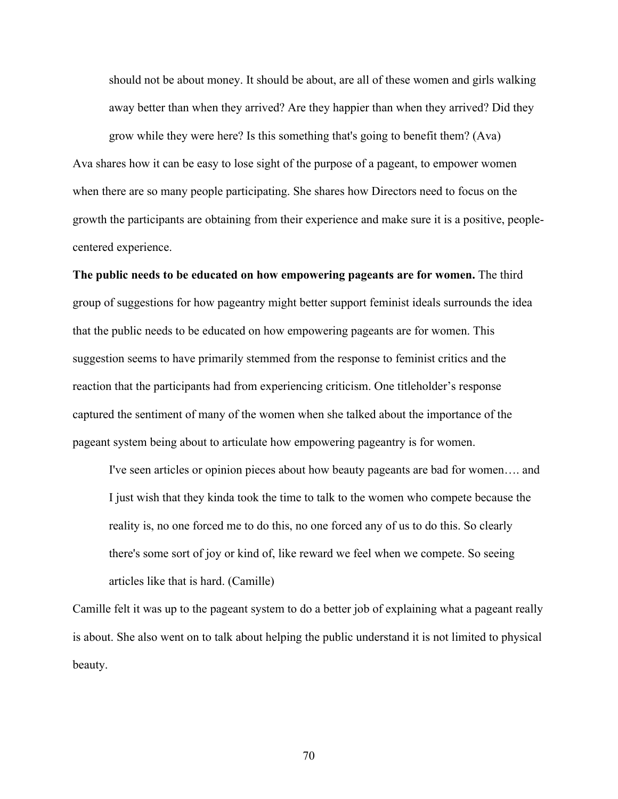should not be about money. It should be about, are all of these women and girls walking away better than when they arrived? Are they happier than when they arrived? Did they

grow while they were here? Is this something that's going to benefit them? (Ava) Ava shares how it can be easy to lose sight of the purpose of a pageant, to empower women when there are so many people participating. She shares how Directors need to focus on the growth the participants are obtaining from their experience and make sure it is a positive, peoplecentered experience.

**The public needs to be educated on how empowering pageants are for women.** The third group of suggestions for how pageantry might better support feminist ideals surrounds the idea that the public needs to be educated on how empowering pageants are for women. This suggestion seems to have primarily stemmed from the response to feminist critics and the reaction that the participants had from experiencing criticism. One titleholder's response captured the sentiment of many of the women when she talked about the importance of the pageant system being about to articulate how empowering pageantry is for women.

I've seen articles or opinion pieces about how beauty pageants are bad for women…. and I just wish that they kinda took the time to talk to the women who compete because the reality is, no one forced me to do this, no one forced any of us to do this. So clearly there's some sort of joy or kind of, like reward we feel when we compete. So seeing articles like that is hard. (Camille)

Camille felt it was up to the pageant system to do a better job of explaining what a pageant really is about. She also went on to talk about helping the public understand it is not limited to physical beauty.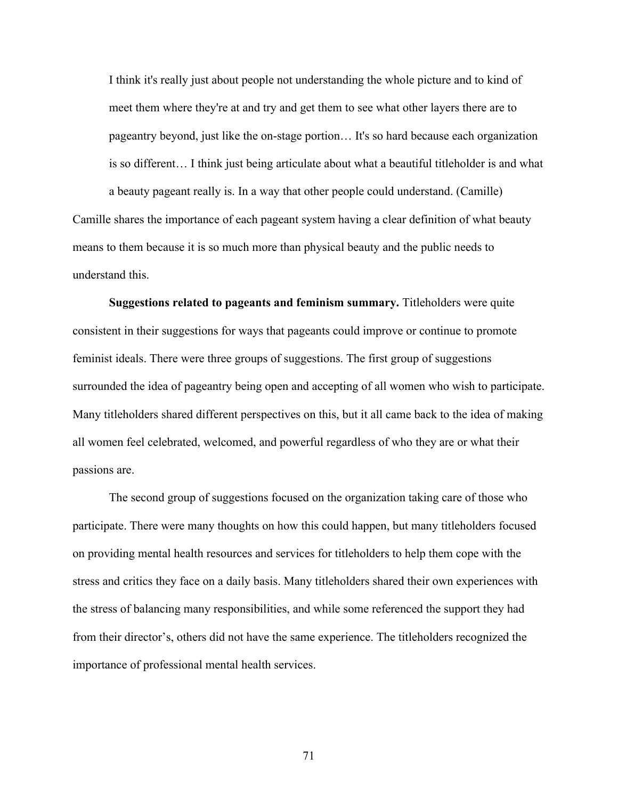I think it's really just about people not understanding the whole picture and to kind of meet them where they're at and try and get them to see what other layers there are to pageantry beyond, just like the on-stage portion… It's so hard because each organization is so different… I think just being articulate about what a beautiful titleholder is and what a beauty pageant really is. In a way that other people could understand. (Camille)

Camille shares the importance of each pageant system having a clear definition of what beauty means to them because it is so much more than physical beauty and the public needs to understand this.

**Suggestions related to pageants and feminism summary.** Titleholders were quite consistent in their suggestions for ways that pageants could improve or continue to promote feminist ideals. There were three groups of suggestions. The first group of suggestions surrounded the idea of pageantry being open and accepting of all women who wish to participate. Many titleholders shared different perspectives on this, but it all came back to the idea of making all women feel celebrated, welcomed, and powerful regardless of who they are or what their passions are.

The second group of suggestions focused on the organization taking care of those who participate. There were many thoughts on how this could happen, but many titleholders focused on providing mental health resources and services for titleholders to help them cope with the stress and critics they face on a daily basis. Many titleholders shared their own experiences with the stress of balancing many responsibilities, and while some referenced the support they had from their director's, others did not have the same experience. The titleholders recognized the importance of professional mental health services.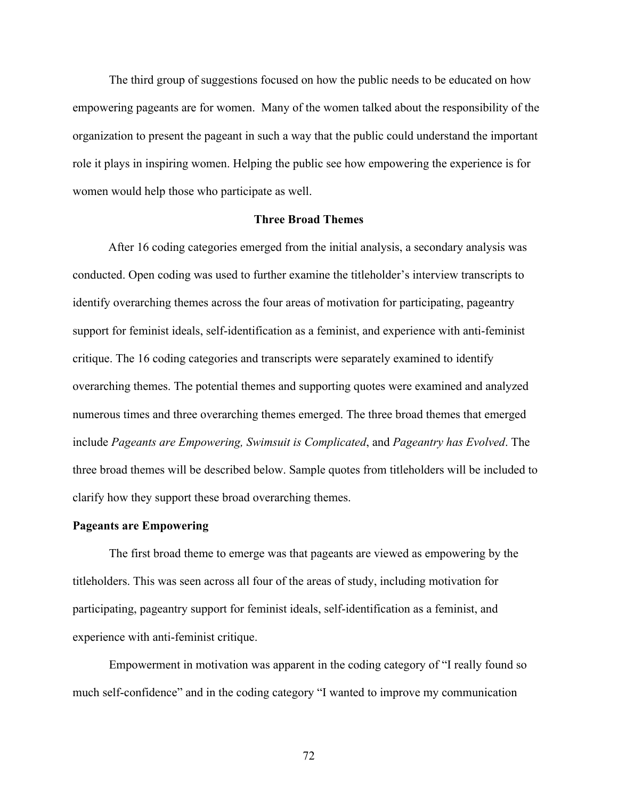The third group of suggestions focused on how the public needs to be educated on how empowering pageants are for women. Many of the women talked about the responsibility of the organization to present the pageant in such a way that the public could understand the important role it plays in inspiring women. Helping the public see how empowering the experience is for women would help those who participate as well.

## **Three Broad Themes**

After 16 coding categories emerged from the initial analysis, a secondary analysis was conducted. Open coding was used to further examine the titleholder's interview transcripts to identify overarching themes across the four areas of motivation for participating, pageantry support for feminist ideals, self-identification as a feminist, and experience with anti-feminist critique. The 16 coding categories and transcripts were separately examined to identify overarching themes. The potential themes and supporting quotes were examined and analyzed numerous times and three overarching themes emerged. The three broad themes that emerged include *Pageants are Empowering, Swimsuit is Complicated*, and *Pageantry has Evolved*. The three broad themes will be described below. Sample quotes from titleholders will be included to clarify how they support these broad overarching themes.

### **Pageants are Empowering**

The first broad theme to emerge was that pageants are viewed as empowering by the titleholders. This was seen across all four of the areas of study, including motivation for participating, pageantry support for feminist ideals, self-identification as a feminist, and experience with anti-feminist critique.

Empowerment in motivation was apparent in the coding category of "I really found so much self-confidence" and in the coding category "I wanted to improve my communication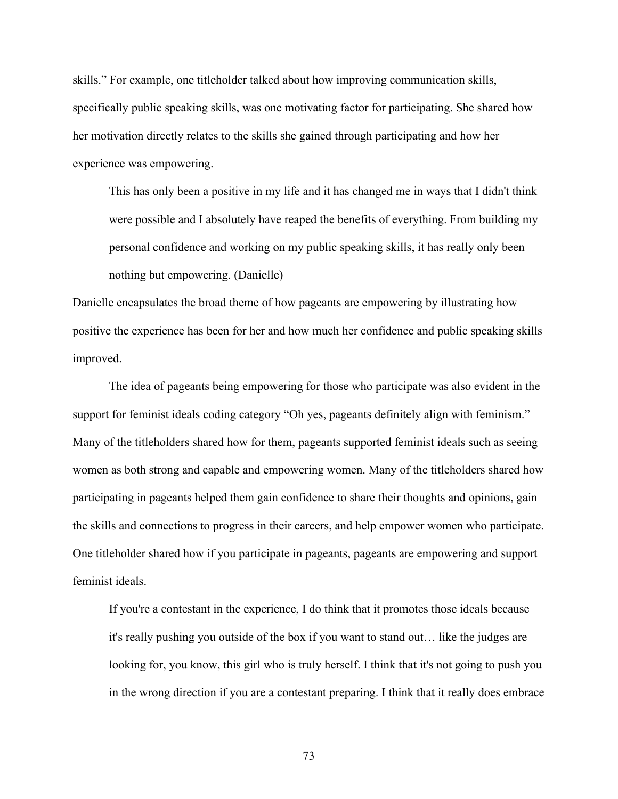skills." For example, one titleholder talked about how improving communication skills, specifically public speaking skills, was one motivating factor for participating. She shared how her motivation directly relates to the skills she gained through participating and how her experience was empowering.

This has only been a positive in my life and it has changed me in ways that I didn't think were possible and I absolutely have reaped the benefits of everything. From building my personal confidence and working on my public speaking skills, it has really only been nothing but empowering. (Danielle)

Danielle encapsulates the broad theme of how pageants are empowering by illustrating how positive the experience has been for her and how much her confidence and public speaking skills improved.

The idea of pageants being empowering for those who participate was also evident in the support for feminist ideals coding category "Oh yes, pageants definitely align with feminism." Many of the titleholders shared how for them, pageants supported feminist ideals such as seeing women as both strong and capable and empowering women. Many of the titleholders shared how participating in pageants helped them gain confidence to share their thoughts and opinions, gain the skills and connections to progress in their careers, and help empower women who participate. One titleholder shared how if you participate in pageants, pageants are empowering and support feminist ideals.

If you're a contestant in the experience, I do think that it promotes those ideals because it's really pushing you outside of the box if you want to stand out… like the judges are looking for, you know, this girl who is truly herself. I think that it's not going to push you in the wrong direction if you are a contestant preparing. I think that it really does embrace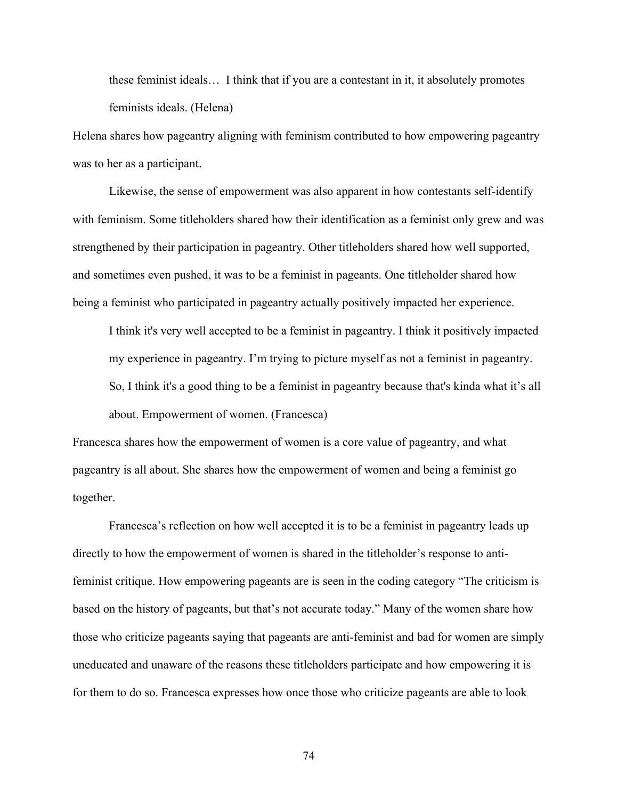these feminist ideals… I think that if you are a contestant in it, it absolutely promotes feminists ideals. (Helena)

Helena shares how pageantry aligning with feminism contributed to how empowering pageantry was to her as a participant.

Likewise, the sense of empowerment was also apparent in how contestants self-identify with feminism. Some titleholders shared how their identification as a feminist only grew and was strengthened by their participation in pageantry. Other titleholders shared how well supported, and sometimes even pushed, it was to be a feminist in pageants. One titleholder shared how being a feminist who participated in pageantry actually positively impacted her experience.

I think it's very well accepted to be a feminist in pageantry. I think it positively impacted my experience in pageantry. I'm trying to picture myself as not a feminist in pageantry. So, I think it's a good thing to be a feminist in pageantry because that's kinda what it's all about. Empowerment of women. (Francesca)

Francesca shares how the empowerment of women is a core value of pageantry, and what pageantry is all about. She shares how the empowerment of women and being a feminist go together.

Francesca's reflection on how well accepted it is to be a feminist in pageantry leads up directly to how the empowerment of women is shared in the titleholder's response to antifeminist critique. How empowering pageants are is seen in the coding category "The criticism is based on the history of pageants, but that's not accurate today." Many of the women share how those who criticize pageants saying that pageants are anti-feminist and bad for women are simply uneducated and unaware of the reasons these titleholders participate and how empowering it is for them to do so. Francesca expresses how once those who criticize pageants are able to look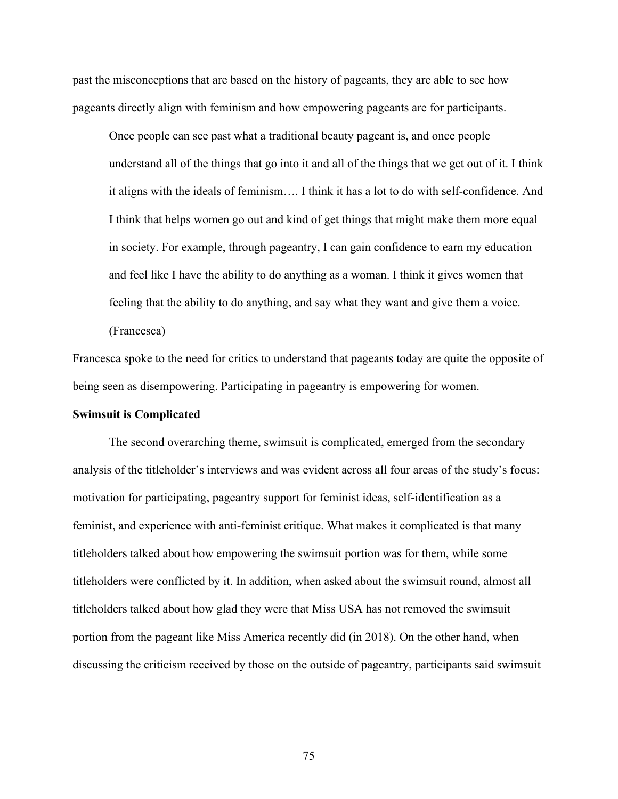past the misconceptions that are based on the history of pageants, they are able to see how pageants directly align with feminism and how empowering pageants are for participants.

Once people can see past what a traditional beauty pageant is, and once people understand all of the things that go into it and all of the things that we get out of it. I think it aligns with the ideals of feminism…. I think it has a lot to do with self-confidence. And I think that helps women go out and kind of get things that might make them more equal in society. For example, through pageantry, I can gain confidence to earn my education and feel like I have the ability to do anything as a woman. I think it gives women that feeling that the ability to do anything, and say what they want and give them a voice.

(Francesca)

Francesca spoke to the need for critics to understand that pageants today are quite the opposite of being seen as disempowering. Participating in pageantry is empowering for women.

## **Swimsuit is Complicated**

The second overarching theme, swimsuit is complicated, emerged from the secondary analysis of the titleholder's interviews and was evident across all four areas of the study's focus: motivation for participating, pageantry support for feminist ideas, self-identification as a feminist, and experience with anti-feminist critique. What makes it complicated is that many titleholders talked about how empowering the swimsuit portion was for them, while some titleholders were conflicted by it. In addition, when asked about the swimsuit round, almost all titleholders talked about how glad they were that Miss USA has not removed the swimsuit portion from the pageant like Miss America recently did (in 2018). On the other hand, when discussing the criticism received by those on the outside of pageantry, participants said swimsuit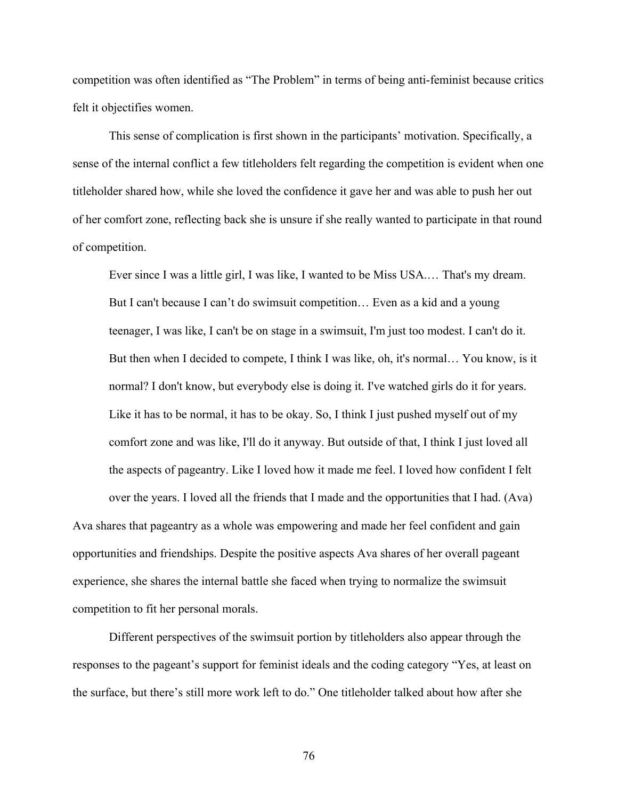competition was often identified as "The Problem" in terms of being anti-feminist because critics felt it objectifies women.

This sense of complication is first shown in the participants' motivation. Specifically, a sense of the internal conflict a few titleholders felt regarding the competition is evident when one titleholder shared how, while she loved the confidence it gave her and was able to push her out of her comfort zone, reflecting back she is unsure if she really wanted to participate in that round of competition.

Ever since I was a little girl, I was like, I wanted to be Miss USA.… That's my dream. But I can't because I can't do swimsuit competition… Even as a kid and a young teenager, I was like, I can't be on stage in a swimsuit, I'm just too modest. I can't do it. But then when I decided to compete, I think I was like, oh, it's normal… You know, is it normal? I don't know, but everybody else is doing it. I've watched girls do it for years. Like it has to be normal, it has to be okay. So, I think I just pushed myself out of my comfort zone and was like, I'll do it anyway. But outside of that, I think I just loved all the aspects of pageantry. Like I loved how it made me feel. I loved how confident I felt

over the years. I loved all the friends that I made and the opportunities that I had. (Ava)

Ava shares that pageantry as a whole was empowering and made her feel confident and gain opportunities and friendships. Despite the positive aspects Ava shares of her overall pageant experience, she shares the internal battle she faced when trying to normalize the swimsuit competition to fit her personal morals.

Different perspectives of the swimsuit portion by titleholders also appear through the responses to the pageant's support for feminist ideals and the coding category "Yes, at least on the surface, but there's still more work left to do." One titleholder talked about how after she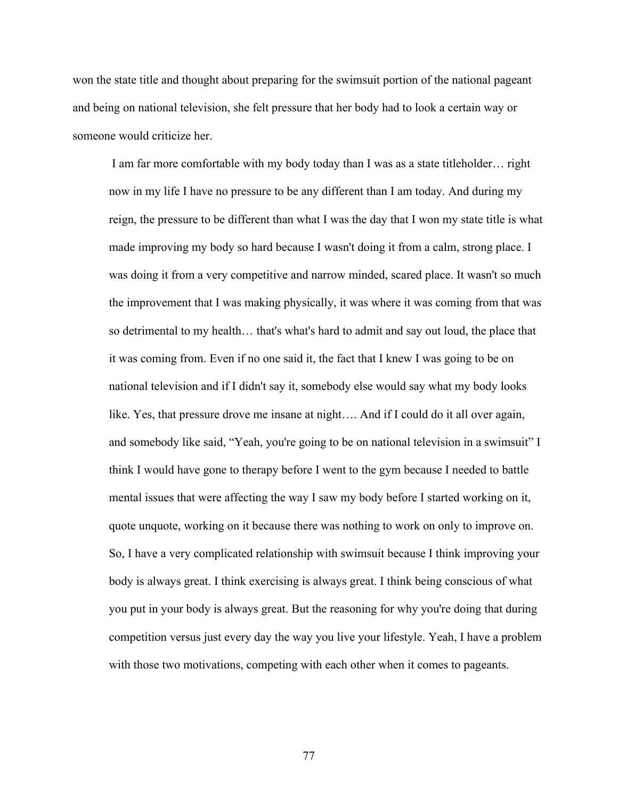won the state title and thought about preparing for the swimsuit portion of the national pageant and being on national television, she felt pressure that her body had to look a certain way or someone would criticize her.

I am far more comfortable with my body today than I was as a state titleholder… right now in my life I have no pressure to be any different than I am today. And during my reign, the pressure to be different than what I was the day that I won my state title is what made improving my body so hard because I wasn't doing it from a calm, strong place. I was doing it from a very competitive and narrow minded, scared place. It wasn't so much the improvement that I was making physically, it was where it was coming from that was so detrimental to my health… that's what's hard to admit and say out loud, the place that it was coming from. Even if no one said it, the fact that I knew I was going to be on national television and if I didn't say it, somebody else would say what my body looks like. Yes, that pressure drove me insane at night…. And if I could do it all over again, and somebody like said, "Yeah, you're going to be on national television in a swimsuit" I think I would have gone to therapy before I went to the gym because I needed to battle mental issues that were affecting the way I saw my body before I started working on it, quote unquote, working on it because there was nothing to work on only to improve on. So, I have a very complicated relationship with swimsuit because I think improving your body is always great. I think exercising is always great. I think being conscious of what you put in your body is always great. But the reasoning for why you're doing that during competition versus just every day the way you live your lifestyle. Yeah, I have a problem with those two motivations, competing with each other when it comes to pageants.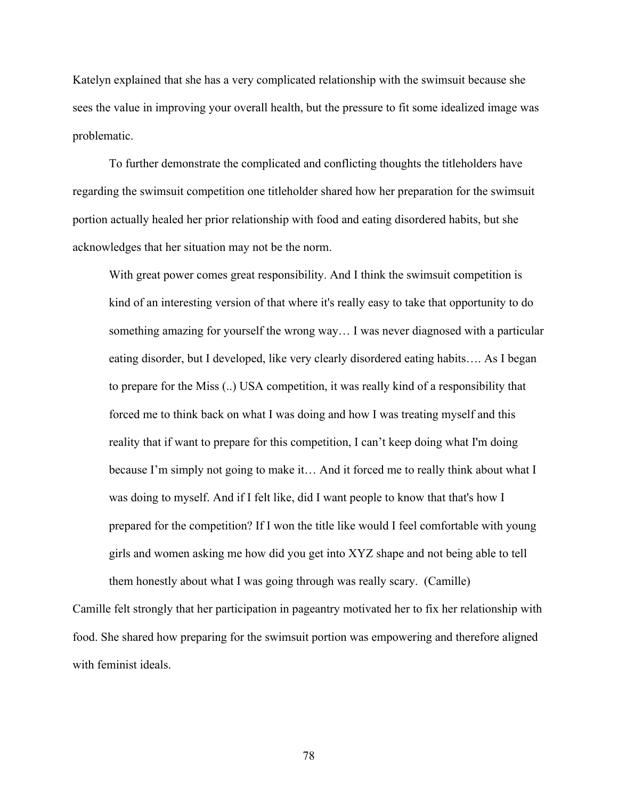Katelyn explained that she has a very complicated relationship with the swimsuit because she sees the value in improving your overall health, but the pressure to fit some idealized image was problematic.

To further demonstrate the complicated and conflicting thoughts the titleholders have regarding the swimsuit competition one titleholder shared how her preparation for the swimsuit portion actually healed her prior relationship with food and eating disordered habits, but she acknowledges that her situation may not be the norm.

With great power comes great responsibility. And I think the swimsuit competition is kind of an interesting version of that where it's really easy to take that opportunity to do something amazing for yourself the wrong way… I was never diagnosed with a particular eating disorder, but I developed, like very clearly disordered eating habits…. As I began to prepare for the Miss (..) USA competition, it was really kind of a responsibility that forced me to think back on what I was doing and how I was treating myself and this reality that if want to prepare for this competition, I can't keep doing what I'm doing because I'm simply not going to make it… And it forced me to really think about what I was doing to myself. And if I felt like, did I want people to know that that's how I prepared for the competition? If I won the title like would I feel comfortable with young girls and women asking me how did you get into XYZ shape and not being able to tell them honestly about what I was going through was really scary. (Camille)

Camille felt strongly that her participation in pageantry motivated her to fix her relationship with food. She shared how preparing for the swimsuit portion was empowering and therefore aligned with feminist ideals.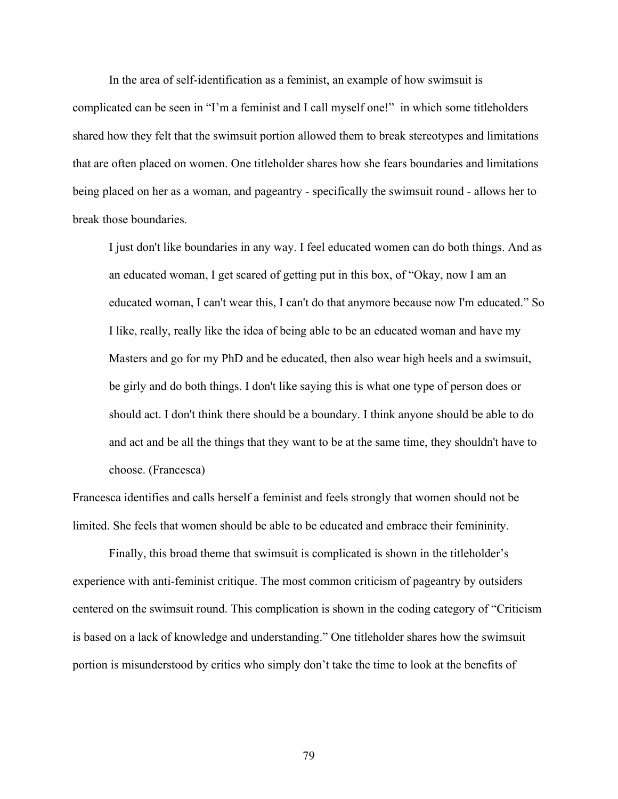In the area of self-identification as a feminist, an example of how swimsuit is complicated can be seen in "I'm a feminist and I call myself one!" in which some titleholders shared how they felt that the swimsuit portion allowed them to break stereotypes and limitations that are often placed on women. One titleholder shares how she fears boundaries and limitations being placed on her as a woman, and pageantry - specifically the swimsuit round - allows her to break those boundaries.

I just don't like boundaries in any way. I feel educated women can do both things. And as an educated woman, I get scared of getting put in this box, of "Okay, now I am an educated woman, I can't wear this, I can't do that anymore because now I'm educated." So I like, really, really like the idea of being able to be an educated woman and have my Masters and go for my PhD and be educated, then also wear high heels and a swimsuit, be girly and do both things. I don't like saying this is what one type of person does or should act. I don't think there should be a boundary. I think anyone should be able to do and act and be all the things that they want to be at the same time, they shouldn't have to choose. (Francesca)

Francesca identifies and calls herself a feminist and feels strongly that women should not be limited. She feels that women should be able to be educated and embrace their femininity.

Finally, this broad theme that swimsuit is complicated is shown in the titleholder's experience with anti-feminist critique. The most common criticism of pageantry by outsiders centered on the swimsuit round. This complication is shown in the coding category of "Criticism is based on a lack of knowledge and understanding." One titleholder shares how the swimsuit portion is misunderstood by critics who simply don't take the time to look at the benefits of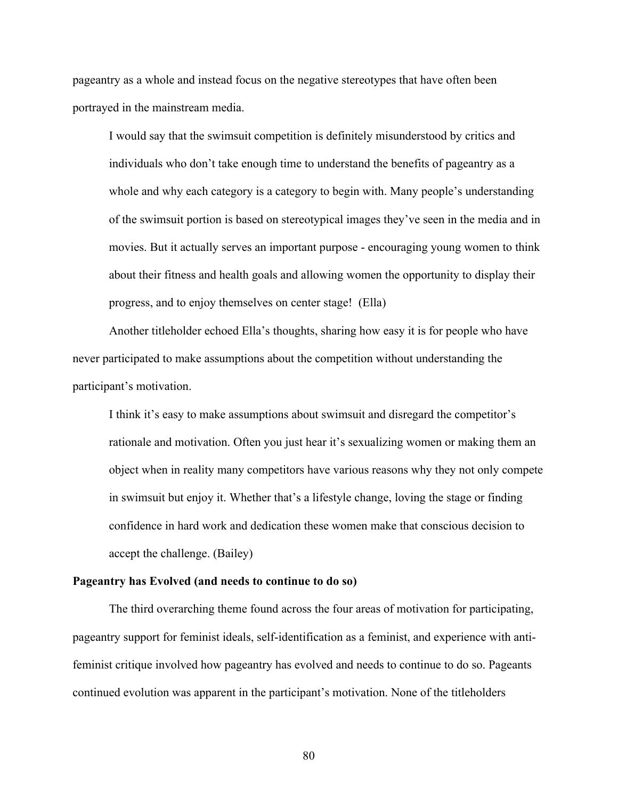pageantry as a whole and instead focus on the negative stereotypes that have often been portrayed in the mainstream media.

I would say that the swimsuit competition is definitely misunderstood by critics and individuals who don't take enough time to understand the benefits of pageantry as a whole and why each category is a category to begin with. Many people's understanding of the swimsuit portion is based on stereotypical images they've seen in the media and in movies. But it actually serves an important purpose - encouraging young women to think about their fitness and health goals and allowing women the opportunity to display their progress, and to enjoy themselves on center stage! (Ella)

Another titleholder echoed Ella's thoughts, sharing how easy it is for people who have never participated to make assumptions about the competition without understanding the participant's motivation.

I think it's easy to make assumptions about swimsuit and disregard the competitor's rationale and motivation. Often you just hear it's sexualizing women or making them an object when in reality many competitors have various reasons why they not only compete in swimsuit but enjoy it. Whether that's a lifestyle change, loving the stage or finding confidence in hard work and dedication these women make that conscious decision to accept the challenge. (Bailey)

### **Pageantry has Evolved (and needs to continue to do so)**

The third overarching theme found across the four areas of motivation for participating, pageantry support for feminist ideals, self-identification as a feminist, and experience with antifeminist critique involved how pageantry has evolved and needs to continue to do so. Pageants continued evolution was apparent in the participant's motivation. None of the titleholders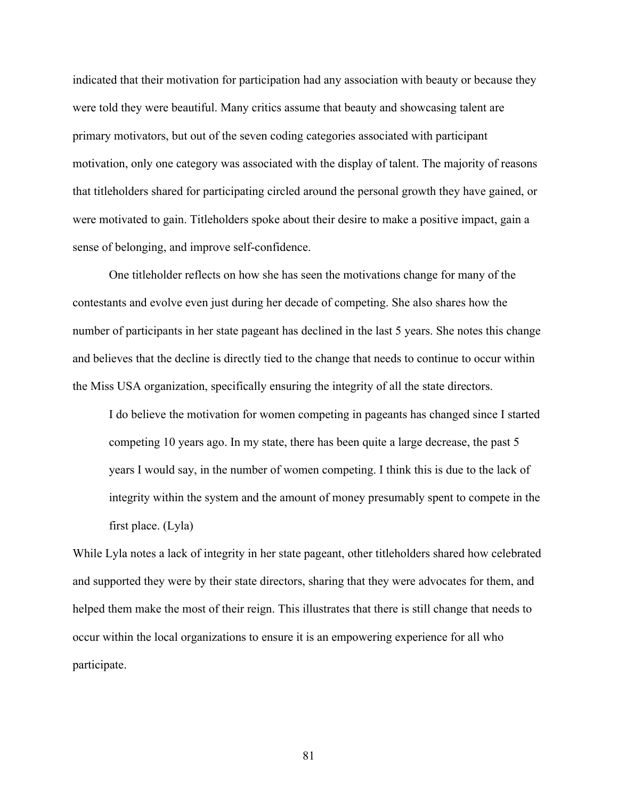indicated that their motivation for participation had any association with beauty or because they were told they were beautiful. Many critics assume that beauty and showcasing talent are primary motivators, but out of the seven coding categories associated with participant motivation, only one category was associated with the display of talent. The majority of reasons that titleholders shared for participating circled around the personal growth they have gained, or were motivated to gain. Titleholders spoke about their desire to make a positive impact, gain a sense of belonging, and improve self-confidence.

One titleholder reflects on how she has seen the motivations change for many of the contestants and evolve even just during her decade of competing. She also shares how the number of participants in her state pageant has declined in the last 5 years. She notes this change and believes that the decline is directly tied to the change that needs to continue to occur within the Miss USA organization, specifically ensuring the integrity of all the state directors.

I do believe the motivation for women competing in pageants has changed since I started competing 10 years ago. In my state, there has been quite a large decrease, the past 5 years I would say, in the number of women competing. I think this is due to the lack of integrity within the system and the amount of money presumably spent to compete in the first place. (Lyla)

While Lyla notes a lack of integrity in her state pageant, other titleholders shared how celebrated and supported they were by their state directors, sharing that they were advocates for them, and helped them make the most of their reign. This illustrates that there is still change that needs to occur within the local organizations to ensure it is an empowering experience for all who participate.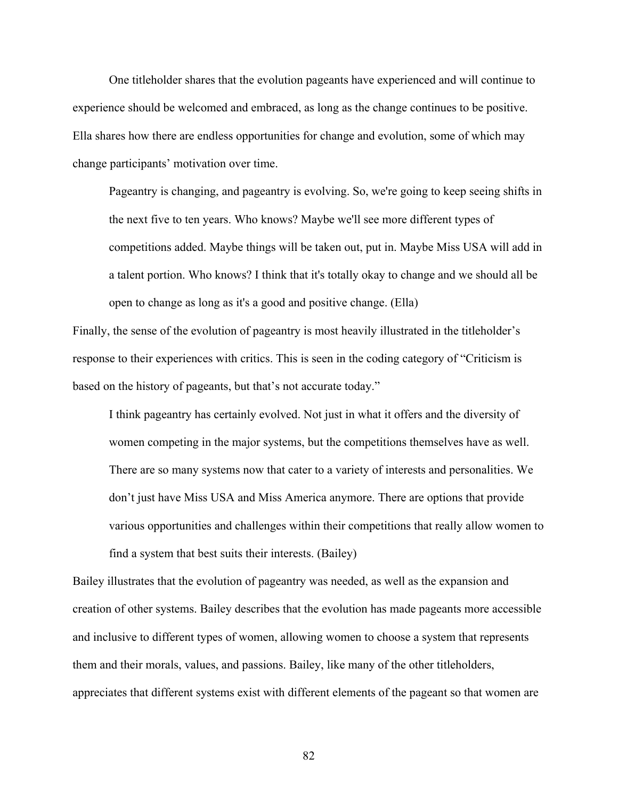One titleholder shares that the evolution pageants have experienced and will continue to experience should be welcomed and embraced, as long as the change continues to be positive. Ella shares how there are endless opportunities for change and evolution, some of which may change participants' motivation over time.

Pageantry is changing, and pageantry is evolving. So, we're going to keep seeing shifts in the next five to ten years. Who knows? Maybe we'll see more different types of competitions added. Maybe things will be taken out, put in. Maybe Miss USA will add in a talent portion. Who knows? I think that it's totally okay to change and we should all be open to change as long as it's a good and positive change. (Ella)

Finally, the sense of the evolution of pageantry is most heavily illustrated in the titleholder's response to their experiences with critics. This is seen in the coding category of "Criticism is based on the history of pageants, but that's not accurate today."

I think pageantry has certainly evolved. Not just in what it offers and the diversity of women competing in the major systems, but the competitions themselves have as well. There are so many systems now that cater to a variety of interests and personalities. We don't just have Miss USA and Miss America anymore. There are options that provide various opportunities and challenges within their competitions that really allow women to find a system that best suits their interests. (Bailey)

Bailey illustrates that the evolution of pageantry was needed, as well as the expansion and creation of other systems. Bailey describes that the evolution has made pageants more accessible and inclusive to different types of women, allowing women to choose a system that represents them and their morals, values, and passions. Bailey, like many of the other titleholders, appreciates that different systems exist with different elements of the pageant so that women are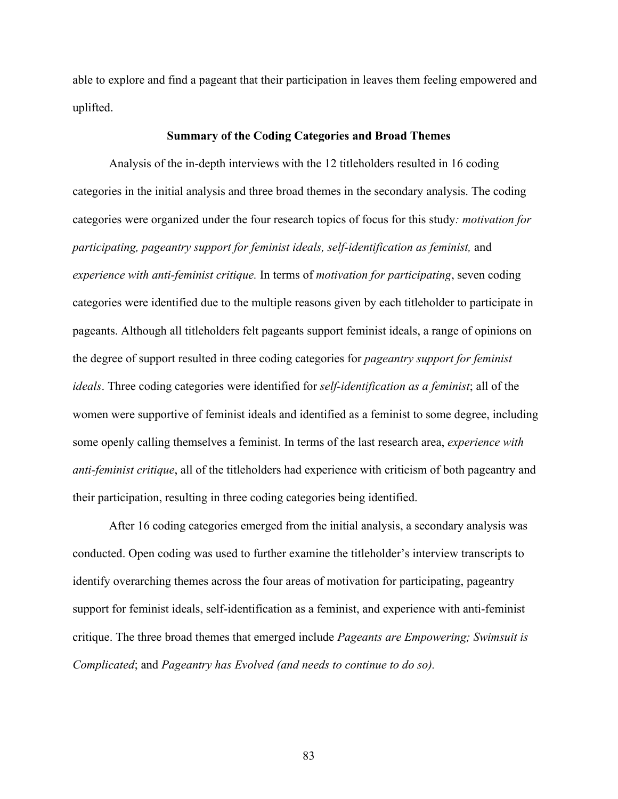able to explore and find a pageant that their participation in leaves them feeling empowered and uplifted.

## **Summary of the Coding Categories and Broad Themes**

Analysis of the in-depth interviews with the 12 titleholders resulted in 16 coding categories in the initial analysis and three broad themes in the secondary analysis. The coding categories were organized under the four research topics of focus for this study*: motivation for participating, pageantry support for feminist ideals, self-identification as feminist,* and *experience with anti-feminist critique.* In terms of *motivation for participating*, seven coding categories were identified due to the multiple reasons given by each titleholder to participate in pageants. Although all titleholders felt pageants support feminist ideals, a range of opinions on the degree of support resulted in three coding categories for *pageantry support for feminist ideals*. Three coding categories were identified for *self-identification as a feminist*; all of the women were supportive of feminist ideals and identified as a feminist to some degree, including some openly calling themselves a feminist. In terms of the last research area, *experience with anti-feminist critique*, all of the titleholders had experience with criticism of both pageantry and their participation, resulting in three coding categories being identified.

After 16 coding categories emerged from the initial analysis, a secondary analysis was conducted. Open coding was used to further examine the titleholder's interview transcripts to identify overarching themes across the four areas of motivation for participating, pageantry support for feminist ideals, self-identification as a feminist, and experience with anti-feminist critique. The three broad themes that emerged include *Pageants are Empowering; Swimsuit is Complicated*; and *Pageantry has Evolved (and needs to continue to do so).*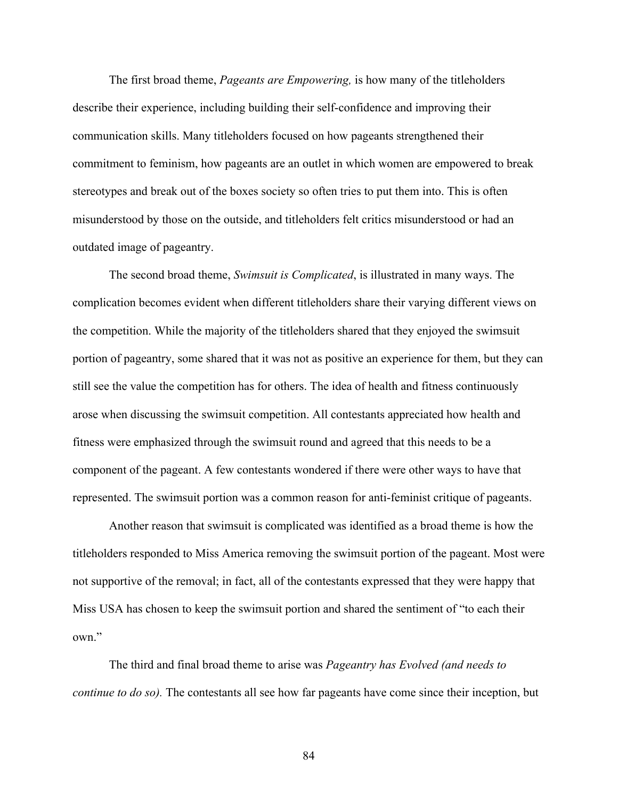The first broad theme, *Pageants are Empowering,* is how many of the titleholders describe their experience, including building their self-confidence and improving their communication skills. Many titleholders focused on how pageants strengthened their commitment to feminism, how pageants are an outlet in which women are empowered to break stereotypes and break out of the boxes society so often tries to put them into. This is often misunderstood by those on the outside, and titleholders felt critics misunderstood or had an outdated image of pageantry.

The second broad theme, *Swimsuit is Complicated*, is illustrated in many ways. The complication becomes evident when different titleholders share their varying different views on the competition. While the majority of the titleholders shared that they enjoyed the swimsuit portion of pageantry, some shared that it was not as positive an experience for them, but they can still see the value the competition has for others. The idea of health and fitness continuously arose when discussing the swimsuit competition. All contestants appreciated how health and fitness were emphasized through the swimsuit round and agreed that this needs to be a component of the pageant. A few contestants wondered if there were other ways to have that represented. The swimsuit portion was a common reason for anti-feminist critique of pageants.

Another reason that swimsuit is complicated was identified as a broad theme is how the titleholders responded to Miss America removing the swimsuit portion of the pageant. Most were not supportive of the removal; in fact, all of the contestants expressed that they were happy that Miss USA has chosen to keep the swimsuit portion and shared the sentiment of "to each their own."

The third and final broad theme to arise was *Pageantry has Evolved (and needs to continue to do so).* The contestants all see how far pageants have come since their inception, but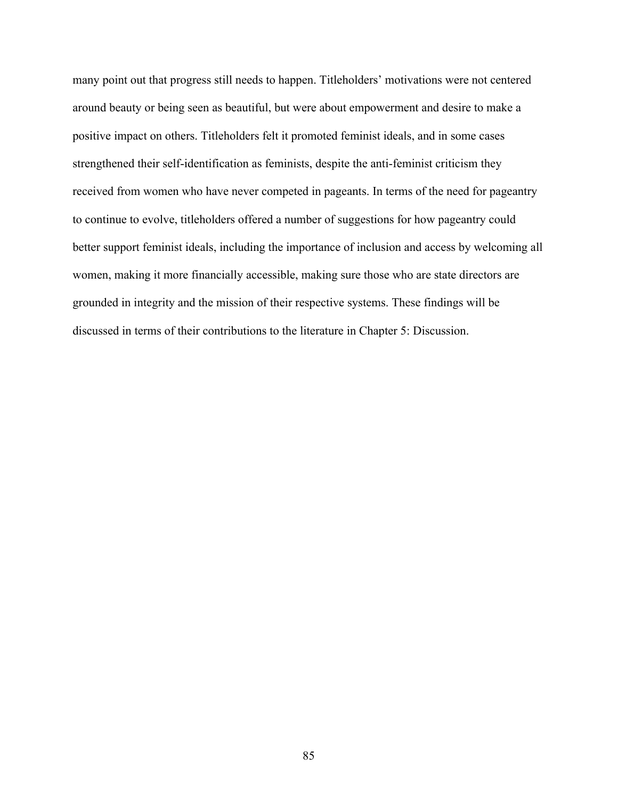many point out that progress still needs to happen. Titleholders' motivations were not centered around beauty or being seen as beautiful, but were about empowerment and desire to make a positive impact on others. Titleholders felt it promoted feminist ideals, and in some cases strengthened their self-identification as feminists, despite the anti-feminist criticism they received from women who have never competed in pageants. In terms of the need for pageantry to continue to evolve, titleholders offered a number of suggestions for how pageantry could better support feminist ideals, including the importance of inclusion and access by welcoming all women, making it more financially accessible, making sure those who are state directors are grounded in integrity and the mission of their respective systems. These findings will be discussed in terms of their contributions to the literature in Chapter 5: Discussion.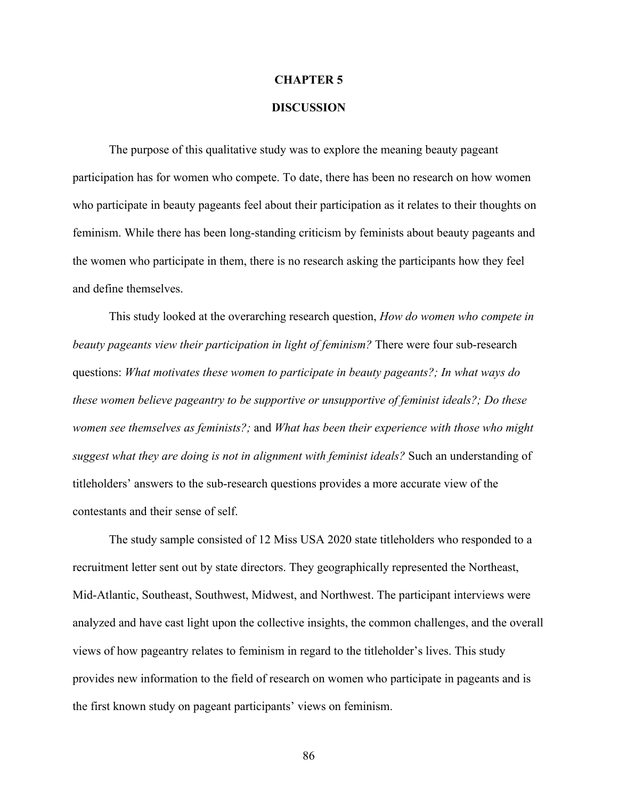## **CHAPTER 5**

# **DISCUSSION**

The purpose of this qualitative study was to explore the meaning beauty pageant participation has for women who compete. To date, there has been no research on how women who participate in beauty pageants feel about their participation as it relates to their thoughts on feminism. While there has been long-standing criticism by feminists about beauty pageants and the women who participate in them, there is no research asking the participants how they feel and define themselves.

This study looked at the overarching research question, *How do women who compete in beauty pageants view their participation in light of feminism?* There were four sub-research questions: *What motivates these women to participate in beauty pageants?; In what ways do these women believe pageantry to be supportive or unsupportive of feminist ideals?; Do these women see themselves as feminists?;* and *What has been their experience with those who might suggest what they are doing is not in alignment with feminist <i>ideals?* Such an understanding of titleholders' answers to the sub-research questions provides a more accurate view of the contestants and their sense of self.

The study sample consisted of 12 Miss USA 2020 state titleholders who responded to a recruitment letter sent out by state directors. They geographically represented the Northeast, Mid-Atlantic, Southeast, Southwest, Midwest, and Northwest. The participant interviews were analyzed and have cast light upon the collective insights, the common challenges, and the overall views of how pageantry relates to feminism in regard to the titleholder's lives. This study provides new information to the field of research on women who participate in pageants and is the first known study on pageant participants' views on feminism.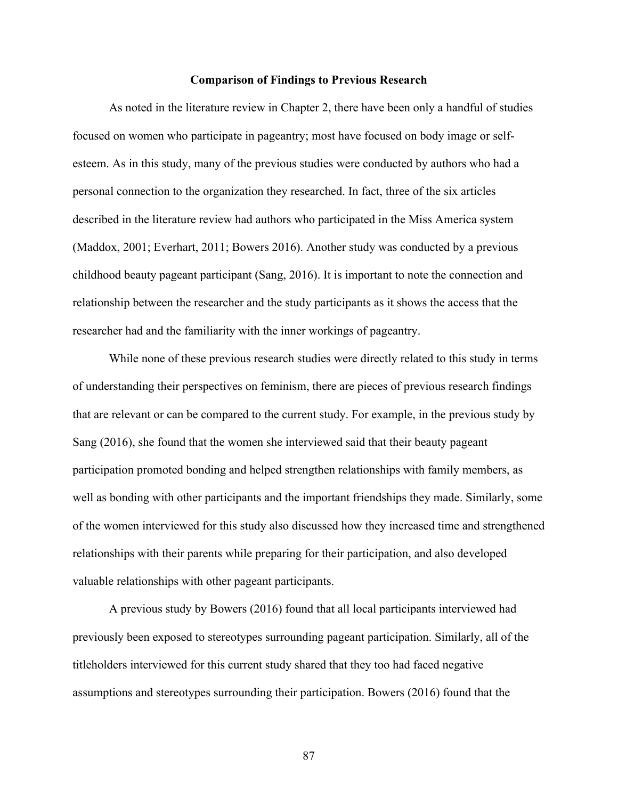### **Comparison of Findings to Previous Research**

As noted in the literature review in Chapter 2, there have been only a handful of studies focused on women who participate in pageantry; most have focused on body image or selfesteem. As in this study, many of the previous studies were conducted by authors who had a personal connection to the organization they researched. In fact, three of the six articles described in the literature review had authors who participated in the Miss America system (Maddox, 2001; Everhart, 2011; Bowers 2016). Another study was conducted by a previous childhood beauty pageant participant (Sang, 2016). It is important to note the connection and relationship between the researcher and the study participants as it shows the access that the researcher had and the familiarity with the inner workings of pageantry.

While none of these previous research studies were directly related to this study in terms of understanding their perspectives on feminism, there are pieces of previous research findings that are relevant or can be compared to the current study. For example, in the previous study by Sang (2016), she found that the women she interviewed said that their beauty pageant participation promoted bonding and helped strengthen relationships with family members, as well as bonding with other participants and the important friendships they made. Similarly, some of the women interviewed for this study also discussed how they increased time and strengthened relationships with their parents while preparing for their participation, and also developed valuable relationships with other pageant participants.

A previous study by Bowers (2016) found that all local participants interviewed had previously been exposed to stereotypes surrounding pageant participation. Similarly, all of the titleholders interviewed for this current study shared that they too had faced negative assumptions and stereotypes surrounding their participation. Bowers (2016) found that the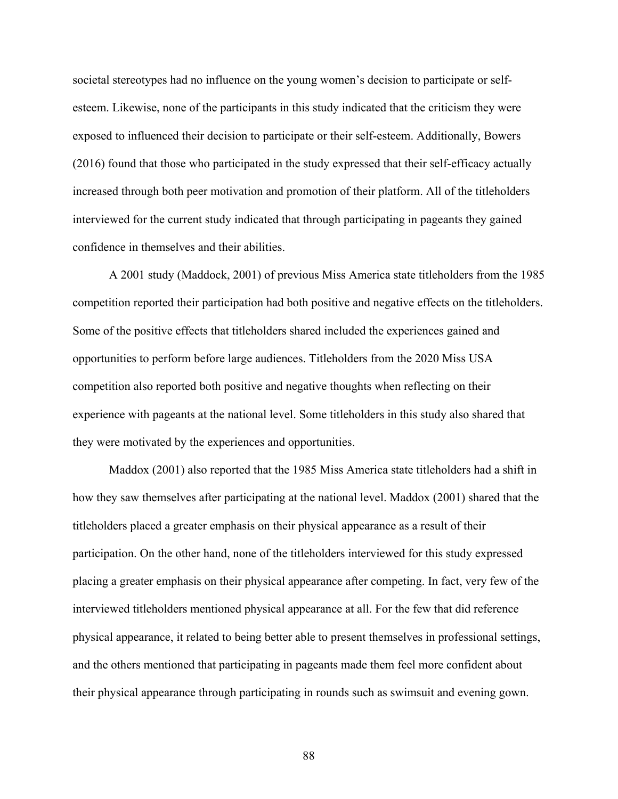societal stereotypes had no influence on the young women's decision to participate or selfesteem. Likewise, none of the participants in this study indicated that the criticism they were exposed to influenced their decision to participate or their self-esteem. Additionally, Bowers (2016) found that those who participated in the study expressed that their self-efficacy actually increased through both peer motivation and promotion of their platform. All of the titleholders interviewed for the current study indicated that through participating in pageants they gained confidence in themselves and their abilities.

A 2001 study (Maddock, 2001) of previous Miss America state titleholders from the 1985 competition reported their participation had both positive and negative effects on the titleholders. Some of the positive effects that titleholders shared included the experiences gained and opportunities to perform before large audiences. Titleholders from the 2020 Miss USA competition also reported both positive and negative thoughts when reflecting on their experience with pageants at the national level. Some titleholders in this study also shared that they were motivated by the experiences and opportunities.

Maddox (2001) also reported that the 1985 Miss America state titleholders had a shift in how they saw themselves after participating at the national level. Maddox (2001) shared that the titleholders placed a greater emphasis on their physical appearance as a result of their participation. On the other hand, none of the titleholders interviewed for this study expressed placing a greater emphasis on their physical appearance after competing. In fact, very few of the interviewed titleholders mentioned physical appearance at all. For the few that did reference physical appearance, it related to being better able to present themselves in professional settings, and the others mentioned that participating in pageants made them feel more confident about their physical appearance through participating in rounds such as swimsuit and evening gown.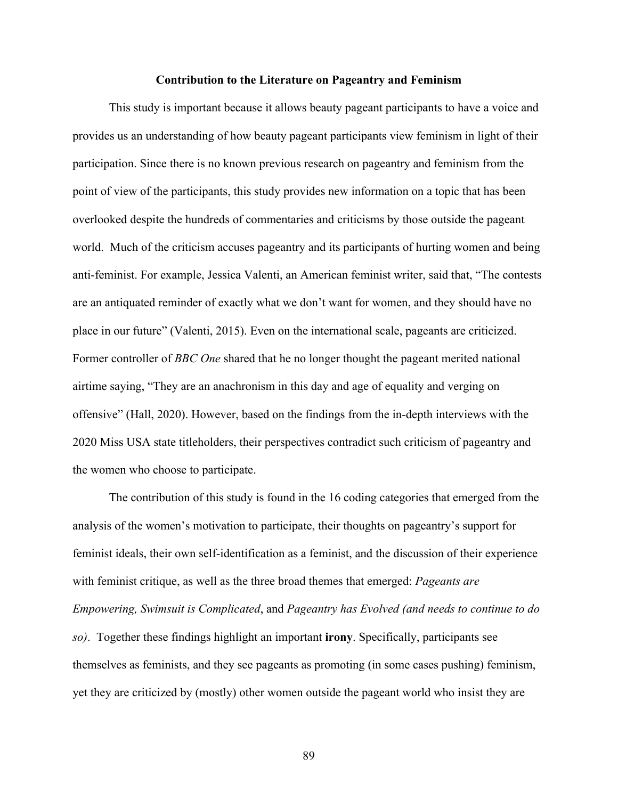#### **Contribution to the Literature on Pageantry and Feminism**

This study is important because it allows beauty pageant participants to have a voice and provides us an understanding of how beauty pageant participants view feminism in light of their participation. Since there is no known previous research on pageantry and feminism from the point of view of the participants, this study provides new information on a topic that has been overlooked despite the hundreds of commentaries and criticisms by those outside the pageant world. Much of the criticism accuses pageantry and its participants of hurting women and being anti-feminist. For example, Jessica Valenti, an American feminist writer, said that, "The contests are an antiquated reminder of exactly what we don't want for women, and they should have no place in our future" (Valenti, 2015). Even on the international scale, pageants are criticized. Former controller of *BBC One* shared that he no longer thought the pageant merited national airtime saying, "They are an anachronism in this day and age of equality and verging on offensive" (Hall, 2020). However, based on the findings from the in-depth interviews with the 2020 Miss USA state titleholders, their perspectives contradict such criticism of pageantry and the women who choose to participate.

The contribution of this study is found in the 16 coding categories that emerged from the analysis of the women's motivation to participate, their thoughts on pageantry's support for feminist ideals, their own self-identification as a feminist, and the discussion of their experience with feminist critique, as well as the three broad themes that emerged: *Pageants are Empowering, Swimsuit is Complicated*, and *Pageantry has Evolved (and needs to continue to do so)*. Together these findings highlight an important **irony**. Specifically, participants see themselves as feminists, and they see pageants as promoting (in some cases pushing) feminism, yet they are criticized by (mostly) other women outside the pageant world who insist they are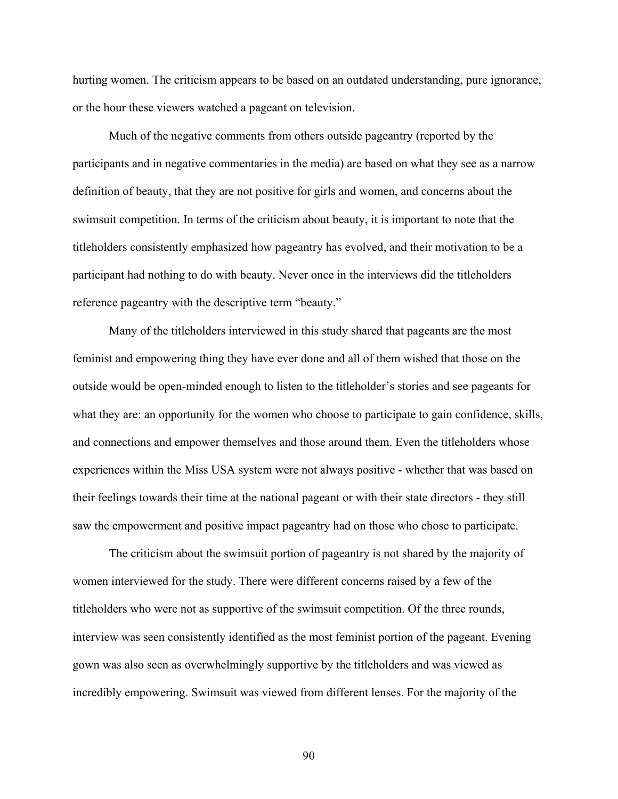hurting women. The criticism appears to be based on an outdated understanding, pure ignorance, or the hour these viewers watched a pageant on television.

Much of the negative comments from others outside pageantry (reported by the participants and in negative commentaries in the media) are based on what they see as a narrow definition of beauty, that they are not positive for girls and women, and concerns about the swimsuit competition. In terms of the criticism about beauty, it is important to note that the titleholders consistently emphasized how pageantry has evolved, and their motivation to be a participant had nothing to do with beauty. Never once in the interviews did the titleholders reference pageantry with the descriptive term "beauty."

Many of the titleholders interviewed in this study shared that pageants are the most feminist and empowering thing they have ever done and all of them wished that those on the outside would be open-minded enough to listen to the titleholder's stories and see pageants for what they are: an opportunity for the women who choose to participate to gain confidence, skills, and connections and empower themselves and those around them. Even the titleholders whose experiences within the Miss USA system were not always positive - whether that was based on their feelings towards their time at the national pageant or with their state directors - they still saw the empowerment and positive impact pageantry had on those who chose to participate.

The criticism about the swimsuit portion of pageantry is not shared by the majority of women interviewed for the study. There were different concerns raised by a few of the titleholders who were not as supportive of the swimsuit competition. Of the three rounds, interview was seen consistently identified as the most feminist portion of the pageant. Evening gown was also seen as overwhelmingly supportive by the titleholders and was viewed as incredibly empowering. Swimsuit was viewed from different lenses. For the majority of the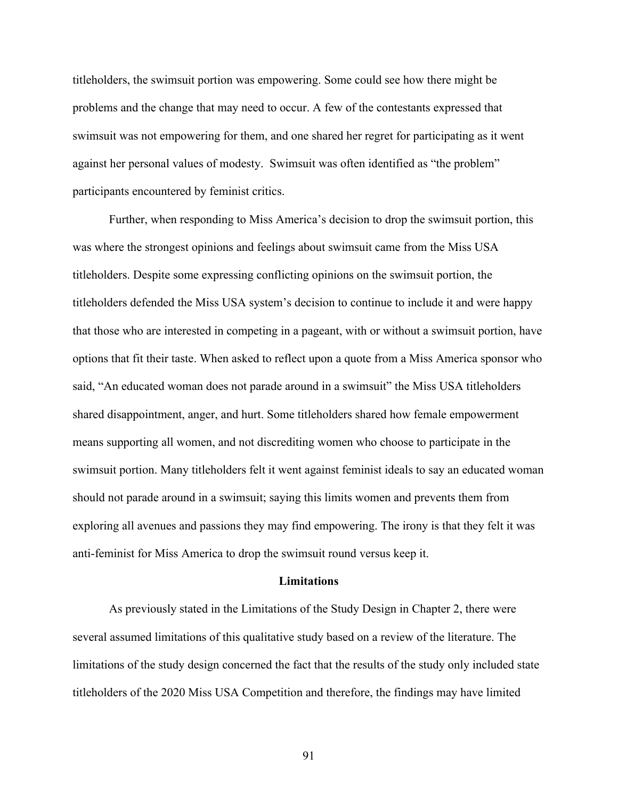titleholders, the swimsuit portion was empowering. Some could see how there might be problems and the change that may need to occur. A few of the contestants expressed that swimsuit was not empowering for them, and one shared her regret for participating as it went against her personal values of modesty. Swimsuit was often identified as "the problem" participants encountered by feminist critics.

Further, when responding to Miss America's decision to drop the swimsuit portion, this was where the strongest opinions and feelings about swimsuit came from the Miss USA titleholders. Despite some expressing conflicting opinions on the swimsuit portion, the titleholders defended the Miss USA system's decision to continue to include it and were happy that those who are interested in competing in a pageant, with or without a swimsuit portion, have options that fit their taste. When asked to reflect upon a quote from a Miss America sponsor who said, "An educated woman does not parade around in a swimsuit" the Miss USA titleholders shared disappointment, anger, and hurt. Some titleholders shared how female empowerment means supporting all women, and not discrediting women who choose to participate in the swimsuit portion. Many titleholders felt it went against feminist ideals to say an educated woman should not parade around in a swimsuit; saying this limits women and prevents them from exploring all avenues and passions they may find empowering. The irony is that they felt it was anti-feminist for Miss America to drop the swimsuit round versus keep it.

## **Limitations**

As previously stated in the Limitations of the Study Design in Chapter 2, there were several assumed limitations of this qualitative study based on a review of the literature. The limitations of the study design concerned the fact that the results of the study only included state titleholders of the 2020 Miss USA Competition and therefore, the findings may have limited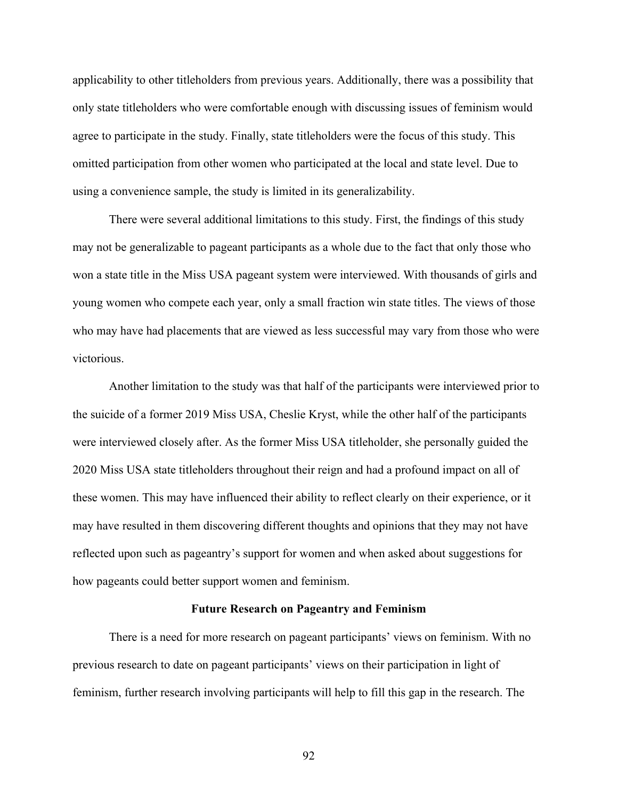applicability to other titleholders from previous years. Additionally, there was a possibility that only state titleholders who were comfortable enough with discussing issues of feminism would agree to participate in the study. Finally, state titleholders were the focus of this study. This omitted participation from other women who participated at the local and state level. Due to using a convenience sample, the study is limited in its generalizability.

There were several additional limitations to this study. First, the findings of this study may not be generalizable to pageant participants as a whole due to the fact that only those who won a state title in the Miss USA pageant system were interviewed. With thousands of girls and young women who compete each year, only a small fraction win state titles. The views of those who may have had placements that are viewed as less successful may vary from those who were victorious.

Another limitation to the study was that half of the participants were interviewed prior to the suicide of a former 2019 Miss USA, Cheslie Kryst, while the other half of the participants were interviewed closely after. As the former Miss USA titleholder, she personally guided the 2020 Miss USA state titleholders throughout their reign and had a profound impact on all of these women. This may have influenced their ability to reflect clearly on their experience, or it may have resulted in them discovering different thoughts and opinions that they may not have reflected upon such as pageantry's support for women and when asked about suggestions for how pageants could better support women and feminism.

## **Future Research on Pageantry and Feminism**

There is a need for more research on pageant participants' views on feminism. With no previous research to date on pageant participants' views on their participation in light of feminism, further research involving participants will help to fill this gap in the research. The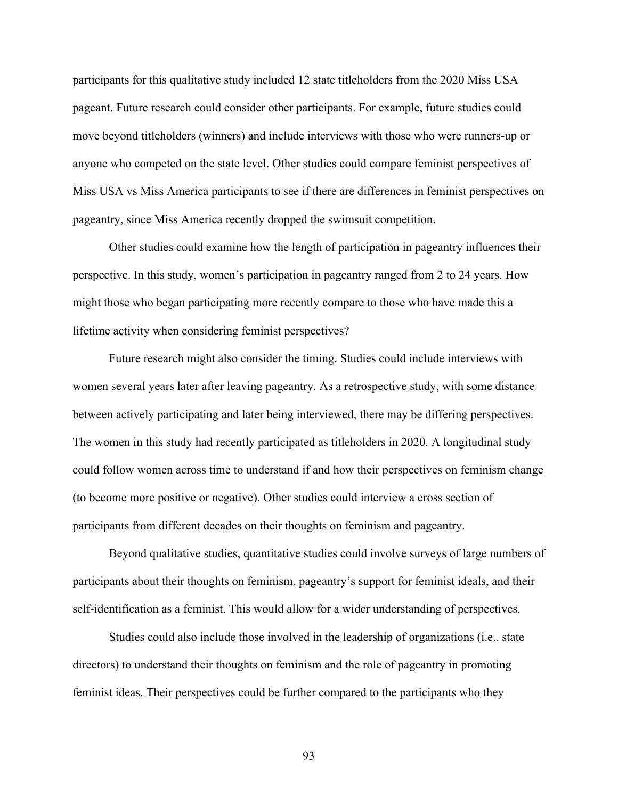participants for this qualitative study included 12 state titleholders from the 2020 Miss USA pageant. Future research could consider other participants. For example, future studies could move beyond titleholders (winners) and include interviews with those who were runners-up or anyone who competed on the state level. Other studies could compare feminist perspectives of Miss USA vs Miss America participants to see if there are differences in feminist perspectives on pageantry, since Miss America recently dropped the swimsuit competition.

Other studies could examine how the length of participation in pageantry influences their perspective. In this study, women's participation in pageantry ranged from 2 to 24 years. How might those who began participating more recently compare to those who have made this a lifetime activity when considering feminist perspectives?

Future research might also consider the timing. Studies could include interviews with women several years later after leaving pageantry. As a retrospective study, with some distance between actively participating and later being interviewed, there may be differing perspectives. The women in this study had recently participated as titleholders in 2020. A longitudinal study could follow women across time to understand if and how their perspectives on feminism change (to become more positive or negative). Other studies could interview a cross section of participants from different decades on their thoughts on feminism and pageantry.

Beyond qualitative studies, quantitative studies could involve surveys of large numbers of participants about their thoughts on feminism, pageantry's support for feminist ideals, and their self-identification as a feminist. This would allow for a wider understanding of perspectives.

Studies could also include those involved in the leadership of organizations (i.e., state directors) to understand their thoughts on feminism and the role of pageantry in promoting feminist ideas. Their perspectives could be further compared to the participants who they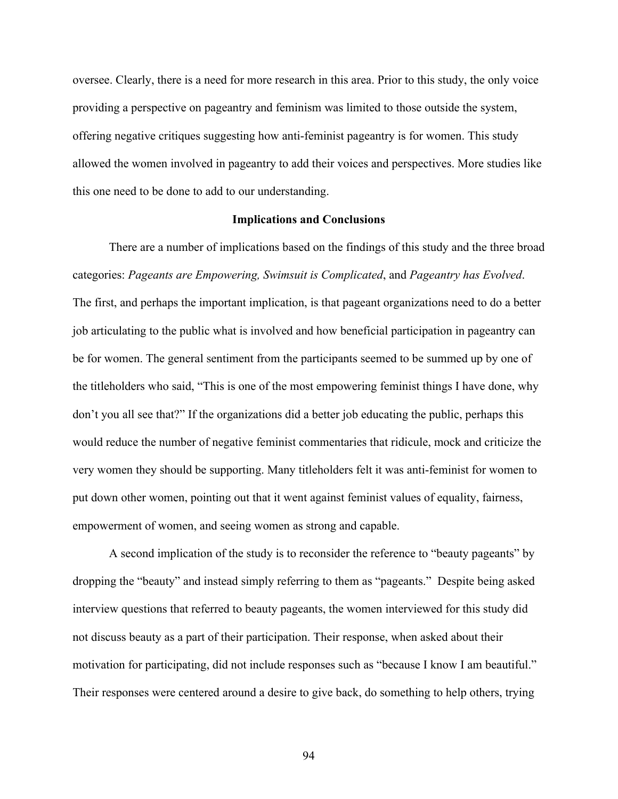oversee. Clearly, there is a need for more research in this area. Prior to this study, the only voice providing a perspective on pageantry and feminism was limited to those outside the system, offering negative critiques suggesting how anti-feminist pageantry is for women. This study allowed the women involved in pageantry to add their voices and perspectives. More studies like this one need to be done to add to our understanding.

## **Implications and Conclusions**

There are a number of implications based on the findings of this study and the three broad categories: *Pageants are Empowering, Swimsuit is Complicated*, and *Pageantry has Evolved*. The first, and perhaps the important implication, is that pageant organizations need to do a better job articulating to the public what is involved and how beneficial participation in pageantry can be for women. The general sentiment from the participants seemed to be summed up by one of the titleholders who said, "This is one of the most empowering feminist things I have done, why don't you all see that?" If the organizations did a better job educating the public, perhaps this would reduce the number of negative feminist commentaries that ridicule, mock and criticize the very women they should be supporting. Many titleholders felt it was anti-feminist for women to put down other women, pointing out that it went against feminist values of equality, fairness, empowerment of women, and seeing women as strong and capable.

A second implication of the study is to reconsider the reference to "beauty pageants" by dropping the "beauty" and instead simply referring to them as "pageants." Despite being asked interview questions that referred to beauty pageants, the women interviewed for this study did not discuss beauty as a part of their participation. Their response, when asked about their motivation for participating, did not include responses such as "because I know I am beautiful." Their responses were centered around a desire to give back, do something to help others, trying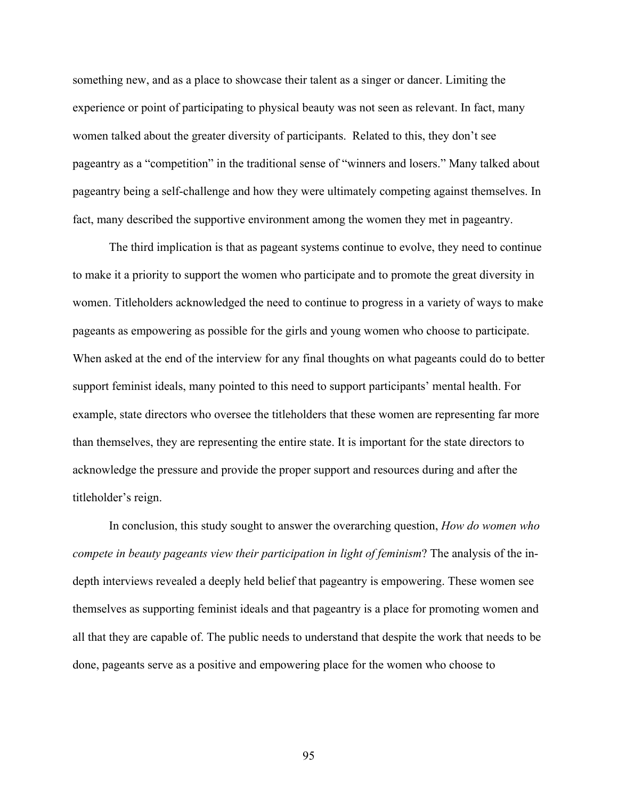something new, and as a place to showcase their talent as a singer or dancer. Limiting the experience or point of participating to physical beauty was not seen as relevant. In fact, many women talked about the greater diversity of participants. Related to this, they don't see pageantry as a "competition" in the traditional sense of "winners and losers." Many talked about pageantry being a self-challenge and how they were ultimately competing against themselves. In fact, many described the supportive environment among the women they met in pageantry.

The third implication is that as pageant systems continue to evolve, they need to continue to make it a priority to support the women who participate and to promote the great diversity in women. Titleholders acknowledged the need to continue to progress in a variety of ways to make pageants as empowering as possible for the girls and young women who choose to participate. When asked at the end of the interview for any final thoughts on what pageants could do to better support feminist ideals, many pointed to this need to support participants' mental health. For example, state directors who oversee the titleholders that these women are representing far more than themselves, they are representing the entire state. It is important for the state directors to acknowledge the pressure and provide the proper support and resources during and after the titleholder's reign.

In conclusion, this study sought to answer the overarching question, *How do women who compete in beauty pageants view their participation in light of feminism*? The analysis of the indepth interviews revealed a deeply held belief that pageantry is empowering. These women see themselves as supporting feminist ideals and that pageantry is a place for promoting women and all that they are capable of. The public needs to understand that despite the work that needs to be done, pageants serve as a positive and empowering place for the women who choose to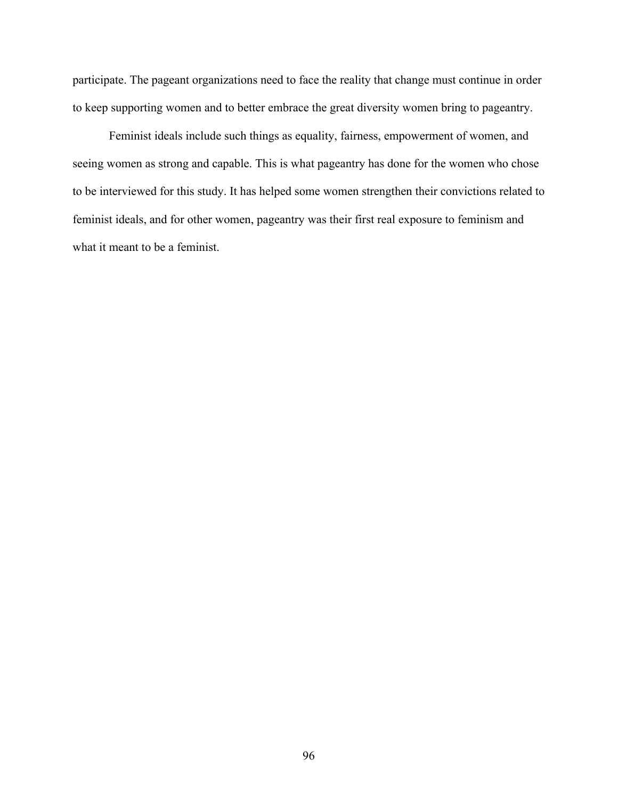participate. The pageant organizations need to face the reality that change must continue in order to keep supporting women and to better embrace the great diversity women bring to pageantry.

Feminist ideals include such things as equality, fairness, empowerment of women, and seeing women as strong and capable. This is what pageantry has done for the women who chose to be interviewed for this study. It has helped some women strengthen their convictions related to feminist ideals, and for other women, pageantry was their first real exposure to feminism and what it meant to be a feminist.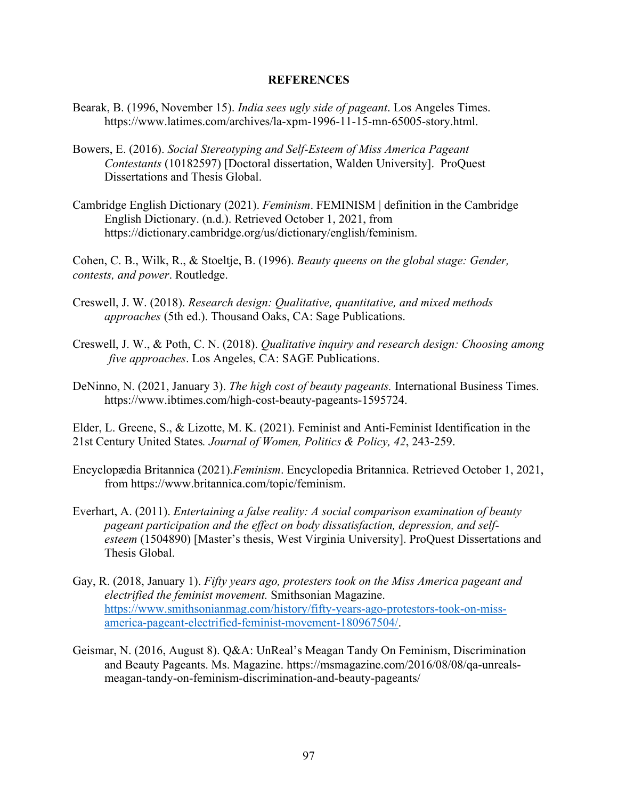#### **REFERENCES**

- Bearak, B. (1996, November 15). *India sees ugly side of pageant*. Los Angeles Times. https://www.latimes.com/archives/la-xpm-1996-11-15-mn-65005-story.html.
- Bowers, E. (2016). *Social Stereotyping and Self-Esteem of Miss America Pageant Contestants* (10182597) [Doctoral dissertation, Walden University]. ProQuest Dissertations and Thesis Global.
- Cambridge English Dictionary (2021). *Feminism*. FEMINISM | definition in the Cambridge English Dictionary. (n.d.). Retrieved October 1, 2021, from https://dictionary.cambridge.org/us/dictionary/english/feminism.

Cohen, C. B., Wilk, R., & Stoeltje, B. (1996). *Beauty queens on the global stage: Gender, contests, and power*. Routledge.

- Creswell, J. W. (2018). *Research design: Qualitative, quantitative, and mixed methods approaches* (5th ed.). Thousand Oaks, CA: Sage Publications.
- Creswell, J. W., & Poth, C. N. (2018). *Qualitative inquiry and research design: Choosing among five approaches*. Los Angeles, CA: SAGE Publications.
- DeNinno, N. (2021, January 3). *The high cost of beauty pageants.* International Business Times. https://www.ibtimes.com/high-cost-beauty-pageants-1595724.

Elder, L. Greene, S., & Lizotte, M. K. (2021). Feminist and Anti-Feminist Identification in the 21st Century United States*. Journal of Women, Politics & Policy, 42*, 243-259.

- Encyclopædia Britannica (2021).*Feminism*. Encyclopedia Britannica. Retrieved October 1, 2021, from https://www.britannica.com/topic/feminism.
- Everhart, A. (2011). *Entertaining a false reality: A social comparison examination of beauty pageant participation and the effect on body dissatisfaction, depression, and selfesteem* (1504890) [Master's thesis, West Virginia University]. ProQuest Dissertations and Thesis Global.
- Gay, R. (2018, January 1). *Fifty years ago, protesters took on the Miss America pageant and electrified the feminist movement.* Smithsonian Magazine. https://www.smithsonianmag.com/history/fifty-years-ago-protestors-took-on-missamerica-pageant-electrified-feminist-movement-180967504/.
- Geismar, N. (2016, August 8). Q&A: UnReal's Meagan Tandy On Feminism, Discrimination and Beauty Pageants. Ms. Magazine. https://msmagazine.com/2016/08/08/qa-unrealsmeagan-tandy-on-feminism-discrimination-and-beauty-pageants/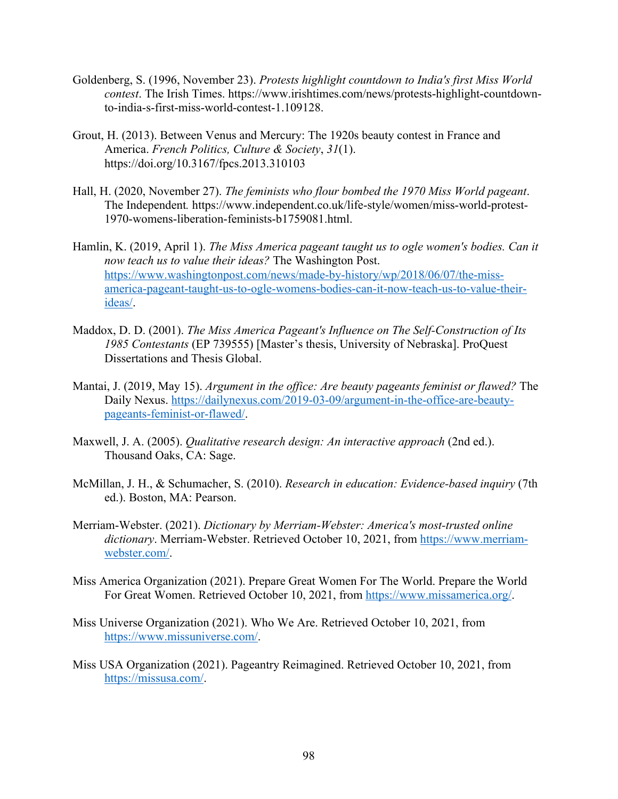- Goldenberg, S. (1996, November 23). *Protests highlight countdown to India's first Miss World contest*. The Irish Times. https://www.irishtimes.com/news/protests-highlight-countdownto-india-s-first-miss-world-contest-1.109128.
- Grout, H. (2013). Between Venus and Mercury: The 1920s beauty contest in France and America. *French Politics, Culture & Society*, *31*(1). https://doi.org/10.3167/fpcs.2013.310103
- Hall, H. (2020, November 27). *The feminists who flour bombed the 1970 Miss World pageant*. The Independent*.* https://www.independent.co.uk/life-style/women/miss-world-protest-1970-womens-liberation-feminists-b1759081.html.
- Hamlin, K. (2019, April 1). *The Miss America pageant taught us to ogle women's bodies. Can it now teach us to value their ideas?* The Washington Post. https://www.washingtonpost.com/news/made-by-history/wp/2018/06/07/the-missamerica-pageant-taught-us-to-ogle-womens-bodies-can-it-now-teach-us-to-value-theirideas/.
- Maddox, D. D. (2001). *The Miss America Pageant's Influence on The Self-Construction of Its 1985 Contestants* (EP 739555) [Master's thesis, University of Nebraska]. ProQuest Dissertations and Thesis Global.
- Mantai, J. (2019, May 15). *Argument in the office: Are beauty pageants feminist or flawed?* The Daily Nexus. https://dailynexus.com/2019-03-09/argument-in-the-office-are-beautypageants-feminist-or-flawed/.
- Maxwell, J. A. (2005). *Qualitative research design: An interactive approach* (2nd ed.). Thousand Oaks, CA: Sage.
- McMillan, J. H., & Schumacher, S. (2010). *Research in education: Evidence-based inquiry* (7th ed.). Boston, MA: Pearson.
- Merriam-Webster. (2021). *Dictionary by Merriam-Webster: America's most-trusted online dictionary*. Merriam-Webster. Retrieved October 10, 2021, from https://www.merriamwebster.com/.
- Miss America Organization (2021). Prepare Great Women For The World. Prepare the World For Great Women. Retrieved October 10, 2021, from https://www.missamerica.org/.
- Miss Universe Organization (2021). Who We Are. Retrieved October 10, 2021, from https://www.missuniverse.com/.
- Miss USA Organization (2021). Pageantry Reimagined. Retrieved October 10, 2021, from https://missusa.com/.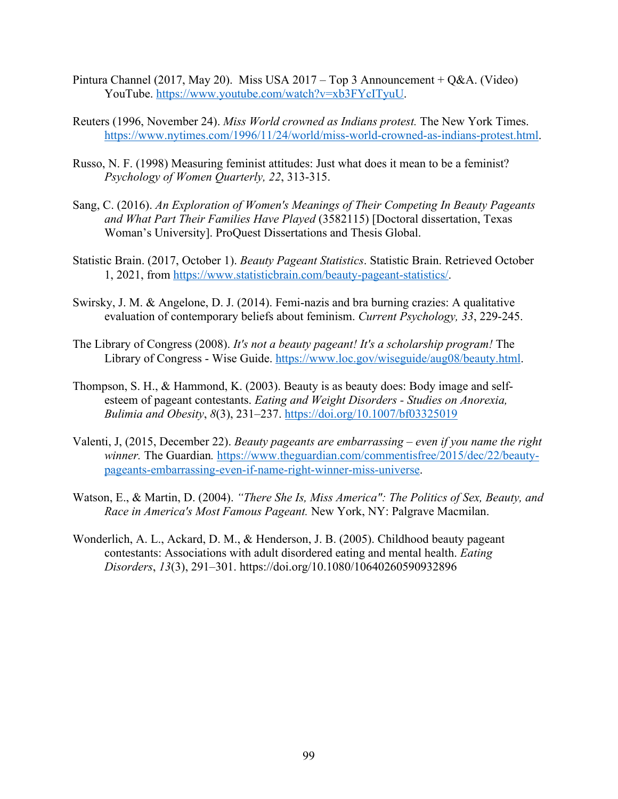- Pintura Channel (2017, May 20). Miss USA 2017 Top 3 Announcement + Q&A. (Video) YouTube. https://www.youtube.com/watch?v=xb3FYcITyuU.
- Reuters (1996, November 24). *Miss World crowned as Indians protest.* The New York Times. https://www.nytimes.com/1996/11/24/world/miss-world-crowned-as-indians-protest.html.
- Russo, N. F. (1998) Measuring feminist attitudes: Just what does it mean to be a feminist? *Psychology of Women Quarterly, 22*, 313-315.
- Sang, C. (2016). *An Exploration of Women's Meanings of Their Competing In Beauty Pageants and What Part Their Families Have Played* (3582115) [Doctoral dissertation, Texas Woman's University]. ProQuest Dissertations and Thesis Global.
- Statistic Brain. (2017, October 1). *Beauty Pageant Statistics*. Statistic Brain. Retrieved October 1, 2021, from https://www.statisticbrain.com/beauty-pageant-statistics/.
- Swirsky, J. M. & Angelone, D. J. (2014). Femi-nazis and bra burning crazies: A qualitative evaluation of contemporary beliefs about feminism. *Current Psychology, 33*, 229-245.
- The Library of Congress (2008). *It's not a beauty pageant! It's a scholarship program!* The Library of Congress - Wise Guide. https://www.loc.gov/wiseguide/aug08/beauty.html.
- Thompson, S. H., & Hammond, K. (2003). Beauty is as beauty does: Body image and selfesteem of pageant contestants. *Eating and Weight Disorders - Studies on Anorexia, Bulimia and Obesity*, *8*(3), 231–237. https://doi.org/10.1007/bf03325019
- Valenti, J, (2015, December 22). *Beauty pageants are embarrassing – even if you name the right winner.* The Guardian, https://www.theguardian.com/commentisfree/2015/dec/22/beautypageants-embarrassing-even-if-name-right-winner-miss-universe.
- Watson, E., & Martin, D. (2004). *"There She Is, Miss America": The Politics of Sex, Beauty, and Race in America's Most Famous Pageant.* New York, NY: Palgrave Macmilan.
- Wonderlich, A. L., Ackard, D. M., & Henderson, J. B. (2005). Childhood beauty pageant contestants: Associations with adult disordered eating and mental health. *Eating Disorders*, *13*(3), 291–301. https://doi.org/10.1080/10640260590932896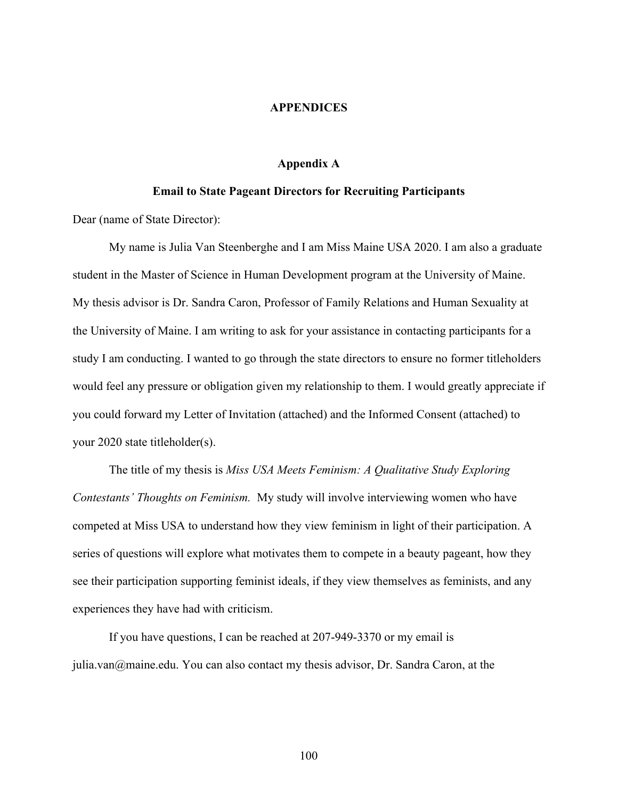#### **APPENDICES**

#### **Appendix A**

#### **Email to State Pageant Directors for Recruiting Participants**

Dear (name of State Director):

My name is Julia Van Steenberghe and I am Miss Maine USA 2020. I am also a graduate student in the Master of Science in Human Development program at the University of Maine. My thesis advisor is Dr. Sandra Caron, Professor of Family Relations and Human Sexuality at the University of Maine. I am writing to ask for your assistance in contacting participants for a study I am conducting. I wanted to go through the state directors to ensure no former titleholders would feel any pressure or obligation given my relationship to them. I would greatly appreciate if you could forward my Letter of Invitation (attached) and the Informed Consent (attached) to your 2020 state titleholder(s).

The title of my thesis is *Miss USA Meets Feminism: A Qualitative Study Exploring Contestants' Thoughts on Feminism.* My study will involve interviewing women who have competed at Miss USA to understand how they view feminism in light of their participation. A series of questions will explore what motivates them to compete in a beauty pageant, how they see their participation supporting feminist ideals, if they view themselves as feminists, and any experiences they have had with criticism.

If you have questions, I can be reached at 207-949-3370 or my email is julia.van@maine.edu. You can also contact my thesis advisor, Dr. Sandra Caron, at the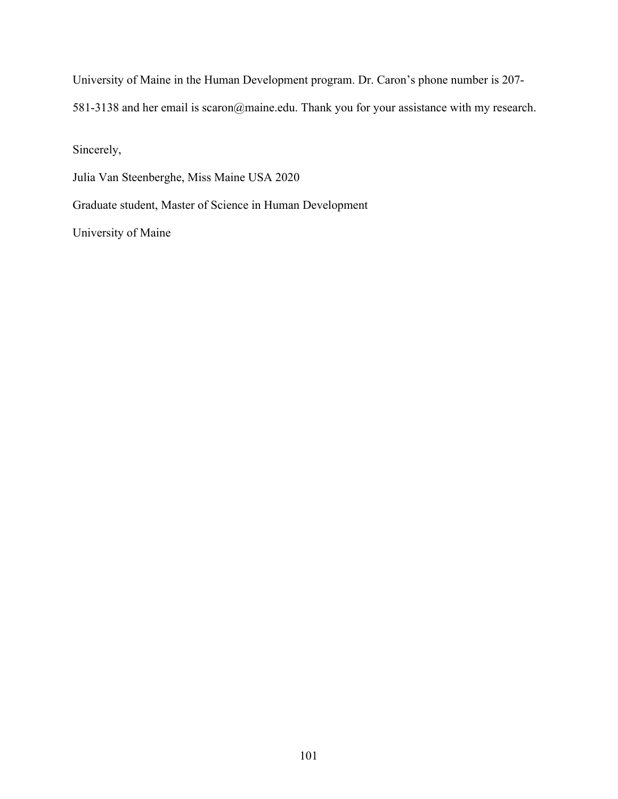University of Maine in the Human Development program. Dr. Caron's phone number is 207-

581-3138 and her email is scaron@maine.edu. Thank you for your assistance with my research.

Sincerely,

Julia Van Steenberghe, Miss Maine USA 2020

Graduate student, Master of Science in Human Development

University of Maine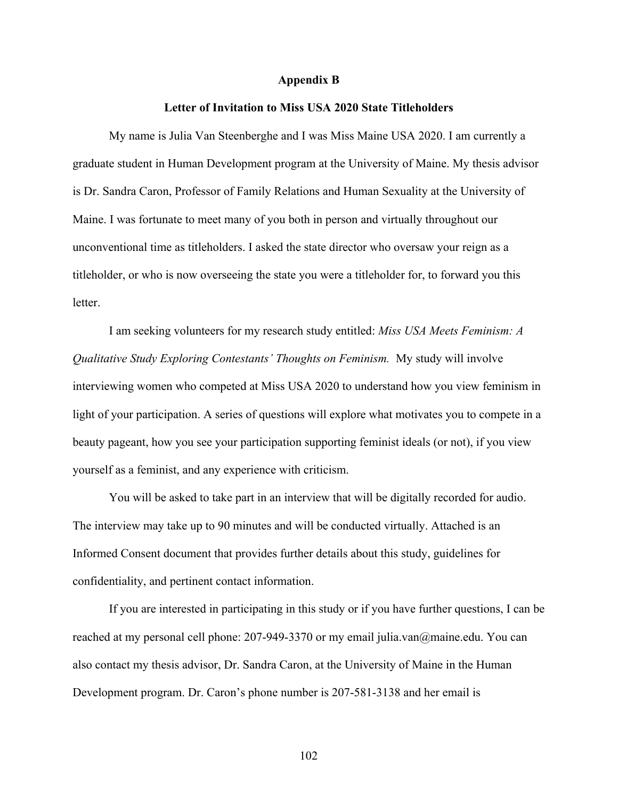#### **Appendix B**

#### **Letter of Invitation to Miss USA 2020 State Titleholders**

My name is Julia Van Steenberghe and I was Miss Maine USA 2020. I am currently a graduate student in Human Development program at the University of Maine. My thesis advisor is Dr. Sandra Caron, Professor of Family Relations and Human Sexuality at the University of Maine. I was fortunate to meet many of you both in person and virtually throughout our unconventional time as titleholders. I asked the state director who oversaw your reign as a titleholder, or who is now overseeing the state you were a titleholder for, to forward you this letter.

I am seeking volunteers for my research study entitled: *Miss USA Meets Feminism: A Qualitative Study Exploring Contestants' Thoughts on Feminism.* My study will involve interviewing women who competed at Miss USA 2020 to understand how you view feminism in light of your participation. A series of questions will explore what motivates you to compete in a beauty pageant, how you see your participation supporting feminist ideals (or not), if you view yourself as a feminist, and any experience with criticism.

You will be asked to take part in an interview that will be digitally recorded for audio. The interview may take up to 90 minutes and will be conducted virtually. Attached is an Informed Consent document that provides further details about this study, guidelines for confidentiality, and pertinent contact information.

If you are interested in participating in this study or if you have further questions, I can be reached at my personal cell phone: 207-949-3370 or my email julia.van@maine.edu. You can also contact my thesis advisor, Dr. Sandra Caron, at the University of Maine in the Human Development program. Dr. Caron's phone number is 207-581-3138 and her email is

102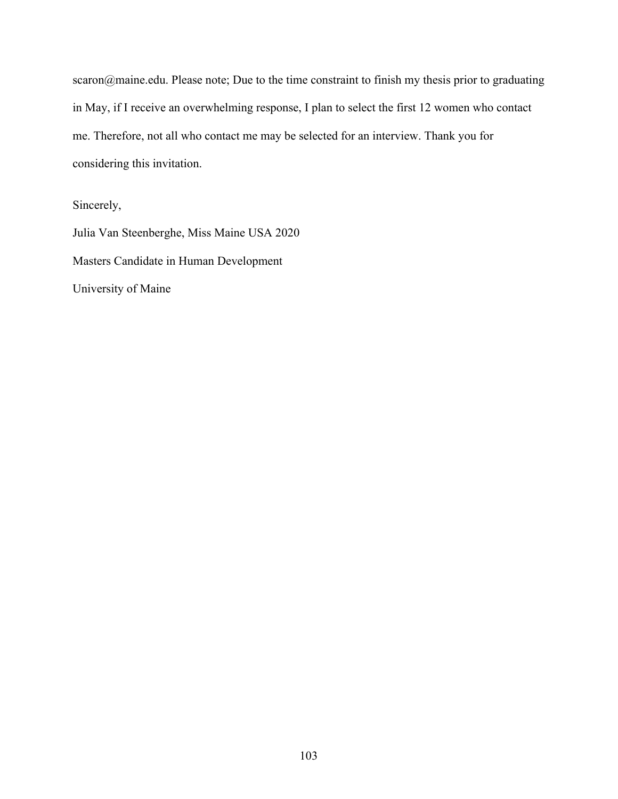scaron@maine.edu. Please note; Due to the time constraint to finish my thesis prior to graduating in May, if I receive an overwhelming response, I plan to select the first 12 women who contact me. Therefore, not all who contact me may be selected for an interview. Thank you for considering this invitation.

## Sincerely,

Julia Van Steenberghe, Miss Maine USA 2020 Masters Candidate in Human Development University of Maine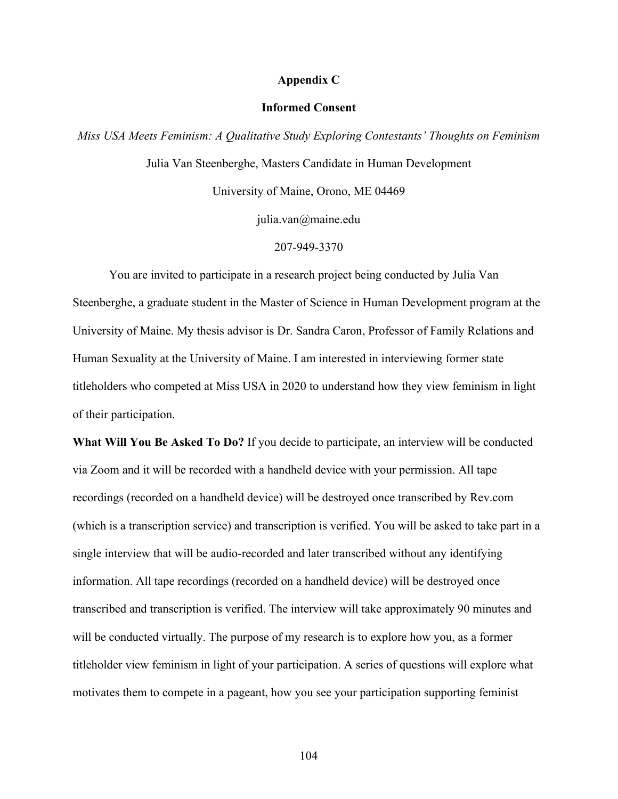#### **Appendix C**

#### **Informed Consent**

*Miss USA Meets Feminism: A Qualitative Study Exploring Contestants' Thoughts on Feminism*

Julia Van Steenberghe, Masters Candidate in Human Development

University of Maine, Orono, ME 04469

julia.van@maine.edu

#### 207-949-3370

You are invited to participate in a research project being conducted by Julia Van Steenberghe, a graduate student in the Master of Science in Human Development program at the University of Maine. My thesis advisor is Dr. Sandra Caron, Professor of Family Relations and Human Sexuality at the University of Maine. I am interested in interviewing former state titleholders who competed at Miss USA in 2020 to understand how they view feminism in light of their participation.

**What Will You Be Asked To Do?** If you decide to participate, an interview will be conducted via Zoom and it will be recorded with a handheld device with your permission. All tape recordings (recorded on a handheld device) will be destroyed once transcribed by Rev.com (which is a transcription service) and transcription is verified. You will be asked to take part in a single interview that will be audio-recorded and later transcribed without any identifying information. All tape recordings (recorded on a handheld device) will be destroyed once transcribed and transcription is verified. The interview will take approximately 90 minutes and will be conducted virtually. The purpose of my research is to explore how you, as a former titleholder view feminism in light of your participation. A series of questions will explore what motivates them to compete in a pageant, how you see your participation supporting feminist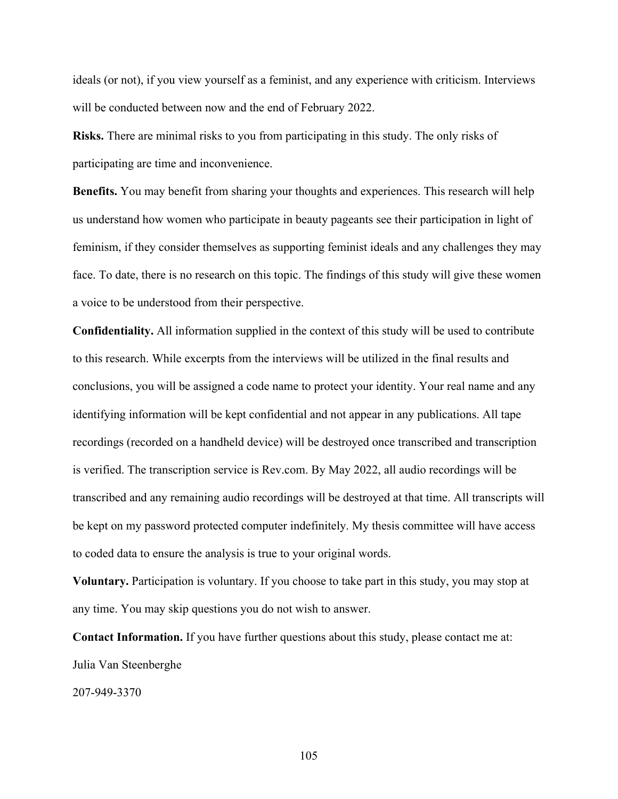ideals (or not), if you view yourself as a feminist, and any experience with criticism. Interviews will be conducted between now and the end of February 2022.

**Risks.** There are minimal risks to you from participating in this study. The only risks of participating are time and inconvenience.

**Benefits.** You may benefit from sharing your thoughts and experiences. This research will help us understand how women who participate in beauty pageants see their participation in light of feminism, if they consider themselves as supporting feminist ideals and any challenges they may face. To date, there is no research on this topic. The findings of this study will give these women a voice to be understood from their perspective.

**Confidentiality.** All information supplied in the context of this study will be used to contribute to this research. While excerpts from the interviews will be utilized in the final results and conclusions, you will be assigned a code name to protect your identity. Your real name and any identifying information will be kept confidential and not appear in any publications. All tape recordings (recorded on a handheld device) will be destroyed once transcribed and transcription is verified. The transcription service is Rev.com. By May 2022, all audio recordings will be transcribed and any remaining audio recordings will be destroyed at that time. All transcripts will be kept on my password protected computer indefinitely. My thesis committee will have access to coded data to ensure the analysis is true to your original words.

**Voluntary.** Participation is voluntary. If you choose to take part in this study, you may stop at any time. You may skip questions you do not wish to answer.

**Contact Information.** If you have further questions about this study, please contact me at: Julia Van Steenberghe

207-949-3370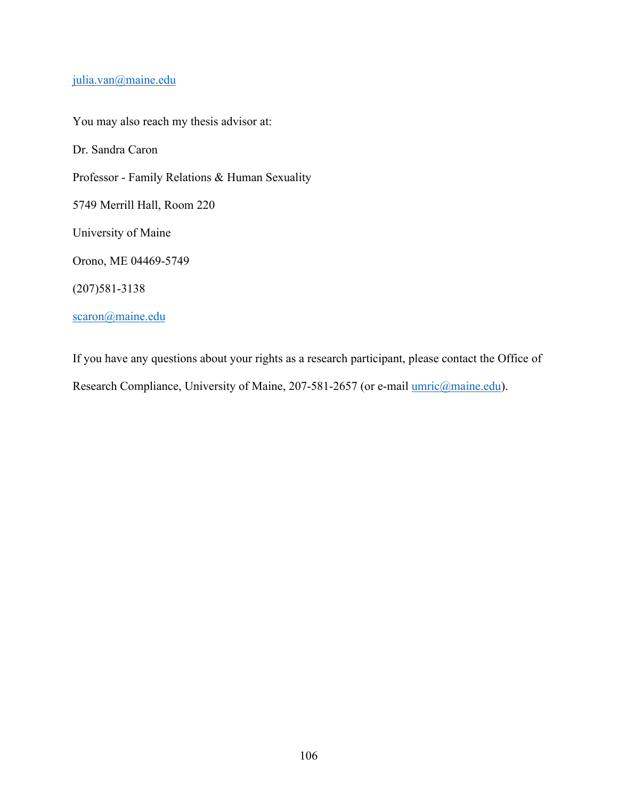## julia.van@maine.edu

You may also reach my thesis advisor at: Dr. Sandra Caron Professor - Family Relations & Human Sexuality 5749 Merrill Hall, Room 220 University of Maine Orono, ME 04469-5749 (207)581-3138 scaron@maine.edu

If you have any questions about your rights as a research participant, please contact the Office of Research Compliance, University of Maine, 207-581-2657 (or e-mail umric@maine.edu).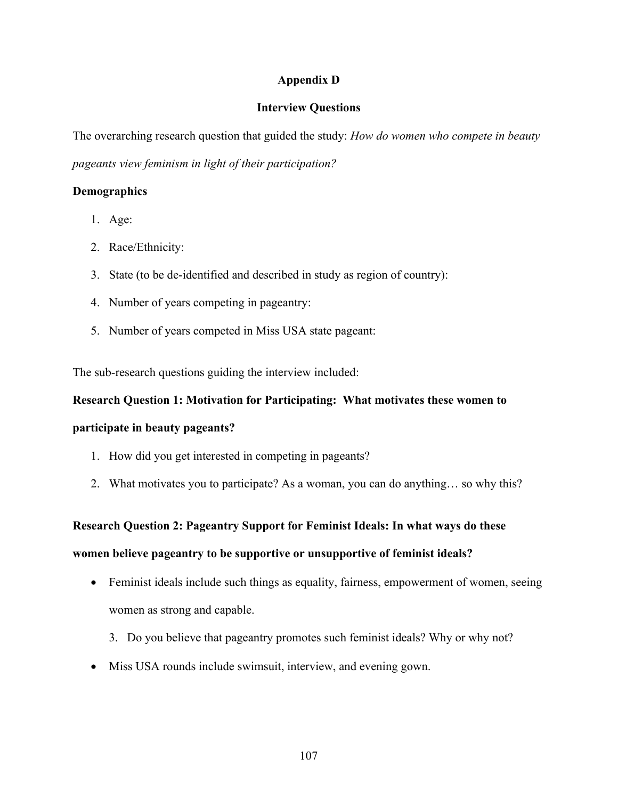## **Appendix D**

## **Interview Questions**

The overarching research question that guided the study: *How do women who compete in beauty* 

*pageants view feminism in light of their participation?*

## **Demographics**

- 1. Age:
- 2. Race/Ethnicity:
- 3. State (to be de-identified and described in study as region of country):
- 4. Number of years competing in pageantry:
- 5. Number of years competed in Miss USA state pageant:

The sub-research questions guiding the interview included:

## **Research Question 1: Motivation for Participating: What motivates these women to**

## **participate in beauty pageants?**

- 1. How did you get interested in competing in pageants?
- 2. What motivates you to participate? As a woman, you can do anything… so why this?

## **Research Question 2: Pageantry Support for Feminist Ideals: In what ways do these**

## **women believe pageantry to be supportive or unsupportive of feminist ideals?**

- Feminist ideals include such things as equality, fairness, empowerment of women, seeing women as strong and capable.
	- 3. Do you believe that pageantry promotes such feminist ideals? Why or why not?
- Miss USA rounds include swimsuit, interview, and evening gown.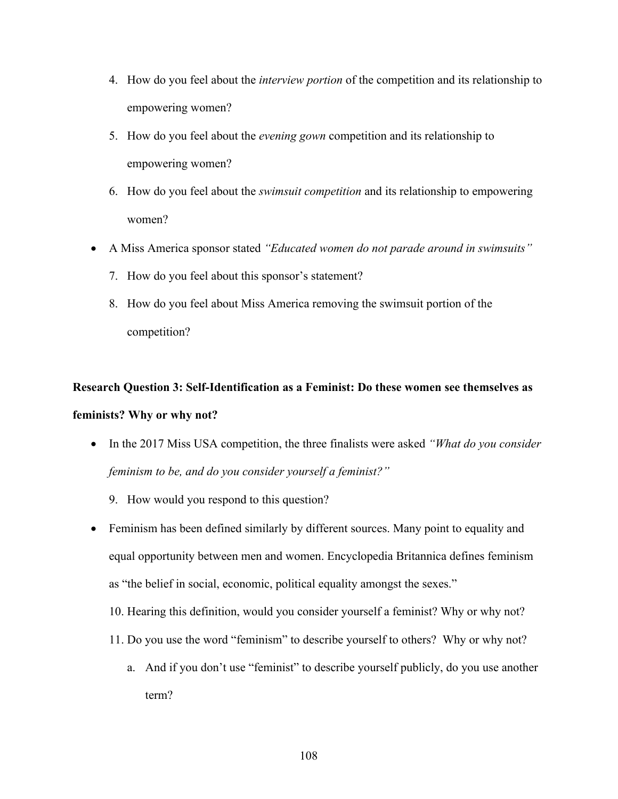- 4. How do you feel about the *interview portion* of the competition and its relationship to empowering women?
- 5. How do you feel about the *evening gown* competition and its relationship to empowering women?
- 6. How do you feel about the *swimsuit competition* and its relationship to empowering women?
- A Miss America sponsor stated *"Educated women do not parade around in swimsuits"*
	- 7. How do you feel about this sponsor's statement?
	- 8. How do you feel about Miss America removing the swimsuit portion of the competition?

## **Research Question 3: Self-Identification as a Feminist: Do these women see themselves as feminists? Why or why not?**

- In the 2017 Miss USA competition, the three finalists were asked *"What do you consider feminism to be, and do you consider yourself a feminist?"* 
	- 9. How would you respond to this question?
- Feminism has been defined similarly by different sources. Many point to equality and equal opportunity between men and women. Encyclopedia Britannica defines feminism as "the belief in social, economic, political equality amongst the sexes."
	- 10. Hearing this definition, would you consider yourself a feminist? Why or why not?
	- 11. Do you use the word "feminism" to describe yourself to others? Why or why not?
		- a. And if you don't use "feminist" to describe yourself publicly, do you use another term?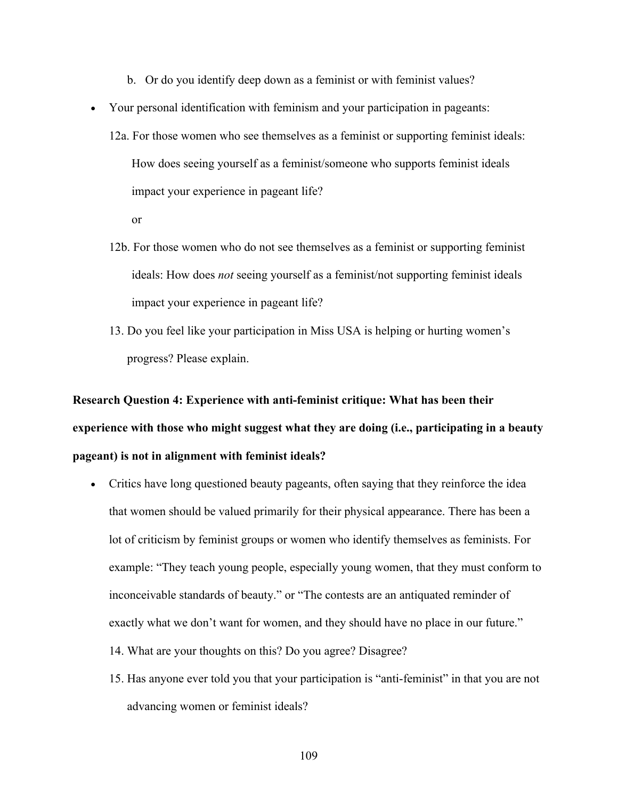- b. Or do you identify deep down as a feminist or with feminist values?
- Your personal identification with feminism and your participation in pageants:
	- 12a. For those women who see themselves as a feminist or supporting feminist ideals: How does seeing yourself as a feminist/someone who supports feminist ideals impact your experience in pageant life?
		- or
	- 12b. For those women who do not see themselves as a feminist or supporting feminist ideals: How does *not* seeing yourself as a feminist/not supporting feminist ideals impact your experience in pageant life?
	- 13. Do you feel like your participation in Miss USA is helping or hurting women's progress? Please explain.

# **Research Question 4: Experience with anti-feminist critique: What has been their experience with those who might suggest what they are doing (i.e., participating in a beauty pageant) is not in alignment with feminist ideals?**

- Critics have long questioned beauty pageants, often saying that they reinforce the idea that women should be valued primarily for their physical appearance. There has been a lot of criticism by feminist groups or women who identify themselves as feminists. For example: "They teach young people, especially young women, that they must conform to inconceivable standards of beauty." or "The contests are an antiquated reminder of exactly what we don't want for women, and they should have no place in our future." 14. What are your thoughts on this? Do you agree? Disagree?
	- 15. Has anyone ever told you that your participation is "anti-feminist" in that you are not advancing women or feminist ideals?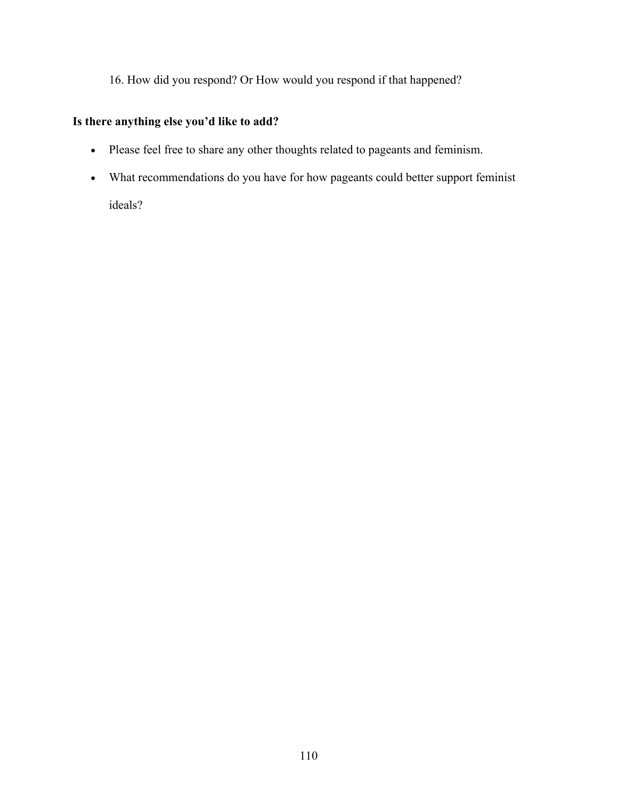## 16. How did you respond? Or How would you respond if that happened?

## **Is there anything else you'd like to add?**

- Please feel free to share any other thoughts related to pageants and feminism.
- What recommendations do you have for how pageants could better support feminist ideals?